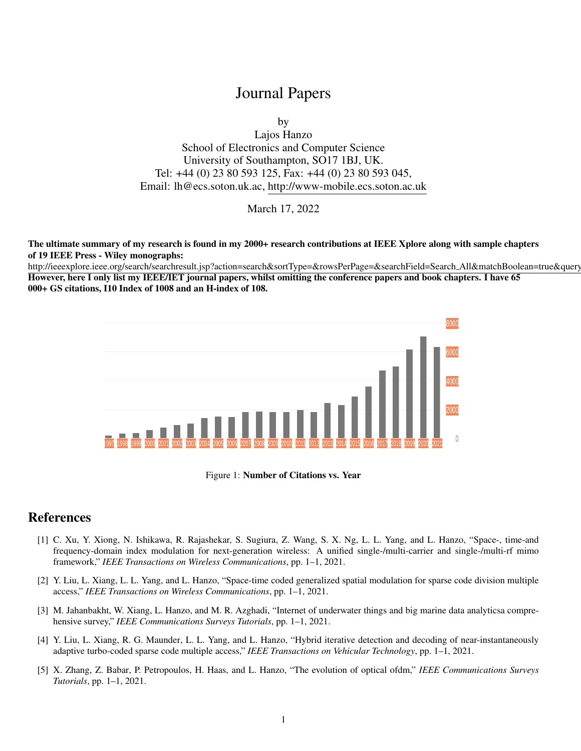## Journal Papers

by

Lajos Hanzo School of Electronics and Computer Science University of Southampton, SO17 1BJ, UK. Tel: +44 (0) 23 80 593 125, Fax: +44 (0) 23 80 593 045, Email: lh@ecs.soton.uk.ac, http://www-mobile.ecs.soton.ac.uk

March 17, 2022

The ultimate summary of my research is found in my 2000+ research contributions at IEEE Xplore along with sample chapters of 19 IEEE Press - Wiley monographs:

http://ieeexplore.ieee.org/search/searchresult.jsp?action=search&sortType=&rowsPerPage=&searchField=Search\_All&matchBoolean=true&query However, here I only list my IEEE/IET journal papers, whilst omitting the conference papers and book chapters. I have 65 000+ GS citations, I10 Index of 1008 and an H-index of 108.



Figure 1: Number of Citations vs. Year

## References

- [1] C. Xu, Y. Xiong, N. Ishikawa, R. Rajashekar, S. Sugiura, Z. Wang, S. X. Ng, L. L. Yang, and L. Hanzo, "Space-, time-and frequency-domain index modulation for next-generation wireless: A unified single-/multi-carrier and single-/multi-rf mimo framework," *IEEE Transactions on Wireless Communications*, pp. 1–1, 2021.
- [2] Y. Liu, L. Xiang, L. L. Yang, and L. Hanzo, "Space-time coded generalized spatial modulation for sparse code division multiple access," *IEEE Transactions on Wireless Communications*, pp. 1–1, 2021.
- [3] M. Jahanbakht, W. Xiang, L. Hanzo, and M. R. Azghadi, "Internet of underwater things and big marine data analyticsa comprehensive survey," *IEEE Communications Surveys Tutorials*, pp. 1–1, 2021.
- [4] Y. Liu, L. Xiang, R. G. Maunder, L. L. Yang, and L. Hanzo, "Hybrid iterative detection and decoding of near-instantaneously adaptive turbo-coded sparse code multiple access," *IEEE Transactions on Vehicular Technology*, pp. 1–1, 2021.
- [5] X. Zhang, Z. Babar, P. Petropoulos, H. Haas, and L. Hanzo, "The evolution of optical ofdm," *IEEE Communications Surveys Tutorials*, pp. 1–1, 2021.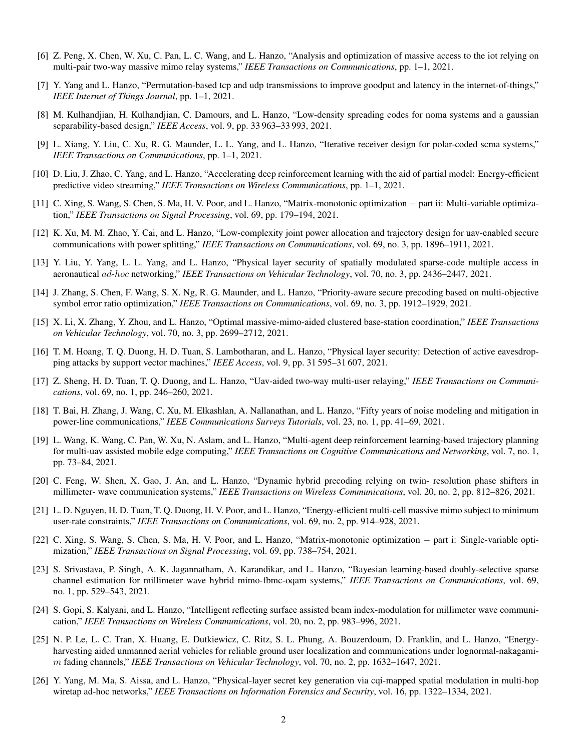- [6] Z. Peng, X. Chen, W. Xu, C. Pan, L. C. Wang, and L. Hanzo, "Analysis and optimization of massive access to the iot relying on multi-pair two-way massive mimo relay systems," *IEEE Transactions on Communications*, pp. 1–1, 2021.
- [7] Y. Yang and L. Hanzo, "Permutation-based tcp and udp transmissions to improve goodput and latency in the internet-of-things," *IEEE Internet of Things Journal*, pp. 1–1, 2021.
- [8] M. Kulhandjian, H. Kulhandjian, C. Damours, and L. Hanzo, "Low-density spreading codes for noma systems and a gaussian separability-based design," *IEEE Access*, vol. 9, pp. 33 963–33 993, 2021.
- [9] L. Xiang, Y. Liu, C. Xu, R. G. Maunder, L. L. Yang, and L. Hanzo, "Iterative receiver design for polar-coded scma systems," *IEEE Transactions on Communications*, pp. 1–1, 2021.
- [10] D. Liu, J. Zhao, C. Yang, and L. Hanzo, "Accelerating deep reinforcement learning with the aid of partial model: Energy-efficient predictive video streaming," *IEEE Transactions on Wireless Communications*, pp. 1–1, 2021.
- [11] C. Xing, S. Wang, S. Chen, S. Ma, H. V. Poor, and L. Hanzo, "Matrix-monotonic optimization − part ii: Multi-variable optimization," *IEEE Transactions on Signal Processing*, vol. 69, pp. 179–194, 2021.
- [12] K. Xu, M. M. Zhao, Y. Cai, and L. Hanzo, "Low-complexity joint power allocation and trajectory design for uav-enabled secure communications with power splitting," *IEEE Transactions on Communications*, vol. 69, no. 3, pp. 1896–1911, 2021.
- [13] Y. Liu, Y. Yang, L. L. Yang, and L. Hanzo, "Physical layer security of spatially modulated sparse-code multiple access in aeronautical ad-hoc networking," *IEEE Transactions on Vehicular Technology*, vol. 70, no. 3, pp. 2436–2447, 2021.
- [14] J. Zhang, S. Chen, F. Wang, S. X. Ng, R. G. Maunder, and L. Hanzo, "Priority-aware secure precoding based on multi-objective symbol error ratio optimization," *IEEE Transactions on Communications*, vol. 69, no. 3, pp. 1912–1929, 2021.
- [15] X. Li, X. Zhang, Y. Zhou, and L. Hanzo, "Optimal massive-mimo-aided clustered base-station coordination," *IEEE Transactions on Vehicular Technology*, vol. 70, no. 3, pp. 2699–2712, 2021.
- [16] T. M. Hoang, T. Q. Duong, H. D. Tuan, S. Lambotharan, and L. Hanzo, "Physical layer security: Detection of active eavesdropping attacks by support vector machines," *IEEE Access*, vol. 9, pp. 31 595–31 607, 2021.
- [17] Z. Sheng, H. D. Tuan, T. Q. Duong, and L. Hanzo, "Uav-aided two-way multi-user relaying," *IEEE Transactions on Communications*, vol. 69, no. 1, pp. 246–260, 2021.
- [18] T. Bai, H. Zhang, J. Wang, C. Xu, M. Elkashlan, A. Nallanathan, and L. Hanzo, "Fifty years of noise modeling and mitigation in power-line communications," *IEEE Communications Surveys Tutorials*, vol. 23, no. 1, pp. 41–69, 2021.
- [19] L. Wang, K. Wang, C. Pan, W. Xu, N. Aslam, and L. Hanzo, "Multi-agent deep reinforcement learning-based trajectory planning for multi-uav assisted mobile edge computing," *IEEE Transactions on Cognitive Communications and Networking*, vol. 7, no. 1, pp. 73–84, 2021.
- [20] C. Feng, W. Shen, X. Gao, J. An, and L. Hanzo, "Dynamic hybrid precoding relying on twin- resolution phase shifters in millimeter- wave communication systems," *IEEE Transactions on Wireless Communications*, vol. 20, no. 2, pp. 812–826, 2021.
- [21] L. D. Nguyen, H. D. Tuan, T. Q. Duong, H. V. Poor, and L. Hanzo, "Energy-efficient multi-cell massive mimo subject to minimum user-rate constraints," *IEEE Transactions on Communications*, vol. 69, no. 2, pp. 914–928, 2021.
- [22] C. Xing, S. Wang, S. Chen, S. Ma, H. V. Poor, and L. Hanzo, "Matrix-monotonic optimization − part i: Single-variable optimization," *IEEE Transactions on Signal Processing*, vol. 69, pp. 738–754, 2021.
- [23] S. Srivastava, P. Singh, A. K. Jagannatham, A. Karandikar, and L. Hanzo, "Bayesian learning-based doubly-selective sparse channel estimation for millimeter wave hybrid mimo-fbmc-oqam systems," *IEEE Transactions on Communications*, vol. 69, no. 1, pp. 529–543, 2021.
- [24] S. Gopi, S. Kalyani, and L. Hanzo, "Intelligent reflecting surface assisted beam index-modulation for millimeter wave communication," *IEEE Transactions on Wireless Communications*, vol. 20, no. 2, pp. 983–996, 2021.
- [25] N. P. Le, L. C. Tran, X. Huang, E. Dutkiewicz, C. Ritz, S. L. Phung, A. Bouzerdoum, D. Franklin, and L. Hanzo, "Energyharvesting aided unmanned aerial vehicles for reliable ground user localization and communications under lognormal-nakagamim fading channels," *IEEE Transactions on Vehicular Technology*, vol. 70, no. 2, pp. 1632–1647, 2021.
- [26] Y. Yang, M. Ma, S. Aissa, and L. Hanzo, "Physical-layer secret key generation via cqi-mapped spatial modulation in multi-hop wiretap ad-hoc networks," *IEEE Transactions on Information Forensics and Security*, vol. 16, pp. 1322–1334, 2021.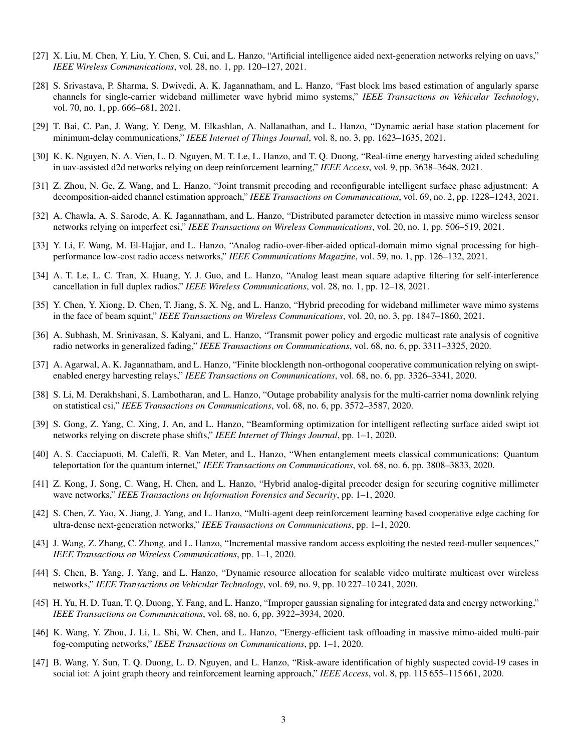- [27] X. Liu, M. Chen, Y. Liu, Y. Chen, S. Cui, and L. Hanzo, "Artificial intelligence aided next-generation networks relying on uavs," *IEEE Wireless Communications*, vol. 28, no. 1, pp. 120–127, 2021.
- [28] S. Srivastava, P. Sharma, S. Dwivedi, A. K. Jagannatham, and L. Hanzo, "Fast block lms based estimation of angularly sparse channels for single-carrier wideband millimeter wave hybrid mimo systems," *IEEE Transactions on Vehicular Technology*, vol. 70, no. 1, pp. 666–681, 2021.
- [29] T. Bai, C. Pan, J. Wang, Y. Deng, M. Elkashlan, A. Nallanathan, and L. Hanzo, "Dynamic aerial base station placement for minimum-delay communications," *IEEE Internet of Things Journal*, vol. 8, no. 3, pp. 1623–1635, 2021.
- [30] K. K. Nguyen, N. A. Vien, L. D. Nguyen, M. T. Le, L. Hanzo, and T. Q. Duong, "Real-time energy harvesting aided scheduling in uav-assisted d2d networks relying on deep reinforcement learning," *IEEE Access*, vol. 9, pp. 3638–3648, 2021.
- [31] Z. Zhou, N. Ge, Z. Wang, and L. Hanzo, "Joint transmit precoding and reconfigurable intelligent surface phase adjustment: A decomposition-aided channel estimation approach," *IEEE Transactions on Communications*, vol. 69, no. 2, pp. 1228–1243, 2021.
- [32] A. Chawla, A. S. Sarode, A. K. Jagannatham, and L. Hanzo, "Distributed parameter detection in massive mimo wireless sensor networks relying on imperfect csi," *IEEE Transactions on Wireless Communications*, vol. 20, no. 1, pp. 506–519, 2021.
- [33] Y. Li, F. Wang, M. El-Hajjar, and L. Hanzo, "Analog radio-over-fiber-aided optical-domain mimo signal processing for highperformance low-cost radio access networks," *IEEE Communications Magazine*, vol. 59, no. 1, pp. 126–132, 2021.
- [34] A. T. Le, L. C. Tran, X. Huang, Y. J. Guo, and L. Hanzo, "Analog least mean square adaptive filtering for self-interference cancellation in full duplex radios," *IEEE Wireless Communications*, vol. 28, no. 1, pp. 12–18, 2021.
- [35] Y. Chen, Y. Xiong, D. Chen, T. Jiang, S. X. Ng, and L. Hanzo, "Hybrid precoding for wideband millimeter wave mimo systems in the face of beam squint," *IEEE Transactions on Wireless Communications*, vol. 20, no. 3, pp. 1847–1860, 2021.
- [36] A. Subhash, M. Srinivasan, S. Kalyani, and L. Hanzo, "Transmit power policy and ergodic multicast rate analysis of cognitive radio networks in generalized fading," *IEEE Transactions on Communications*, vol. 68, no. 6, pp. 3311–3325, 2020.
- [37] A. Agarwal, A. K. Jagannatham, and L. Hanzo, "Finite blocklength non-orthogonal cooperative communication relying on swiptenabled energy harvesting relays," *IEEE Transactions on Communications*, vol. 68, no. 6, pp. 3326–3341, 2020.
- [38] S. Li, M. Derakhshani, S. Lambotharan, and L. Hanzo, "Outage probability analysis for the multi-carrier noma downlink relying on statistical csi," *IEEE Transactions on Communications*, vol. 68, no. 6, pp. 3572–3587, 2020.
- [39] S. Gong, Z. Yang, C. Xing, J. An, and L. Hanzo, "Beamforming optimization for intelligent reflecting surface aided swipt iot networks relying on discrete phase shifts," *IEEE Internet of Things Journal*, pp. 1–1, 2020.
- [40] A. S. Cacciapuoti, M. Caleffi, R. Van Meter, and L. Hanzo, "When entanglement meets classical communications: Quantum teleportation for the quantum internet," *IEEE Transactions on Communications*, vol. 68, no. 6, pp. 3808–3833, 2020.
- [41] Z. Kong, J. Song, C. Wang, H. Chen, and L. Hanzo, "Hybrid analog-digital precoder design for securing cognitive millimeter wave networks," *IEEE Transactions on Information Forensics and Security*, pp. 1–1, 2020.
- [42] S. Chen, Z. Yao, X. Jiang, J. Yang, and L. Hanzo, "Multi-agent deep reinforcement learning based cooperative edge caching for ultra-dense next-generation networks," *IEEE Transactions on Communications*, pp. 1–1, 2020.
- [43] J. Wang, Z. Zhang, C. Zhong, and L. Hanzo, "Incremental massive random access exploiting the nested reed-muller sequences," *IEEE Transactions on Wireless Communications*, pp. 1–1, 2020.
- [44] S. Chen, B. Yang, J. Yang, and L. Hanzo, "Dynamic resource allocation for scalable video multirate multicast over wireless networks," *IEEE Transactions on Vehicular Technology*, vol. 69, no. 9, pp. 10 227–10 241, 2020.
- [45] H. Yu, H. D. Tuan, T. Q. Duong, Y. Fang, and L. Hanzo, "Improper gaussian signaling for integrated data and energy networking," *IEEE Transactions on Communications*, vol. 68, no. 6, pp. 3922–3934, 2020.
- [46] K. Wang, Y. Zhou, J. Li, L. Shi, W. Chen, and L. Hanzo, "Energy-efficient task offloading in massive mimo-aided multi-pair fog-computing networks," *IEEE Transactions on Communications*, pp. 1–1, 2020.
- [47] B. Wang, Y. Sun, T. Q. Duong, L. D. Nguyen, and L. Hanzo, "Risk-aware identification of highly suspected covid-19 cases in social iot: A joint graph theory and reinforcement learning approach," *IEEE Access*, vol. 8, pp. 115 655–115 661, 2020.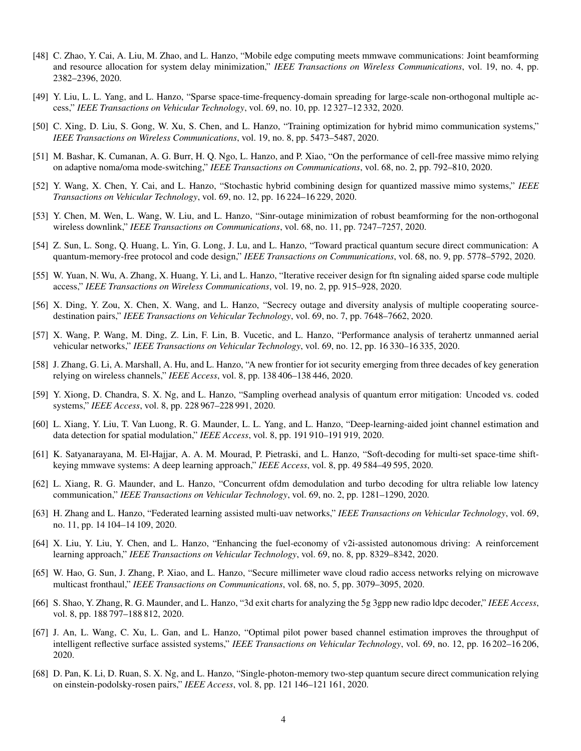- [48] C. Zhao, Y. Cai, A. Liu, M. Zhao, and L. Hanzo, "Mobile edge computing meets mmwave communications: Joint beamforming and resource allocation for system delay minimization," *IEEE Transactions on Wireless Communications*, vol. 19, no. 4, pp. 2382–2396, 2020.
- [49] Y. Liu, L. L. Yang, and L. Hanzo, "Sparse space-time-frequency-domain spreading for large-scale non-orthogonal multiple access," *IEEE Transactions on Vehicular Technology*, vol. 69, no. 10, pp. 12 327–12 332, 2020.
- [50] C. Xing, D. Liu, S. Gong, W. Xu, S. Chen, and L. Hanzo, "Training optimization for hybrid mimo communication systems," *IEEE Transactions on Wireless Communications*, vol. 19, no. 8, pp. 5473–5487, 2020.
- [51] M. Bashar, K. Cumanan, A. G. Burr, H. Q. Ngo, L. Hanzo, and P. Xiao, "On the performance of cell-free massive mimo relying on adaptive noma/oma mode-switching," *IEEE Transactions on Communications*, vol. 68, no. 2, pp. 792–810, 2020.
- [52] Y. Wang, X. Chen, Y. Cai, and L. Hanzo, "Stochastic hybrid combining design for quantized massive mimo systems," *IEEE Transactions on Vehicular Technology*, vol. 69, no. 12, pp. 16 224–16 229, 2020.
- [53] Y. Chen, M. Wen, L. Wang, W. Liu, and L. Hanzo, "Sinr-outage minimization of robust beamforming for the non-orthogonal wireless downlink," *IEEE Transactions on Communications*, vol. 68, no. 11, pp. 7247–7257, 2020.
- [54] Z. Sun, L. Song, Q. Huang, L. Yin, G. Long, J. Lu, and L. Hanzo, "Toward practical quantum secure direct communication: A quantum-memory-free protocol and code design," *IEEE Transactions on Communications*, vol. 68, no. 9, pp. 5778–5792, 2020.
- [55] W. Yuan, N. Wu, A. Zhang, X. Huang, Y. Li, and L. Hanzo, "Iterative receiver design for ftn signaling aided sparse code multiple access," *IEEE Transactions on Wireless Communications*, vol. 19, no. 2, pp. 915–928, 2020.
- [56] X. Ding, Y. Zou, X. Chen, X. Wang, and L. Hanzo, "Secrecy outage and diversity analysis of multiple cooperating sourcedestination pairs," *IEEE Transactions on Vehicular Technology*, vol. 69, no. 7, pp. 7648–7662, 2020.
- [57] X. Wang, P. Wang, M. Ding, Z. Lin, F. Lin, B. Vucetic, and L. Hanzo, "Performance analysis of terahertz unmanned aerial vehicular networks," *IEEE Transactions on Vehicular Technology*, vol. 69, no. 12, pp. 16 330–16 335, 2020.
- [58] J. Zhang, G. Li, A. Marshall, A. Hu, and L. Hanzo, "A new frontier for iot security emerging from three decades of key generation relying on wireless channels," *IEEE Access*, vol. 8, pp. 138 406–138 446, 2020.
- [59] Y. Xiong, D. Chandra, S. X. Ng, and L. Hanzo, "Sampling overhead analysis of quantum error mitigation: Uncoded vs. coded systems," *IEEE Access*, vol. 8, pp. 228 967–228 991, 2020.
- [60] L. Xiang, Y. Liu, T. Van Luong, R. G. Maunder, L. L. Yang, and L. Hanzo, "Deep-learning-aided joint channel estimation and data detection for spatial modulation," *IEEE Access*, vol. 8, pp. 191 910–191 919, 2020.
- [61] K. Satyanarayana, M. El-Hajjar, A. A. M. Mourad, P. Pietraski, and L. Hanzo, "Soft-decoding for multi-set space-time shiftkeying mmwave systems: A deep learning approach," *IEEE Access*, vol. 8, pp. 49 584–49 595, 2020.
- [62] L. Xiang, R. G. Maunder, and L. Hanzo, "Concurrent ofdm demodulation and turbo decoding for ultra reliable low latency communication," *IEEE Transactions on Vehicular Technology*, vol. 69, no. 2, pp. 1281–1290, 2020.
- [63] H. Zhang and L. Hanzo, "Federated learning assisted multi-uav networks," *IEEE Transactions on Vehicular Technology*, vol. 69, no. 11, pp. 14 104–14 109, 2020.
- [64] X. Liu, Y. Liu, Y. Chen, and L. Hanzo, "Enhancing the fuel-economy of v2i-assisted autonomous driving: A reinforcement learning approach," *IEEE Transactions on Vehicular Technology*, vol. 69, no. 8, pp. 8329–8342, 2020.
- [65] W. Hao, G. Sun, J. Zhang, P. Xiao, and L. Hanzo, "Secure millimeter wave cloud radio access networks relying on microwave multicast fronthaul," *IEEE Transactions on Communications*, vol. 68, no. 5, pp. 3079–3095, 2020.
- [66] S. Shao, Y. Zhang, R. G. Maunder, and L. Hanzo, "3d exit charts for analyzing the 5g 3gpp new radio ldpc decoder," *IEEE Access*, vol. 8, pp. 188 797–188 812, 2020.
- [67] J. An, L. Wang, C. Xu, L. Gan, and L. Hanzo, "Optimal pilot power based channel estimation improves the throughput of intelligent reflective surface assisted systems," *IEEE Transactions on Vehicular Technology*, vol. 69, no. 12, pp. 16 202–16 206, 2020.
- [68] D. Pan, K. Li, D. Ruan, S. X. Ng, and L. Hanzo, "Single-photon-memory two-step quantum secure direct communication relying on einstein-podolsky-rosen pairs," *IEEE Access*, vol. 8, pp. 121 146–121 161, 2020.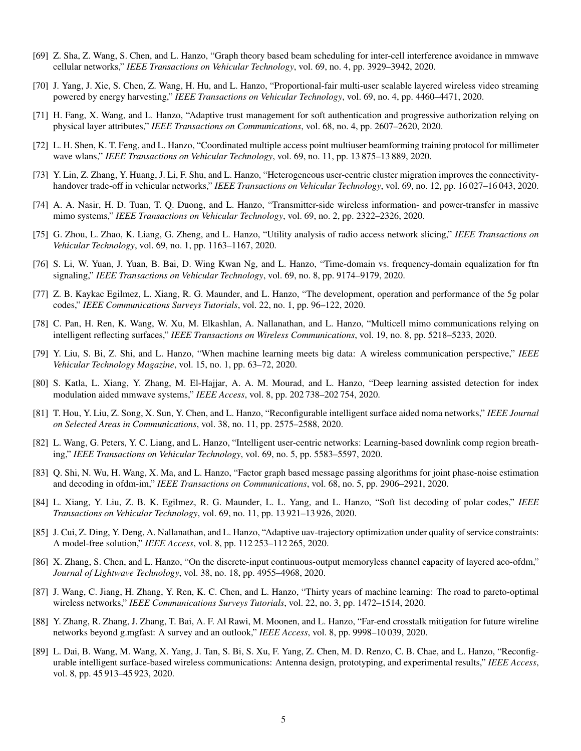- [69] Z. Sha, Z. Wang, S. Chen, and L. Hanzo, "Graph theory based beam scheduling for inter-cell interference avoidance in mmwave cellular networks," *IEEE Transactions on Vehicular Technology*, vol. 69, no. 4, pp. 3929–3942, 2020.
- [70] J. Yang, J. Xie, S. Chen, Z. Wang, H. Hu, and L. Hanzo, "Proportional-fair multi-user scalable layered wireless video streaming powered by energy harvesting," *IEEE Transactions on Vehicular Technology*, vol. 69, no. 4, pp. 4460–4471, 2020.
- [71] H. Fang, X. Wang, and L. Hanzo, "Adaptive trust management for soft authentication and progressive authorization relying on physical layer attributes," *IEEE Transactions on Communications*, vol. 68, no. 4, pp. 2607–2620, 2020.
- [72] L. H. Shen, K. T. Feng, and L. Hanzo, "Coordinated multiple access point multiuser beamforming training protocol for millimeter wave wlans," *IEEE Transactions on Vehicular Technology*, vol. 69, no. 11, pp. 13 875–13 889, 2020.
- [73] Y. Lin, Z. Zhang, Y. Huang, J. Li, F. Shu, and L. Hanzo, "Heterogeneous user-centric cluster migration improves the connectivityhandover trade-off in vehicular networks," *IEEE Transactions on Vehicular Technology*, vol. 69, no. 12, pp. 16 027–16 043, 2020.
- [74] A. A. Nasir, H. D. Tuan, T. Q. Duong, and L. Hanzo, "Transmitter-side wireless information- and power-transfer in massive mimo systems," *IEEE Transactions on Vehicular Technology*, vol. 69, no. 2, pp. 2322–2326, 2020.
- [75] G. Zhou, L. Zhao, K. Liang, G. Zheng, and L. Hanzo, "Utility analysis of radio access network slicing," *IEEE Transactions on Vehicular Technology*, vol. 69, no. 1, pp. 1163–1167, 2020.
- [76] S. Li, W. Yuan, J. Yuan, B. Bai, D. Wing Kwan Ng, and L. Hanzo, "Time-domain vs. frequency-domain equalization for ftn signaling," *IEEE Transactions on Vehicular Technology*, vol. 69, no. 8, pp. 9174–9179, 2020.
- [77] Z. B. Kaykac Egilmez, L. Xiang, R. G. Maunder, and L. Hanzo, "The development, operation and performance of the 5g polar codes," *IEEE Communications Surveys Tutorials*, vol. 22, no. 1, pp. 96–122, 2020.
- [78] C. Pan, H. Ren, K. Wang, W. Xu, M. Elkashlan, A. Nallanathan, and L. Hanzo, "Multicell mimo communications relying on intelligent reflecting surfaces," *IEEE Transactions on Wireless Communications*, vol. 19, no. 8, pp. 5218–5233, 2020.
- [79] Y. Liu, S. Bi, Z. Shi, and L. Hanzo, "When machine learning meets big data: A wireless communication perspective," *IEEE Vehicular Technology Magazine*, vol. 15, no. 1, pp. 63–72, 2020.
- [80] S. Katla, L. Xiang, Y. Zhang, M. El-Hajjar, A. A. M. Mourad, and L. Hanzo, "Deep learning assisted detection for index modulation aided mmwave systems," *IEEE Access*, vol. 8, pp. 202 738–202 754, 2020.
- [81] T. Hou, Y. Liu, Z. Song, X. Sun, Y. Chen, and L. Hanzo, "Reconfigurable intelligent surface aided noma networks," *IEEE Journal on Selected Areas in Communications*, vol. 38, no. 11, pp. 2575–2588, 2020.
- [82] L. Wang, G. Peters, Y. C. Liang, and L. Hanzo, "Intelligent user-centric networks: Learning-based downlink comp region breathing," *IEEE Transactions on Vehicular Technology*, vol. 69, no. 5, pp. 5583–5597, 2020.
- [83] Q. Shi, N. Wu, H. Wang, X. Ma, and L. Hanzo, "Factor graph based message passing algorithms for joint phase-noise estimation and decoding in ofdm-im," *IEEE Transactions on Communications*, vol. 68, no. 5, pp. 2906–2921, 2020.
- [84] L. Xiang, Y. Liu, Z. B. K. Egilmez, R. G. Maunder, L. L. Yang, and L. Hanzo, "Soft list decoding of polar codes," *IEEE Transactions on Vehicular Technology*, vol. 69, no. 11, pp. 13 921–13 926, 2020.
- [85] J. Cui, Z. Ding, Y. Deng, A. Nallanathan, and L. Hanzo, "Adaptive uav-trajectory optimization under quality of service constraints: A model-free solution," *IEEE Access*, vol. 8, pp. 112 253–112 265, 2020.
- [86] X. Zhang, S. Chen, and L. Hanzo, "On the discrete-input continuous-output memoryless channel capacity of layered aco-ofdm," *Journal of Lightwave Technology*, vol. 38, no. 18, pp. 4955–4968, 2020.
- [87] J. Wang, C. Jiang, H. Zhang, Y. Ren, K. C. Chen, and L. Hanzo, "Thirty years of machine learning: The road to pareto-optimal wireless networks," *IEEE Communications Surveys Tutorials*, vol. 22, no. 3, pp. 1472–1514, 2020.
- [88] Y. Zhang, R. Zhang, J. Zhang, T. Bai, A. F. Al Rawi, M. Moonen, and L. Hanzo, "Far-end crosstalk mitigation for future wireline networks beyond g.mgfast: A survey and an outlook," *IEEE Access*, vol. 8, pp. 9998–10 039, 2020.
- [89] L. Dai, B. Wang, M. Wang, X. Yang, J. Tan, S. Bi, S. Xu, F. Yang, Z. Chen, M. D. Renzo, C. B. Chae, and L. Hanzo, "Reconfigurable intelligent surface-based wireless communications: Antenna design, prototyping, and experimental results," *IEEE Access*, vol. 8, pp. 45 913–45 923, 2020.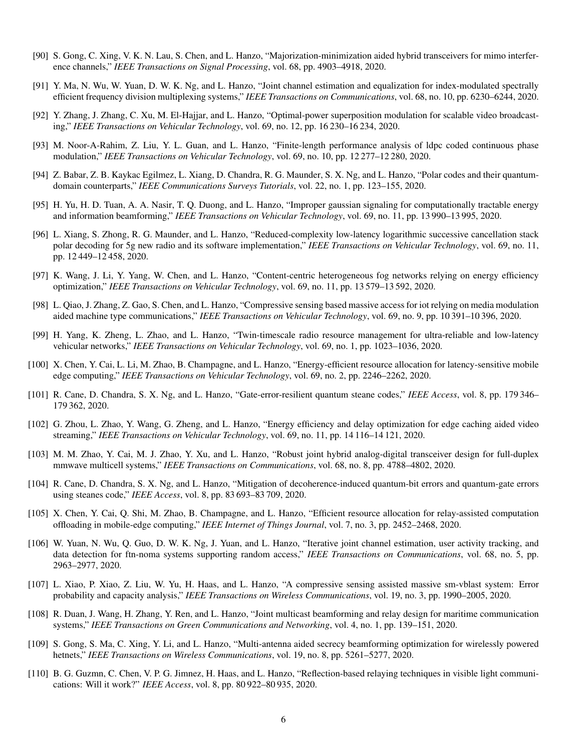- [90] S. Gong, C. Xing, V. K. N. Lau, S. Chen, and L. Hanzo, "Majorization-minimization aided hybrid transceivers for mimo interference channels," *IEEE Transactions on Signal Processing*, vol. 68, pp. 4903–4918, 2020.
- [91] Y. Ma, N. Wu, W. Yuan, D. W. K. Ng, and L. Hanzo, "Joint channel estimation and equalization for index-modulated spectrally efficient frequency division multiplexing systems," *IEEE Transactions on Communications*, vol. 68, no. 10, pp. 6230–6244, 2020.
- [92] Y. Zhang, J. Zhang, C. Xu, M. El-Hajjar, and L. Hanzo, "Optimal-power superposition modulation for scalable video broadcasting," *IEEE Transactions on Vehicular Technology*, vol. 69, no. 12, pp. 16 230–16 234, 2020.
- [93] M. Noor-A-Rahim, Z. Liu, Y. L. Guan, and L. Hanzo, "Finite-length performance analysis of ldpc coded continuous phase modulation," *IEEE Transactions on Vehicular Technology*, vol. 69, no. 10, pp. 12 277–12 280, 2020.
- [94] Z. Babar, Z. B. Kaykac Egilmez, L. Xiang, D. Chandra, R. G. Maunder, S. X. Ng, and L. Hanzo, "Polar codes and their quantumdomain counterparts," *IEEE Communications Surveys Tutorials*, vol. 22, no. 1, pp. 123–155, 2020.
- [95] H. Yu, H. D. Tuan, A. A. Nasir, T. Q. Duong, and L. Hanzo, "Improper gaussian signaling for computationally tractable energy and information beamforming," *IEEE Transactions on Vehicular Technology*, vol. 69, no. 11, pp. 13 990–13 995, 2020.
- [96] L. Xiang, S. Zhong, R. G. Maunder, and L. Hanzo, "Reduced-complexity low-latency logarithmic successive cancellation stack polar decoding for 5g new radio and its software implementation," *IEEE Transactions on Vehicular Technology*, vol. 69, no. 11, pp. 12 449–12 458, 2020.
- [97] K. Wang, J. Li, Y. Yang, W. Chen, and L. Hanzo, "Content-centric heterogeneous fog networks relying on energy efficiency optimization," *IEEE Transactions on Vehicular Technology*, vol. 69, no. 11, pp. 13 579–13 592, 2020.
- [98] L. Qiao, J. Zhang, Z. Gao, S. Chen, and L. Hanzo, "Compressive sensing based massive access for iot relying on media modulation aided machine type communications," *IEEE Transactions on Vehicular Technology*, vol. 69, no. 9, pp. 10 391–10 396, 2020.
- [99] H. Yang, K. Zheng, L. Zhao, and L. Hanzo, "Twin-timescale radio resource management for ultra-reliable and low-latency vehicular networks," *IEEE Transactions on Vehicular Technology*, vol. 69, no. 1, pp. 1023–1036, 2020.
- [100] X. Chen, Y. Cai, L. Li, M. Zhao, B. Champagne, and L. Hanzo, "Energy-efficient resource allocation for latency-sensitive mobile edge computing," *IEEE Transactions on Vehicular Technology*, vol. 69, no. 2, pp. 2246–2262, 2020.
- [101] R. Cane, D. Chandra, S. X. Ng, and L. Hanzo, "Gate-error-resilient quantum steane codes," *IEEE Access*, vol. 8, pp. 179 346– 179 362, 2020.
- [102] G. Zhou, L. Zhao, Y. Wang, G. Zheng, and L. Hanzo, "Energy efficiency and delay optimization for edge caching aided video streaming," *IEEE Transactions on Vehicular Technology*, vol. 69, no. 11, pp. 14 116–14 121, 2020.
- [103] M. M. Zhao, Y. Cai, M. J. Zhao, Y. Xu, and L. Hanzo, "Robust joint hybrid analog-digital transceiver design for full-duplex mmwave multicell systems," *IEEE Transactions on Communications*, vol. 68, no. 8, pp. 4788–4802, 2020.
- [104] R. Cane, D. Chandra, S. X. Ng, and L. Hanzo, "Mitigation of decoherence-induced quantum-bit errors and quantum-gate errors using steanes code," *IEEE Access*, vol. 8, pp. 83 693–83 709, 2020.
- [105] X. Chen, Y. Cai, Q. Shi, M. Zhao, B. Champagne, and L. Hanzo, "Efficient resource allocation for relay-assisted computation offloading in mobile-edge computing," *IEEE Internet of Things Journal*, vol. 7, no. 3, pp. 2452–2468, 2020.
- [106] W. Yuan, N. Wu, Q. Guo, D. W. K. Ng, J. Yuan, and L. Hanzo, "Iterative joint channel estimation, user activity tracking, and data detection for ftn-noma systems supporting random access," *IEEE Transactions on Communications*, vol. 68, no. 5, pp. 2963–2977, 2020.
- [107] L. Xiao, P. Xiao, Z. Liu, W. Yu, H. Haas, and L. Hanzo, "A compressive sensing assisted massive sm-vblast system: Error probability and capacity analysis," *IEEE Transactions on Wireless Communications*, vol. 19, no. 3, pp. 1990–2005, 2020.
- [108] R. Duan, J. Wang, H. Zhang, Y. Ren, and L. Hanzo, "Joint multicast beamforming and relay design for maritime communication systems," *IEEE Transactions on Green Communications and Networking*, vol. 4, no. 1, pp. 139–151, 2020.
- [109] S. Gong, S. Ma, C. Xing, Y. Li, and L. Hanzo, "Multi-antenna aided secrecy beamforming optimization for wirelessly powered hetnets," *IEEE Transactions on Wireless Communications*, vol. 19, no. 8, pp. 5261–5277, 2020.
- [110] B. G. Guzmn, C. Chen, V. P. G. Jimnez, H. Haas, and L. Hanzo, "Reflection-based relaying techniques in visible light communications: Will it work?" *IEEE Access*, vol. 8, pp. 80 922–80 935, 2020.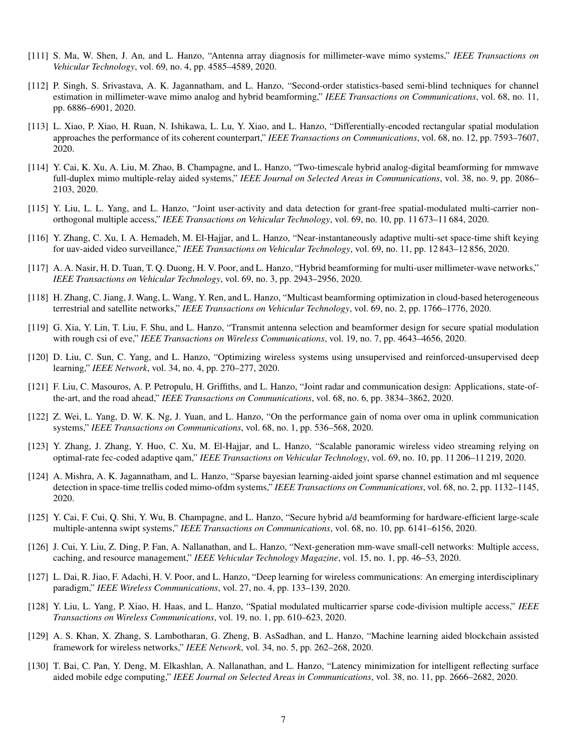- [111] S. Ma, W. Shen, J. An, and L. Hanzo, "Antenna array diagnosis for millimeter-wave mimo systems," *IEEE Transactions on Vehicular Technology*, vol. 69, no. 4, pp. 4585–4589, 2020.
- [112] P. Singh, S. Srivastava, A. K. Jagannatham, and L. Hanzo, "Second-order statistics-based semi-blind techniques for channel estimation in millimeter-wave mimo analog and hybrid beamforming," *IEEE Transactions on Communications*, vol. 68, no. 11, pp. 6886–6901, 2020.
- [113] L. Xiao, P. Xiao, H. Ruan, N. Ishikawa, L. Lu, Y. Xiao, and L. Hanzo, "Differentially-encoded rectangular spatial modulation approaches the performance of its coherent counterpart," *IEEE Transactions on Communications*, vol. 68, no. 12, pp. 7593–7607, 2020.
- [114] Y. Cai, K. Xu, A. Liu, M. Zhao, B. Champagne, and L. Hanzo, "Two-timescale hybrid analog-digital beamforming for mmwave full-duplex mimo multiple-relay aided systems," *IEEE Journal on Selected Areas in Communications*, vol. 38, no. 9, pp. 2086– 2103, 2020.
- [115] Y. Liu, L. L. Yang, and L. Hanzo, "Joint user-activity and data detection for grant-free spatial-modulated multi-carrier nonorthogonal multiple access," *IEEE Transactions on Vehicular Technology*, vol. 69, no. 10, pp. 11 673–11 684, 2020.
- [116] Y. Zhang, C. Xu, I. A. Hemadeh, M. El-Hajjar, and L. Hanzo, "Near-instantaneously adaptive multi-set space-time shift keying for uav-aided video surveillance," *IEEE Transactions on Vehicular Technology*, vol. 69, no. 11, pp. 12 843–12 856, 2020.
- [117] A. A. Nasir, H. D. Tuan, T. Q. Duong, H. V. Poor, and L. Hanzo, "Hybrid beamforming for multi-user millimeter-wave networks," *IEEE Transactions on Vehicular Technology*, vol. 69, no. 3, pp. 2943–2956, 2020.
- [118] H. Zhang, C. Jiang, J. Wang, L. Wang, Y. Ren, and L. Hanzo, "Multicast beamforming optimization in cloud-based heterogeneous terrestrial and satellite networks," *IEEE Transactions on Vehicular Technology*, vol. 69, no. 2, pp. 1766–1776, 2020.
- [119] G. Xia, Y. Lin, T. Liu, F. Shu, and L. Hanzo, "Transmit antenna selection and beamformer design for secure spatial modulation with rough csi of eve," *IEEE Transactions on Wireless Communications*, vol. 19, no. 7, pp. 4643–4656, 2020.
- [120] D. Liu, C. Sun, C. Yang, and L. Hanzo, "Optimizing wireless systems using unsupervised and reinforced-unsupervised deep learning," *IEEE Network*, vol. 34, no. 4, pp. 270–277, 2020.
- [121] F. Liu, C. Masouros, A. P. Petropulu, H. Griffiths, and L. Hanzo, "Joint radar and communication design: Applications, state-ofthe-art, and the road ahead," *IEEE Transactions on Communications*, vol. 68, no. 6, pp. 3834–3862, 2020.
- [122] Z. Wei, L. Yang, D. W. K. Ng, J. Yuan, and L. Hanzo, "On the performance gain of noma over oma in uplink communication systems," *IEEE Transactions on Communications*, vol. 68, no. 1, pp. 536–568, 2020.
- [123] Y. Zhang, J. Zhang, Y. Huo, C. Xu, M. El-Hajjar, and L. Hanzo, "Scalable panoramic wireless video streaming relying on optimal-rate fec-coded adaptive qam," *IEEE Transactions on Vehicular Technology*, vol. 69, no. 10, pp. 11 206–11 219, 2020.
- [124] A. Mishra, A. K. Jagannatham, and L. Hanzo, "Sparse bayesian learning-aided joint sparse channel estimation and ml sequence detection in space-time trellis coded mimo-ofdm systems," *IEEE Transactions on Communications*, vol. 68, no. 2, pp. 1132–1145, 2020.
- [125] Y. Cai, F. Cui, Q. Shi, Y. Wu, B. Champagne, and L. Hanzo, "Secure hybrid a/d beamforming for hardware-efficient large-scale multiple-antenna swipt systems," *IEEE Transactions on Communications*, vol. 68, no. 10, pp. 6141–6156, 2020.
- [126] J. Cui, Y. Liu, Z. Ding, P. Fan, A. Nallanathan, and L. Hanzo, "Next-generation mm-wave small-cell networks: Multiple access, caching, and resource management," *IEEE Vehicular Technology Magazine*, vol. 15, no. 1, pp. 46–53, 2020.
- [127] L. Dai, R. Jiao, F. Adachi, H. V. Poor, and L. Hanzo, "Deep learning for wireless communications: An emerging interdisciplinary paradigm," *IEEE Wireless Communications*, vol. 27, no. 4, pp. 133–139, 2020.
- [128] Y. Liu, L. Yang, P. Xiao, H. Haas, and L. Hanzo, "Spatial modulated multicarrier sparse code-division multiple access," *IEEE Transactions on Wireless Communications*, vol. 19, no. 1, pp. 610–623, 2020.
- [129] A. S. Khan, X. Zhang, S. Lambotharan, G. Zheng, B. AsSadhan, and L. Hanzo, "Machine learning aided blockchain assisted framework for wireless networks," *IEEE Network*, vol. 34, no. 5, pp. 262–268, 2020.
- [130] T. Bai, C. Pan, Y. Deng, M. Elkashlan, A. Nallanathan, and L. Hanzo, "Latency minimization for intelligent reflecting surface aided mobile edge computing," *IEEE Journal on Selected Areas in Communications*, vol. 38, no. 11, pp. 2666–2682, 2020.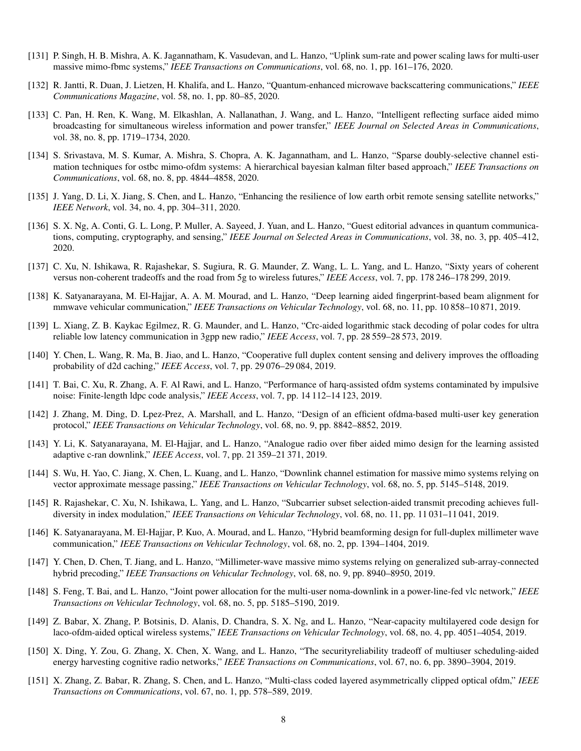- [131] P. Singh, H. B. Mishra, A. K. Jagannatham, K. Vasudevan, and L. Hanzo, "Uplink sum-rate and power scaling laws for multi-user massive mimo-fbmc systems," *IEEE Transactions on Communications*, vol. 68, no. 1, pp. 161–176, 2020.
- [132] R. Jantti, R. Duan, J. Lietzen, H. Khalifa, and L. Hanzo, "Quantum-enhanced microwave backscattering communications," *IEEE Communications Magazine*, vol. 58, no. 1, pp. 80–85, 2020.
- [133] C. Pan, H. Ren, K. Wang, M. Elkashlan, A. Nallanathan, J. Wang, and L. Hanzo, "Intelligent reflecting surface aided mimo broadcasting for simultaneous wireless information and power transfer," *IEEE Journal on Selected Areas in Communications*, vol. 38, no. 8, pp. 1719–1734, 2020.
- [134] S. Srivastava, M. S. Kumar, A. Mishra, S. Chopra, A. K. Jagannatham, and L. Hanzo, "Sparse doubly-selective channel estimation techniques for ostbc mimo-ofdm systems: A hierarchical bayesian kalman filter based approach," *IEEE Transactions on Communications*, vol. 68, no. 8, pp. 4844–4858, 2020.
- [135] J. Yang, D. Li, X. Jiang, S. Chen, and L. Hanzo, "Enhancing the resilience of low earth orbit remote sensing satellite networks," *IEEE Network*, vol. 34, no. 4, pp. 304–311, 2020.
- [136] S. X. Ng, A. Conti, G. L. Long, P. Muller, A. Sayeed, J. Yuan, and L. Hanzo, "Guest editorial advances in quantum communications, computing, cryptography, and sensing," *IEEE Journal on Selected Areas in Communications*, vol. 38, no. 3, pp. 405–412, 2020.
- [137] C. Xu, N. Ishikawa, R. Rajashekar, S. Sugiura, R. G. Maunder, Z. Wang, L. L. Yang, and L. Hanzo, "Sixty years of coherent versus non-coherent tradeoffs and the road from 5g to wireless futures," *IEEE Access*, vol. 7, pp. 178 246–178 299, 2019.
- [138] K. Satyanarayana, M. El-Hajjar, A. A. M. Mourad, and L. Hanzo, "Deep learning aided fingerprint-based beam alignment for mmwave vehicular communication," *IEEE Transactions on Vehicular Technology*, vol. 68, no. 11, pp. 10 858–10 871, 2019.
- [139] L. Xiang, Z. B. Kaykac Egilmez, R. G. Maunder, and L. Hanzo, "Crc-aided logarithmic stack decoding of polar codes for ultra reliable low latency communication in 3gpp new radio," *IEEE Access*, vol. 7, pp. 28 559–28 573, 2019.
- [140] Y. Chen, L. Wang, R. Ma, B. Jiao, and L. Hanzo, "Cooperative full duplex content sensing and delivery improves the offloading probability of d2d caching," *IEEE Access*, vol. 7, pp. 29 076–29 084, 2019.
- [141] T. Bai, C. Xu, R. Zhang, A. F. Al Rawi, and L. Hanzo, "Performance of harq-assisted ofdm systems contaminated by impulsive noise: Finite-length ldpc code analysis," *IEEE Access*, vol. 7, pp. 14 112–14 123, 2019.
- [142] J. Zhang, M. Ding, D. Lpez-Prez, A. Marshall, and L. Hanzo, "Design of an efficient ofdma-based multi-user key generation protocol," *IEEE Transactions on Vehicular Technology*, vol. 68, no. 9, pp. 8842–8852, 2019.
- [143] Y. Li, K. Satyanarayana, M. El-Hajjar, and L. Hanzo, "Analogue radio over fiber aided mimo design for the learning assisted adaptive c-ran downlink," *IEEE Access*, vol. 7, pp. 21 359–21 371, 2019.
- [144] S. Wu, H. Yao, C. Jiang, X. Chen, L. Kuang, and L. Hanzo, "Downlink channel estimation for massive mimo systems relying on vector approximate message passing," *IEEE Transactions on Vehicular Technology*, vol. 68, no. 5, pp. 5145–5148, 2019.
- [145] R. Rajashekar, C. Xu, N. Ishikawa, L. Yang, and L. Hanzo, "Subcarrier subset selection-aided transmit precoding achieves fulldiversity in index modulation," *IEEE Transactions on Vehicular Technology*, vol. 68, no. 11, pp. 11 031–11 041, 2019.
- [146] K. Satyanarayana, M. El-Hajjar, P. Kuo, A. Mourad, and L. Hanzo, "Hybrid beamforming design for full-duplex millimeter wave communication," *IEEE Transactions on Vehicular Technology*, vol. 68, no. 2, pp. 1394–1404, 2019.
- [147] Y. Chen, D. Chen, T. Jiang, and L. Hanzo, "Millimeter-wave massive mimo systems relying on generalized sub-array-connected hybrid precoding," *IEEE Transactions on Vehicular Technology*, vol. 68, no. 9, pp. 8940–8950, 2019.
- [148] S. Feng, T. Bai, and L. Hanzo, "Joint power allocation for the multi-user noma-downlink in a power-line-fed vlc network," *IEEE Transactions on Vehicular Technology*, vol. 68, no. 5, pp. 5185–5190, 2019.
- [149] Z. Babar, X. Zhang, P. Botsinis, D. Alanis, D. Chandra, S. X. Ng, and L. Hanzo, "Near-capacity multilayered code design for laco-ofdm-aided optical wireless systems," *IEEE Transactions on Vehicular Technology*, vol. 68, no. 4, pp. 4051–4054, 2019.
- [150] X. Ding, Y. Zou, G. Zhang, X. Chen, X. Wang, and L. Hanzo, "The securityreliability tradeoff of multiuser scheduling-aided energy harvesting cognitive radio networks," *IEEE Transactions on Communications*, vol. 67, no. 6, pp. 3890–3904, 2019.
- [151] X. Zhang, Z. Babar, R. Zhang, S. Chen, and L. Hanzo, "Multi-class coded layered asymmetrically clipped optical ofdm," *IEEE Transactions on Communications*, vol. 67, no. 1, pp. 578–589, 2019.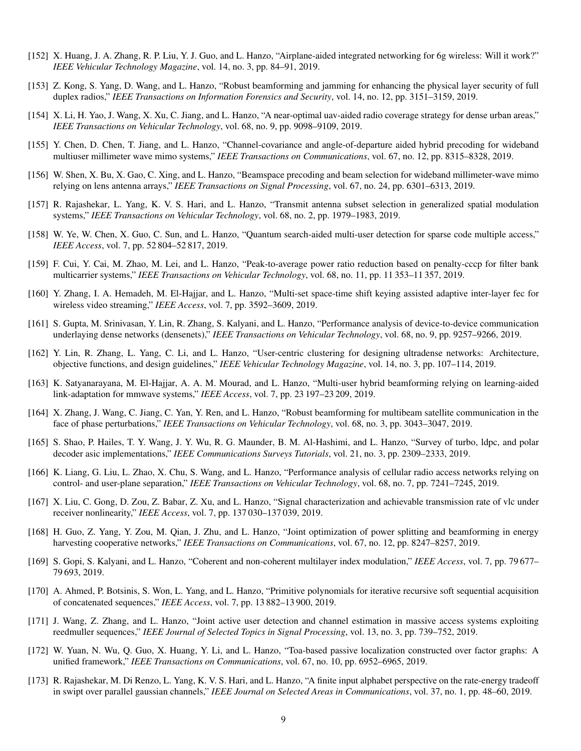- [152] X. Huang, J. A. Zhang, R. P. Liu, Y. J. Guo, and L. Hanzo, "Airplane-aided integrated networking for 6g wireless: Will it work?" *IEEE Vehicular Technology Magazine*, vol. 14, no. 3, pp. 84–91, 2019.
- [153] Z. Kong, S. Yang, D. Wang, and L. Hanzo, "Robust beamforming and jamming for enhancing the physical layer security of full duplex radios," *IEEE Transactions on Information Forensics and Security*, vol. 14, no. 12, pp. 3151–3159, 2019.
- [154] X. Li, H. Yao, J. Wang, X. Xu, C. Jiang, and L. Hanzo, "A near-optimal uav-aided radio coverage strategy for dense urban areas," *IEEE Transactions on Vehicular Technology*, vol. 68, no. 9, pp. 9098–9109, 2019.
- [155] Y. Chen, D. Chen, T. Jiang, and L. Hanzo, "Channel-covariance and angle-of-departure aided hybrid precoding for wideband multiuser millimeter wave mimo systems," *IEEE Transactions on Communications*, vol. 67, no. 12, pp. 8315–8328, 2019.
- [156] W. Shen, X. Bu, X. Gao, C. Xing, and L. Hanzo, "Beamspace precoding and beam selection for wideband millimeter-wave mimo relying on lens antenna arrays," *IEEE Transactions on Signal Processing*, vol. 67, no. 24, pp. 6301–6313, 2019.
- [157] R. Rajashekar, L. Yang, K. V. S. Hari, and L. Hanzo, "Transmit antenna subset selection in generalized spatial modulation systems," *IEEE Transactions on Vehicular Technology*, vol. 68, no. 2, pp. 1979–1983, 2019.
- [158] W. Ye, W. Chen, X. Guo, C. Sun, and L. Hanzo, "Quantum search-aided multi-user detection for sparse code multiple access," *IEEE Access*, vol. 7, pp. 52 804–52 817, 2019.
- [159] F. Cui, Y. Cai, M. Zhao, M. Lei, and L. Hanzo, "Peak-to-average power ratio reduction based on penalty-cccp for filter bank multicarrier systems," *IEEE Transactions on Vehicular Technology*, vol. 68, no. 11, pp. 11 353–11 357, 2019.
- [160] Y. Zhang, I. A. Hemadeh, M. El-Hajjar, and L. Hanzo, "Multi-set space-time shift keying assisted adaptive inter-layer fec for wireless video streaming," *IEEE Access*, vol. 7, pp. 3592–3609, 2019.
- [161] S. Gupta, M. Srinivasan, Y. Lin, R. Zhang, S. Kalyani, and L. Hanzo, "Performance analysis of device-to-device communication underlaying dense networks (densenets)," *IEEE Transactions on Vehicular Technology*, vol. 68, no. 9, pp. 9257–9266, 2019.
- [162] Y. Lin, R. Zhang, L. Yang, C. Li, and L. Hanzo, "User-centric clustering for designing ultradense networks: Architecture, objective functions, and design guidelines," *IEEE Vehicular Technology Magazine*, vol. 14, no. 3, pp. 107–114, 2019.
- [163] K. Satyanarayana, M. El-Hajjar, A. A. M. Mourad, and L. Hanzo, "Multi-user hybrid beamforming relying on learning-aided link-adaptation for mmwave systems," *IEEE Access*, vol. 7, pp. 23 197–23 209, 2019.
- [164] X. Zhang, J. Wang, C. Jiang, C. Yan, Y. Ren, and L. Hanzo, "Robust beamforming for multibeam satellite communication in the face of phase perturbations," *IEEE Transactions on Vehicular Technology*, vol. 68, no. 3, pp. 3043–3047, 2019.
- [165] S. Shao, P. Hailes, T. Y. Wang, J. Y. Wu, R. G. Maunder, B. M. Al-Hashimi, and L. Hanzo, "Survey of turbo, ldpc, and polar decoder asic implementations," *IEEE Communications Surveys Tutorials*, vol. 21, no. 3, pp. 2309–2333, 2019.
- [166] K. Liang, G. Liu, L. Zhao, X. Chu, S. Wang, and L. Hanzo, "Performance analysis of cellular radio access networks relying on control- and user-plane separation," *IEEE Transactions on Vehicular Technology*, vol. 68, no. 7, pp. 7241–7245, 2019.
- [167] X. Liu, C. Gong, D. Zou, Z. Babar, Z. Xu, and L. Hanzo, "Signal characterization and achievable transmission rate of vlc under receiver nonlinearity," *IEEE Access*, vol. 7, pp. 137 030–137 039, 2019.
- [168] H. Guo, Z. Yang, Y. Zou, M. Qian, J. Zhu, and L. Hanzo, "Joint optimization of power splitting and beamforming in energy harvesting cooperative networks," *IEEE Transactions on Communications*, vol. 67, no. 12, pp. 8247–8257, 2019.
- [169] S. Gopi, S. Kalyani, and L. Hanzo, "Coherent and non-coherent multilayer index modulation," *IEEE Access*, vol. 7, pp. 79 677– 79 693, 2019.
- [170] A. Ahmed, P. Botsinis, S. Won, L. Yang, and L. Hanzo, "Primitive polynomials for iterative recursive soft sequential acquisition of concatenated sequences," *IEEE Access*, vol. 7, pp. 13 882–13 900, 2019.
- [171] J. Wang, Z. Zhang, and L. Hanzo, "Joint active user detection and channel estimation in massive access systems exploiting reedmuller sequences," *IEEE Journal of Selected Topics in Signal Processing*, vol. 13, no. 3, pp. 739–752, 2019.
- [172] W. Yuan, N. Wu, Q. Guo, X. Huang, Y. Li, and L. Hanzo, "Toa-based passive localization constructed over factor graphs: A unified framework," *IEEE Transactions on Communications*, vol. 67, no. 10, pp. 6952–6965, 2019.
- [173] R. Rajashekar, M. Di Renzo, L. Yang, K. V. S. Hari, and L. Hanzo, "A finite input alphabet perspective on the rate-energy tradeoff in swipt over parallel gaussian channels," *IEEE Journal on Selected Areas in Communications*, vol. 37, no. 1, pp. 48–60, 2019.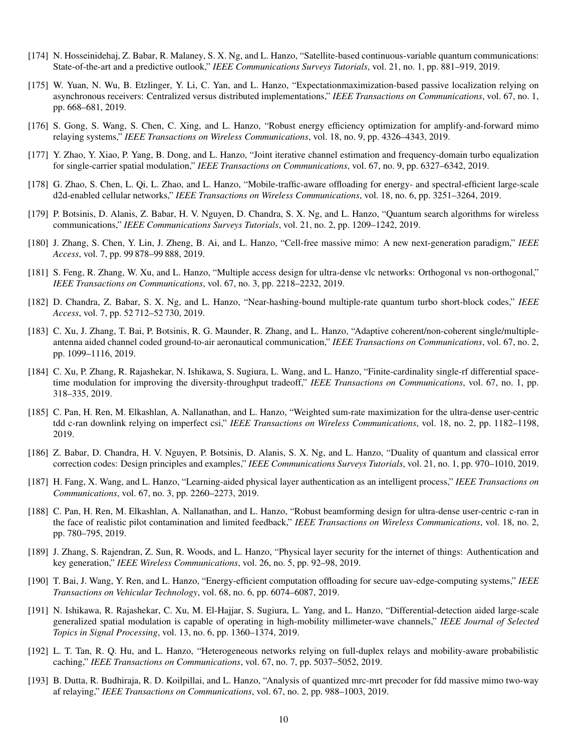- [174] N. Hosseinidehaj, Z. Babar, R. Malaney, S. X. Ng, and L. Hanzo, "Satellite-based continuous-variable quantum communications: State-of-the-art and a predictive outlook," *IEEE Communications Surveys Tutorials*, vol. 21, no. 1, pp. 881–919, 2019.
- [175] W. Yuan, N. Wu, B. Etzlinger, Y. Li, C. Yan, and L. Hanzo, "Expectationmaximization-based passive localization relying on asynchronous receivers: Centralized versus distributed implementations," *IEEE Transactions on Communications*, vol. 67, no. 1, pp. 668–681, 2019.
- [176] S. Gong, S. Wang, S. Chen, C. Xing, and L. Hanzo, "Robust energy efficiency optimization for amplify-and-forward mimo relaying systems," *IEEE Transactions on Wireless Communications*, vol. 18, no. 9, pp. 4326–4343, 2019.
- [177] Y. Zhao, Y. Xiao, P. Yang, B. Dong, and L. Hanzo, "Joint iterative channel estimation and frequency-domain turbo equalization for single-carrier spatial modulation," *IEEE Transactions on Communications*, vol. 67, no. 9, pp. 6327–6342, 2019.
- [178] G. Zhao, S. Chen, L. Qi, L. Zhao, and L. Hanzo, "Mobile-traffic-aware offloading for energy- and spectral-efficient large-scale d2d-enabled cellular networks," *IEEE Transactions on Wireless Communications*, vol. 18, no. 6, pp. 3251–3264, 2019.
- [179] P. Botsinis, D. Alanis, Z. Babar, H. V. Nguyen, D. Chandra, S. X. Ng, and L. Hanzo, "Quantum search algorithms for wireless communications," *IEEE Communications Surveys Tutorials*, vol. 21, no. 2, pp. 1209–1242, 2019.
- [180] J. Zhang, S. Chen, Y. Lin, J. Zheng, B. Ai, and L. Hanzo, "Cell-free massive mimo: A new next-generation paradigm," *IEEE Access*, vol. 7, pp. 99 878–99 888, 2019.
- [181] S. Feng, R. Zhang, W. Xu, and L. Hanzo, "Multiple access design for ultra-dense vlc networks: Orthogonal vs non-orthogonal," *IEEE Transactions on Communications*, vol. 67, no. 3, pp. 2218–2232, 2019.
- [182] D. Chandra, Z. Babar, S. X. Ng, and L. Hanzo, "Near-hashing-bound multiple-rate quantum turbo short-block codes," *IEEE Access*, vol. 7, pp. 52 712–52 730, 2019.
- [183] C. Xu, J. Zhang, T. Bai, P. Botsinis, R. G. Maunder, R. Zhang, and L. Hanzo, "Adaptive coherent/non-coherent single/multipleantenna aided channel coded ground-to-air aeronautical communication," *IEEE Transactions on Communications*, vol. 67, no. 2, pp. 1099–1116, 2019.
- [184] C. Xu, P. Zhang, R. Rajashekar, N. Ishikawa, S. Sugiura, L. Wang, and L. Hanzo, "Finite-cardinality single-rf differential spacetime modulation for improving the diversity-throughput tradeoff," *IEEE Transactions on Communications*, vol. 67, no. 1, pp. 318–335, 2019.
- [185] C. Pan, H. Ren, M. Elkashlan, A. Nallanathan, and L. Hanzo, "Weighted sum-rate maximization for the ultra-dense user-centric tdd c-ran downlink relying on imperfect csi," *IEEE Transactions on Wireless Communications*, vol. 18, no. 2, pp. 1182–1198, 2019.
- [186] Z. Babar, D. Chandra, H. V. Nguyen, P. Botsinis, D. Alanis, S. X. Ng, and L. Hanzo, "Duality of quantum and classical error correction codes: Design principles and examples," *IEEE Communications Surveys Tutorials*, vol. 21, no. 1, pp. 970–1010, 2019.
- [187] H. Fang, X. Wang, and L. Hanzo, "Learning-aided physical layer authentication as an intelligent process," *IEEE Transactions on Communications*, vol. 67, no. 3, pp. 2260–2273, 2019.
- [188] C. Pan, H. Ren, M. Elkashlan, A. Nallanathan, and L. Hanzo, "Robust beamforming design for ultra-dense user-centric c-ran in the face of realistic pilot contamination and limited feedback," *IEEE Transactions on Wireless Communications*, vol. 18, no. 2, pp. 780–795, 2019.
- [189] J. Zhang, S. Rajendran, Z. Sun, R. Woods, and L. Hanzo, "Physical layer security for the internet of things: Authentication and key generation," *IEEE Wireless Communications*, vol. 26, no. 5, pp. 92–98, 2019.
- [190] T. Bai, J. Wang, Y. Ren, and L. Hanzo, "Energy-efficient computation offloading for secure uav-edge-computing systems," *IEEE Transactions on Vehicular Technology*, vol. 68, no. 6, pp. 6074–6087, 2019.
- [191] N. Ishikawa, R. Rajashekar, C. Xu, M. El-Hajjar, S. Sugiura, L. Yang, and L. Hanzo, "Differential-detection aided large-scale generalized spatial modulation is capable of operating in high-mobility millimeter-wave channels," *IEEE Journal of Selected Topics in Signal Processing*, vol. 13, no. 6, pp. 1360–1374, 2019.
- [192] L. T. Tan, R. Q. Hu, and L. Hanzo, "Heterogeneous networks relying on full-duplex relays and mobility-aware probabilistic caching," *IEEE Transactions on Communications*, vol. 67, no. 7, pp. 5037–5052, 2019.
- [193] B. Dutta, R. Budhiraja, R. D. Koilpillai, and L. Hanzo, "Analysis of quantized mrc-mrt precoder for fdd massive mimo two-way af relaying," *IEEE Transactions on Communications*, vol. 67, no. 2, pp. 988–1003, 2019.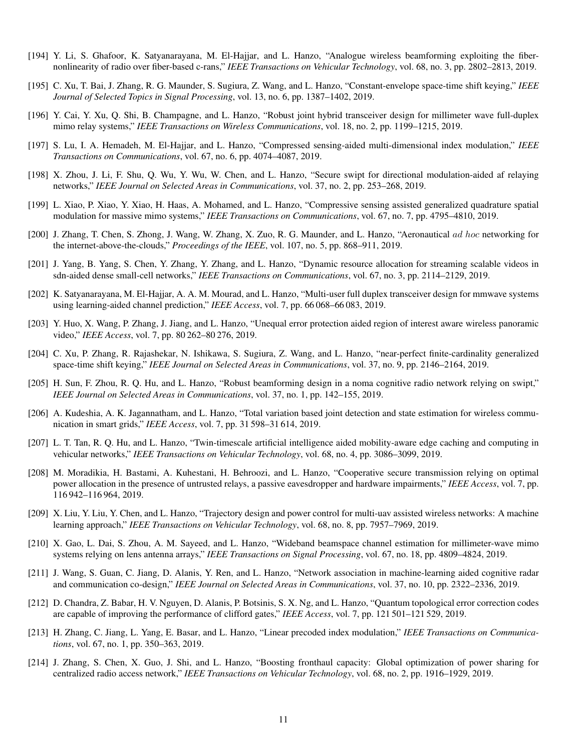- [194] Y. Li, S. Ghafoor, K. Satyanarayana, M. El-Hajjar, and L. Hanzo, "Analogue wireless beamforming exploiting the fibernonlinearity of radio over fiber-based c-rans," *IEEE Transactions on Vehicular Technology*, vol. 68, no. 3, pp. 2802–2813, 2019.
- [195] C. Xu, T. Bai, J. Zhang, R. G. Maunder, S. Sugiura, Z. Wang, and L. Hanzo, "Constant-envelope space-time shift keying," *IEEE Journal of Selected Topics in Signal Processing*, vol. 13, no. 6, pp. 1387–1402, 2019.
- [196] Y. Cai, Y. Xu, Q. Shi, B. Champagne, and L. Hanzo, "Robust joint hybrid transceiver design for millimeter wave full-duplex mimo relay systems," *IEEE Transactions on Wireless Communications*, vol. 18, no. 2, pp. 1199–1215, 2019.
- [197] S. Lu, I. A. Hemadeh, M. El-Hajjar, and L. Hanzo, "Compressed sensing-aided multi-dimensional index modulation," *IEEE Transactions on Communications*, vol. 67, no. 6, pp. 4074–4087, 2019.
- [198] X. Zhou, J. Li, F. Shu, Q. Wu, Y. Wu, W. Chen, and L. Hanzo, "Secure swipt for directional modulation-aided af relaying networks," *IEEE Journal on Selected Areas in Communications*, vol. 37, no. 2, pp. 253–268, 2019.
- [199] L. Xiao, P. Xiao, Y. Xiao, H. Haas, A. Mohamed, and L. Hanzo, "Compressive sensing assisted generalized quadrature spatial modulation for massive mimo systems," *IEEE Transactions on Communications*, vol. 67, no. 7, pp. 4795–4810, 2019.
- [200] J. Zhang, T. Chen, S. Zhong, J. Wang, W. Zhang, X. Zuo, R. G. Maunder, and L. Hanzo, "Aeronautical ad hoc networking for the internet-above-the-clouds," *Proceedings of the IEEE*, vol. 107, no. 5, pp. 868–911, 2019.
- [201] J. Yang, B. Yang, S. Chen, Y. Zhang, Y. Zhang, and L. Hanzo, "Dynamic resource allocation for streaming scalable videos in sdn-aided dense small-cell networks," *IEEE Transactions on Communications*, vol. 67, no. 3, pp. 2114–2129, 2019.
- [202] K. Satyanarayana, M. El-Hajjar, A. A. M. Mourad, and L. Hanzo, "Multi-user full duplex transceiver design for mmwave systems using learning-aided channel prediction," *IEEE Access*, vol. 7, pp. 66 068–66 083, 2019.
- [203] Y. Huo, X. Wang, P. Zhang, J. Jiang, and L. Hanzo, "Unequal error protection aided region of interest aware wireless panoramic video," *IEEE Access*, vol. 7, pp. 80 262–80 276, 2019.
- [204] C. Xu, P. Zhang, R. Rajashekar, N. Ishikawa, S. Sugiura, Z. Wang, and L. Hanzo, "near-perfect finite-cardinality generalized space-time shift keying," *IEEE Journal on Selected Areas in Communications*, vol. 37, no. 9, pp. 2146–2164, 2019.
- [205] H. Sun, F. Zhou, R. Q. Hu, and L. Hanzo, "Robust beamforming design in a noma cognitive radio network relying on swipt," *IEEE Journal on Selected Areas in Communications*, vol. 37, no. 1, pp. 142–155, 2019.
- [206] A. Kudeshia, A. K. Jagannatham, and L. Hanzo, "Total variation based joint detection and state estimation for wireless communication in smart grids," *IEEE Access*, vol. 7, pp. 31 598–31 614, 2019.
- [207] L. T. Tan, R. Q. Hu, and L. Hanzo, "Twin-timescale artificial intelligence aided mobility-aware edge caching and computing in vehicular networks," *IEEE Transactions on Vehicular Technology*, vol. 68, no. 4, pp. 3086–3099, 2019.
- [208] M. Moradikia, H. Bastami, A. Kuhestani, H. Behroozi, and L. Hanzo, "Cooperative secure transmission relying on optimal power allocation in the presence of untrusted relays, a passive eavesdropper and hardware impairments," *IEEE Access*, vol. 7, pp. 116 942–116 964, 2019.
- [209] X. Liu, Y. Liu, Y. Chen, and L. Hanzo, "Trajectory design and power control for multi-uav assisted wireless networks: A machine learning approach," *IEEE Transactions on Vehicular Technology*, vol. 68, no. 8, pp. 7957–7969, 2019.
- [210] X. Gao, L. Dai, S. Zhou, A. M. Sayeed, and L. Hanzo, "Wideband beamspace channel estimation for millimeter-wave mimo systems relying on lens antenna arrays," *IEEE Transactions on Signal Processing*, vol. 67, no. 18, pp. 4809–4824, 2019.
- [211] J. Wang, S. Guan, C. Jiang, D. Alanis, Y. Ren, and L. Hanzo, "Network association in machine-learning aided cognitive radar and communication co-design," *IEEE Journal on Selected Areas in Communications*, vol. 37, no. 10, pp. 2322–2336, 2019.
- [212] D. Chandra, Z. Babar, H. V. Nguyen, D. Alanis, P. Botsinis, S. X. Ng, and L. Hanzo, "Quantum topological error correction codes are capable of improving the performance of clifford gates," *IEEE Access*, vol. 7, pp. 121 501–121 529, 2019.
- [213] H. Zhang, C. Jiang, L. Yang, E. Basar, and L. Hanzo, "Linear precoded index modulation," *IEEE Transactions on Communications*, vol. 67, no. 1, pp. 350–363, 2019.
- [214] J. Zhang, S. Chen, X. Guo, J. Shi, and L. Hanzo, "Boosting fronthaul capacity: Global optimization of power sharing for centralized radio access network," *IEEE Transactions on Vehicular Technology*, vol. 68, no. 2, pp. 1916–1929, 2019.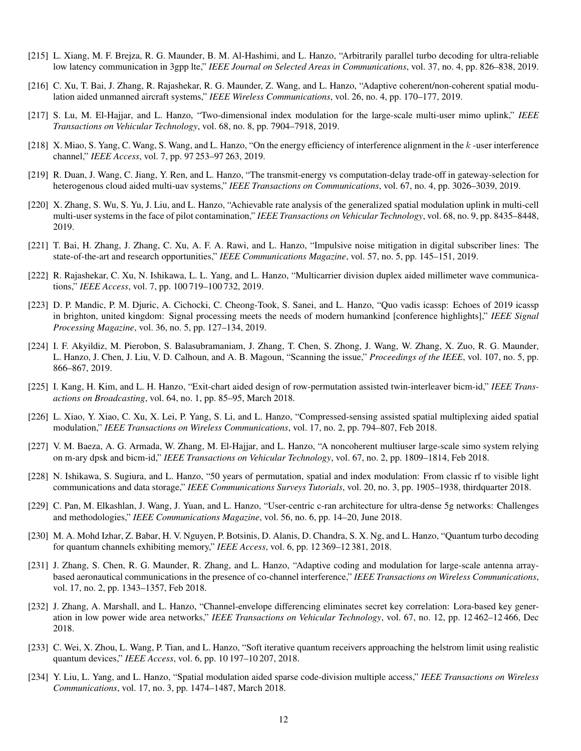- [215] L. Xiang, M. F. Brejza, R. G. Maunder, B. M. Al-Hashimi, and L. Hanzo, "Arbitrarily parallel turbo decoding for ultra-reliable low latency communication in 3gpp lte," *IEEE Journal on Selected Areas in Communications*, vol. 37, no. 4, pp. 826–838, 2019.
- [216] C. Xu, T. Bai, J. Zhang, R. Rajashekar, R. G. Maunder, Z. Wang, and L. Hanzo, "Adaptive coherent/non-coherent spatial modulation aided unmanned aircraft systems," *IEEE Wireless Communications*, vol. 26, no. 4, pp. 170–177, 2019.
- [217] S. Lu, M. El-Hajjar, and L. Hanzo, "Two-dimensional index modulation for the large-scale multi-user mimo uplink," *IEEE Transactions on Vehicular Technology*, vol. 68, no. 8, pp. 7904–7918, 2019.
- [218] X. Miao, S. Yang, C. Wang, S. Wang, and L. Hanzo, "On the energy efficiency of interference alignment in the k-user interference channel," *IEEE Access*, vol. 7, pp. 97 253–97 263, 2019.
- [219] R. Duan, J. Wang, C. Jiang, Y. Ren, and L. Hanzo, "The transmit-energy vs computation-delay trade-off in gateway-selection for heterogenous cloud aided multi-uav systems," *IEEE Transactions on Communications*, vol. 67, no. 4, pp. 3026–3039, 2019.
- [220] X. Zhang, S. Wu, S. Yu, J. Liu, and L. Hanzo, "Achievable rate analysis of the generalized spatial modulation uplink in multi-cell multi-user systems in the face of pilot contamination," *IEEE Transactions on Vehicular Technology*, vol. 68, no. 9, pp. 8435–8448, 2019.
- [221] T. Bai, H. Zhang, J. Zhang, C. Xu, A. F. A. Rawi, and L. Hanzo, "Impulsive noise mitigation in digital subscriber lines: The state-of-the-art and research opportunities," *IEEE Communications Magazine*, vol. 57, no. 5, pp. 145–151, 2019.
- [222] R. Rajashekar, C. Xu, N. Ishikawa, L. L. Yang, and L. Hanzo, "Multicarrier division duplex aided millimeter wave communications," *IEEE Access*, vol. 7, pp. 100 719–100 732, 2019.
- [223] D. P. Mandic, P. M. Djuric, A. Cichocki, C. Cheong-Took, S. Sanei, and L. Hanzo, "Quo vadis icassp: Echoes of 2019 icassp in brighton, united kingdom: Signal processing meets the needs of modern humankind [conference highlights]," *IEEE Signal Processing Magazine*, vol. 36, no. 5, pp. 127–134, 2019.
- [224] I. F. Akyildiz, M. Pierobon, S. Balasubramaniam, J. Zhang, T. Chen, S. Zhong, J. Wang, W. Zhang, X. Zuo, R. G. Maunder, L. Hanzo, J. Chen, J. Liu, V. D. Calhoun, and A. B. Magoun, "Scanning the issue," *Proceedings of the IEEE*, vol. 107, no. 5, pp. 866–867, 2019.
- [225] I. Kang, H. Kim, and L. H. Hanzo, "Exit-chart aided design of row-permutation assisted twin-interleaver bicm-id," *IEEE Transactions on Broadcasting*, vol. 64, no. 1, pp. 85–95, March 2018.
- [226] L. Xiao, Y. Xiao, C. Xu, X. Lei, P. Yang, S. Li, and L. Hanzo, "Compressed-sensing assisted spatial multiplexing aided spatial modulation," *IEEE Transactions on Wireless Communications*, vol. 17, no. 2, pp. 794–807, Feb 2018.
- [227] V. M. Baeza, A. G. Armada, W. Zhang, M. El-Hajjar, and L. Hanzo, "A noncoherent multiuser large-scale simo system relying on m-ary dpsk and bicm-id," *IEEE Transactions on Vehicular Technology*, vol. 67, no. 2, pp. 1809–1814, Feb 2018.
- [228] N. Ishikawa, S. Sugiura, and L. Hanzo, "50 years of permutation, spatial and index modulation: From classic rf to visible light communications and data storage," *IEEE Communications Surveys Tutorials*, vol. 20, no. 3, pp. 1905–1938, thirdquarter 2018.
- [229] C. Pan, M. Elkashlan, J. Wang, J. Yuan, and L. Hanzo, "User-centric c-ran architecture for ultra-dense 5g networks: Challenges and methodologies," *IEEE Communications Magazine*, vol. 56, no. 6, pp. 14–20, June 2018.
- [230] M. A. Mohd Izhar, Z. Babar, H. V. Nguyen, P. Botsinis, D. Alanis, D. Chandra, S. X. Ng, and L. Hanzo, "Quantum turbo decoding for quantum channels exhibiting memory," *IEEE Access*, vol. 6, pp. 12 369–12 381, 2018.
- [231] J. Zhang, S. Chen, R. G. Maunder, R. Zhang, and L. Hanzo, "Adaptive coding and modulation for large-scale antenna arraybased aeronautical communications in the presence of co-channel interference," *IEEE Transactions on Wireless Communications*, vol. 17, no. 2, pp. 1343–1357, Feb 2018.
- [232] J. Zhang, A. Marshall, and L. Hanzo, "Channel-envelope differencing eliminates secret key correlation: Lora-based key generation in low power wide area networks," *IEEE Transactions on Vehicular Technology*, vol. 67, no. 12, pp. 12 462–12 466, Dec 2018.
- [233] C. Wei, X. Zhou, L. Wang, P. Tian, and L. Hanzo, "Soft iterative quantum receivers approaching the helstrom limit using realistic quantum devices," *IEEE Access*, vol. 6, pp. 10 197–10 207, 2018.
- [234] Y. Liu, L. Yang, and L. Hanzo, "Spatial modulation aided sparse code-division multiple access," *IEEE Transactions on Wireless Communications*, vol. 17, no. 3, pp. 1474–1487, March 2018.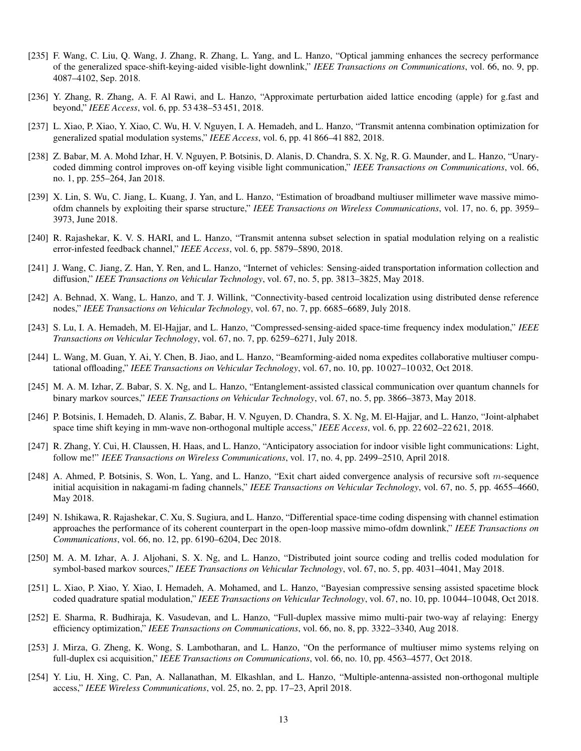- [235] F. Wang, C. Liu, Q. Wang, J. Zhang, R. Zhang, L. Yang, and L. Hanzo, "Optical jamming enhances the secrecy performance of the generalized space-shift-keying-aided visible-light downlink," *IEEE Transactions on Communications*, vol. 66, no. 9, pp. 4087–4102, Sep. 2018.
- [236] Y. Zhang, R. Zhang, A. F. Al Rawi, and L. Hanzo, "Approximate perturbation aided lattice encoding (apple) for g.fast and beyond," *IEEE Access*, vol. 6, pp. 53 438–53 451, 2018.
- [237] L. Xiao, P. Xiao, Y. Xiao, C. Wu, H. V. Nguyen, I. A. Hemadeh, and L. Hanzo, "Transmit antenna combination optimization for generalized spatial modulation systems," *IEEE Access*, vol. 6, pp. 41 866–41 882, 2018.
- [238] Z. Babar, M. A. Mohd Izhar, H. V. Nguyen, P. Botsinis, D. Alanis, D. Chandra, S. X. Ng, R. G. Maunder, and L. Hanzo, "Unarycoded dimming control improves on-off keying visible light communication," *IEEE Transactions on Communications*, vol. 66, no. 1, pp. 255–264, Jan 2018.
- [239] X. Lin, S. Wu, C. Jiang, L. Kuang, J. Yan, and L. Hanzo, "Estimation of broadband multiuser millimeter wave massive mimoofdm channels by exploiting their sparse structure," *IEEE Transactions on Wireless Communications*, vol. 17, no. 6, pp. 3959– 3973, June 2018.
- [240] R. Rajashekar, K. V. S. HARI, and L. Hanzo, "Transmit antenna subset selection in spatial modulation relying on a realistic error-infested feedback channel," *IEEE Access*, vol. 6, pp. 5879–5890, 2018.
- [241] J. Wang, C. Jiang, Z. Han, Y. Ren, and L. Hanzo, "Internet of vehicles: Sensing-aided transportation information collection and diffusion," *IEEE Transactions on Vehicular Technology*, vol. 67, no. 5, pp. 3813–3825, May 2018.
- [242] A. Behnad, X. Wang, L. Hanzo, and T. J. Willink, "Connectivity-based centroid localization using distributed dense reference nodes," *IEEE Transactions on Vehicular Technology*, vol. 67, no. 7, pp. 6685–6689, July 2018.
- [243] S. Lu, I. A. Hemadeh, M. El-Hajjar, and L. Hanzo, "Compressed-sensing-aided space-time frequency index modulation," *IEEE Transactions on Vehicular Technology*, vol. 67, no. 7, pp. 6259–6271, July 2018.
- [244] L. Wang, M. Guan, Y. Ai, Y. Chen, B. Jiao, and L. Hanzo, "Beamforming-aided noma expedites collaborative multiuser computational offloading," *IEEE Transactions on Vehicular Technology*, vol. 67, no. 10, pp. 10 027–10 032, Oct 2018.
- [245] M. A. M. Izhar, Z. Babar, S. X. Ng, and L. Hanzo, "Entanglement-assisted classical communication over quantum channels for binary markov sources," *IEEE Transactions on Vehicular Technology*, vol. 67, no. 5, pp. 3866–3873, May 2018.
- [246] P. Botsinis, I. Hemadeh, D. Alanis, Z. Babar, H. V. Nguyen, D. Chandra, S. X. Ng, M. El-Hajjar, and L. Hanzo, "Joint-alphabet space time shift keying in mm-wave non-orthogonal multiple access," *IEEE Access*, vol. 6, pp. 22 602–22 621, 2018.
- [247] R. Zhang, Y. Cui, H. Claussen, H. Haas, and L. Hanzo, "Anticipatory association for indoor visible light communications: Light, follow me!" *IEEE Transactions on Wireless Communications*, vol. 17, no. 4, pp. 2499–2510, April 2018.
- [248] A. Ahmed, P. Botsinis, S. Won, L. Yang, and L. Hanzo, "Exit chart aided convergence analysis of recursive soft m-sequence initial acquisition in nakagami-m fading channels," *IEEE Transactions on Vehicular Technology*, vol. 67, no. 5, pp. 4655–4660, May 2018.
- [249] N. Ishikawa, R. Rajashekar, C. Xu, S. Sugiura, and L. Hanzo, "Differential space-time coding dispensing with channel estimation approaches the performance of its coherent counterpart in the open-loop massive mimo-ofdm downlink," *IEEE Transactions on Communications*, vol. 66, no. 12, pp. 6190–6204, Dec 2018.
- [250] M. A. M. Izhar, A. J. Aljohani, S. X. Ng, and L. Hanzo, "Distributed joint source coding and trellis coded modulation for symbol-based markov sources," *IEEE Transactions on Vehicular Technology*, vol. 67, no. 5, pp. 4031–4041, May 2018.
- [251] L. Xiao, P. Xiao, Y. Xiao, I. Hemadeh, A. Mohamed, and L. Hanzo, "Bayesian compressive sensing assisted spacetime block coded quadrature spatial modulation," *IEEE Transactions on Vehicular Technology*, vol. 67, no. 10, pp. 10 044–10 048, Oct 2018.
- [252] E. Sharma, R. Budhiraja, K. Vasudevan, and L. Hanzo, "Full-duplex massive mimo multi-pair two-way af relaying: Energy efficiency optimization," *IEEE Transactions on Communications*, vol. 66, no. 8, pp. 3322–3340, Aug 2018.
- [253] J. Mirza, G. Zheng, K. Wong, S. Lambotharan, and L. Hanzo, "On the performance of multiuser mimo systems relying on full-duplex csi acquisition," *IEEE Transactions on Communications*, vol. 66, no. 10, pp. 4563–4577, Oct 2018.
- [254] Y. Liu, H. Xing, C. Pan, A. Nallanathan, M. Elkashlan, and L. Hanzo, "Multiple-antenna-assisted non-orthogonal multiple access," *IEEE Wireless Communications*, vol. 25, no. 2, pp. 17–23, April 2018.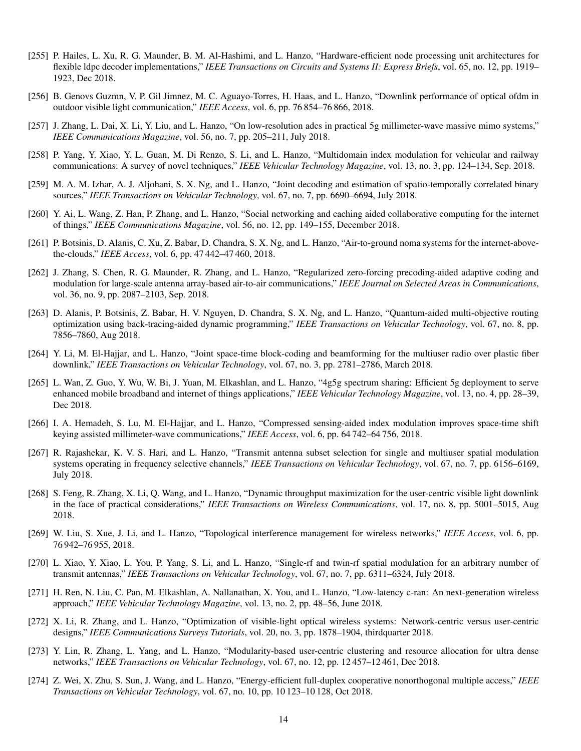- [255] P. Hailes, L. Xu, R. G. Maunder, B. M. Al-Hashimi, and L. Hanzo, "Hardware-efficient node processing unit architectures for flexible Idpc decoder implementations," *IEEE Transactions on Circuits and Systems II: Express Briefs*, vol. 65, no. 12, pp. 1919– 1923, Dec 2018.
- [256] B. Genovs Guzmn, V. P. Gil Jimnez, M. C. Aguayo-Torres, H. Haas, and L. Hanzo, "Downlink performance of optical ofdm in outdoor visible light communication," *IEEE Access*, vol. 6, pp. 76 854–76 866, 2018.
- [257] J. Zhang, L. Dai, X. Li, Y. Liu, and L. Hanzo, "On low-resolution adcs in practical 5g millimeter-wave massive mimo systems," *IEEE Communications Magazine*, vol. 56, no. 7, pp. 205–211, July 2018.
- [258] P. Yang, Y. Xiao, Y. L. Guan, M. Di Renzo, S. Li, and L. Hanzo, "Multidomain index modulation for vehicular and railway communications: A survey of novel techniques," *IEEE Vehicular Technology Magazine*, vol. 13, no. 3, pp. 124–134, Sep. 2018.
- [259] M. A. M. Izhar, A. J. Aljohani, S. X. Ng, and L. Hanzo, "Joint decoding and estimation of spatio-temporally correlated binary sources," *IEEE Transactions on Vehicular Technology*, vol. 67, no. 7, pp. 6690–6694, July 2018.
- [260] Y. Ai, L. Wang, Z. Han, P. Zhang, and L. Hanzo, "Social networking and caching aided collaborative computing for the internet of things," *IEEE Communications Magazine*, vol. 56, no. 12, pp. 149–155, December 2018.
- [261] P. Botsinis, D. Alanis, C. Xu, Z. Babar, D. Chandra, S. X. Ng, and L. Hanzo, "Air-to-ground noma systems for the internet-abovethe-clouds," *IEEE Access*, vol. 6, pp. 47 442–47 460, 2018.
- [262] J. Zhang, S. Chen, R. G. Maunder, R. Zhang, and L. Hanzo, "Regularized zero-forcing precoding-aided adaptive coding and modulation for large-scale antenna array-based air-to-air communications," *IEEE Journal on Selected Areas in Communications*, vol. 36, no. 9, pp. 2087–2103, Sep. 2018.
- [263] D. Alanis, P. Botsinis, Z. Babar, H. V. Nguyen, D. Chandra, S. X. Ng, and L. Hanzo, "Quantum-aided multi-objective routing optimization using back-tracing-aided dynamic programming," *IEEE Transactions on Vehicular Technology*, vol. 67, no. 8, pp. 7856–7860, Aug 2018.
- [264] Y. Li, M. El-Hajjar, and L. Hanzo, "Joint space-time block-coding and beamforming for the multiuser radio over plastic fiber downlink," *IEEE Transactions on Vehicular Technology*, vol. 67, no. 3, pp. 2781–2786, March 2018.
- [265] L. Wan, Z. Guo, Y. Wu, W. Bi, J. Yuan, M. Elkashlan, and L. Hanzo, "4g5g spectrum sharing: Efficient 5g deployment to serve enhanced mobile broadband and internet of things applications," *IEEE Vehicular Technology Magazine*, vol. 13, no. 4, pp. 28–39, Dec 2018.
- [266] I. A. Hemadeh, S. Lu, M. El-Hajjar, and L. Hanzo, "Compressed sensing-aided index modulation improves space-time shift keying assisted millimeter-wave communications," *IEEE Access*, vol. 6, pp. 64 742–64 756, 2018.
- [267] R. Rajashekar, K. V. S. Hari, and L. Hanzo, "Transmit antenna subset selection for single and multiuser spatial modulation systems operating in frequency selective channels," *IEEE Transactions on Vehicular Technology*, vol. 67, no. 7, pp. 6156–6169, July 2018.
- [268] S. Feng, R. Zhang, X. Li, Q. Wang, and L. Hanzo, "Dynamic throughput maximization for the user-centric visible light downlink in the face of practical considerations," *IEEE Transactions on Wireless Communications*, vol. 17, no. 8, pp. 5001–5015, Aug 2018.
- [269] W. Liu, S. Xue, J. Li, and L. Hanzo, "Topological interference management for wireless networks," *IEEE Access*, vol. 6, pp. 76 942–76 955, 2018.
- [270] L. Xiao, Y. Xiao, L. You, P. Yang, S. Li, and L. Hanzo, "Single-rf and twin-rf spatial modulation for an arbitrary number of transmit antennas," *IEEE Transactions on Vehicular Technology*, vol. 67, no. 7, pp. 6311–6324, July 2018.
- [271] H. Ren, N. Liu, C. Pan, M. Elkashlan, A. Nallanathan, X. You, and L. Hanzo, "Low-latency c-ran: An next-generation wireless approach," *IEEE Vehicular Technology Magazine*, vol. 13, no. 2, pp. 48–56, June 2018.
- [272] X. Li, R. Zhang, and L. Hanzo, "Optimization of visible-light optical wireless systems: Network-centric versus user-centric designs," *IEEE Communications Surveys Tutorials*, vol. 20, no. 3, pp. 1878–1904, thirdquarter 2018.
- [273] Y. Lin, R. Zhang, L. Yang, and L. Hanzo, "Modularity-based user-centric clustering and resource allocation for ultra dense networks," *IEEE Transactions on Vehicular Technology*, vol. 67, no. 12, pp. 12 457–12 461, Dec 2018.
- [274] Z. Wei, X. Zhu, S. Sun, J. Wang, and L. Hanzo, "Energy-efficient full-duplex cooperative nonorthogonal multiple access," *IEEE Transactions on Vehicular Technology*, vol. 67, no. 10, pp. 10 123–10 128, Oct 2018.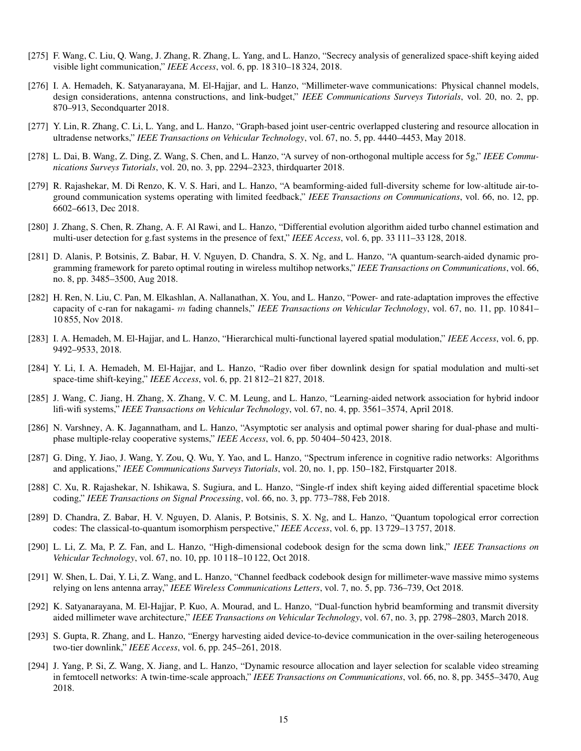- [275] F. Wang, C. Liu, Q. Wang, J. Zhang, R. Zhang, L. Yang, and L. Hanzo, "Secrecy analysis of generalized space-shift keying aided visible light communication," *IEEE Access*, vol. 6, pp. 18 310–18 324, 2018.
- [276] I. A. Hemadeh, K. Satyanarayana, M. El-Hajjar, and L. Hanzo, "Millimeter-wave communications: Physical channel models, design considerations, antenna constructions, and link-budget," *IEEE Communications Surveys Tutorials*, vol. 20, no. 2, pp. 870–913, Secondquarter 2018.
- [277] Y. Lin, R. Zhang, C. Li, L. Yang, and L. Hanzo, "Graph-based joint user-centric overlapped clustering and resource allocation in ultradense networks," *IEEE Transactions on Vehicular Technology*, vol. 67, no. 5, pp. 4440–4453, May 2018.
- [278] L. Dai, B. Wang, Z. Ding, Z. Wang, S. Chen, and L. Hanzo, "A survey of non-orthogonal multiple access for 5g," *IEEE Communications Surveys Tutorials*, vol. 20, no. 3, pp. 2294–2323, thirdquarter 2018.
- [279] R. Rajashekar, M. Di Renzo, K. V. S. Hari, and L. Hanzo, "A beamforming-aided full-diversity scheme for low-altitude air-toground communication systems operating with limited feedback," *IEEE Transactions on Communications*, vol. 66, no. 12, pp. 6602–6613, Dec 2018.
- [280] J. Zhang, S. Chen, R. Zhang, A. F. Al Rawi, and L. Hanzo, "Differential evolution algorithm aided turbo channel estimation and multi-user detection for g.fast systems in the presence of fext," *IEEE Access*, vol. 6, pp. 33 111–33 128, 2018.
- [281] D. Alanis, P. Botsinis, Z. Babar, H. V. Nguyen, D. Chandra, S. X. Ng, and L. Hanzo, "A quantum-search-aided dynamic programming framework for pareto optimal routing in wireless multihop networks," *IEEE Transactions on Communications*, vol. 66, no. 8, pp. 3485–3500, Aug 2018.
- [282] H. Ren, N. Liu, C. Pan, M. Elkashlan, A. Nallanathan, X. You, and L. Hanzo, "Power- and rate-adaptation improves the effective capacity of c-ran for nakagami- m fading channels," *IEEE Transactions on Vehicular Technology*, vol. 67, no. 11, pp. 10 841– 10 855, Nov 2018.
- [283] I. A. Hemadeh, M. El-Hajjar, and L. Hanzo, "Hierarchical multi-functional layered spatial modulation," *IEEE Access*, vol. 6, pp. 9492–9533, 2018.
- [284] Y. Li, I. A. Hemadeh, M. El-Hajjar, and L. Hanzo, "Radio over fiber downlink design for spatial modulation and multi-set space-time shift-keying," *IEEE Access*, vol. 6, pp. 21 812–21 827, 2018.
- [285] J. Wang, C. Jiang, H. Zhang, X. Zhang, V. C. M. Leung, and L. Hanzo, "Learning-aided network association for hybrid indoor lifi-wifi systems," *IEEE Transactions on Vehicular Technology*, vol. 67, no. 4, pp. 3561–3574, April 2018.
- [286] N. Varshney, A. K. Jagannatham, and L. Hanzo, "Asymptotic ser analysis and optimal power sharing for dual-phase and multiphase multiple-relay cooperative systems," *IEEE Access*, vol. 6, pp. 50 404–50 423, 2018.
- [287] G. Ding, Y. Jiao, J. Wang, Y. Zou, Q. Wu, Y. Yao, and L. Hanzo, "Spectrum inference in cognitive radio networks: Algorithms and applications," *IEEE Communications Surveys Tutorials*, vol. 20, no. 1, pp. 150–182, Firstquarter 2018.
- [288] C. Xu, R. Rajashekar, N. Ishikawa, S. Sugiura, and L. Hanzo, "Single-rf index shift keying aided differential spacetime block coding," *IEEE Transactions on Signal Processing*, vol. 66, no. 3, pp. 773–788, Feb 2018.
- [289] D. Chandra, Z. Babar, H. V. Nguyen, D. Alanis, P. Botsinis, S. X. Ng, and L. Hanzo, "Quantum topological error correction codes: The classical-to-quantum isomorphism perspective," *IEEE Access*, vol. 6, pp. 13 729–13 757, 2018.
- [290] L. Li, Z. Ma, P. Z. Fan, and L. Hanzo, "High-dimensional codebook design for the scma down link," *IEEE Transactions on Vehicular Technology*, vol. 67, no. 10, pp. 10 118–10 122, Oct 2018.
- [291] W. Shen, L. Dai, Y. Li, Z. Wang, and L. Hanzo, "Channel feedback codebook design for millimeter-wave massive mimo systems relying on lens antenna array," *IEEE Wireless Communications Letters*, vol. 7, no. 5, pp. 736–739, Oct 2018.
- [292] K. Satyanarayana, M. El-Hajjar, P. Kuo, A. Mourad, and L. Hanzo, "Dual-function hybrid beamforming and transmit diversity aided millimeter wave architecture," *IEEE Transactions on Vehicular Technology*, vol. 67, no. 3, pp. 2798–2803, March 2018.
- [293] S. Gupta, R. Zhang, and L. Hanzo, "Energy harvesting aided device-to-device communication in the over-sailing heterogeneous two-tier downlink," *IEEE Access*, vol. 6, pp. 245–261, 2018.
- [294] J. Yang, P. Si, Z. Wang, X. Jiang, and L. Hanzo, "Dynamic resource allocation and layer selection for scalable video streaming in femtocell networks: A twin-time-scale approach," *IEEE Transactions on Communications*, vol. 66, no. 8, pp. 3455–3470, Aug 2018.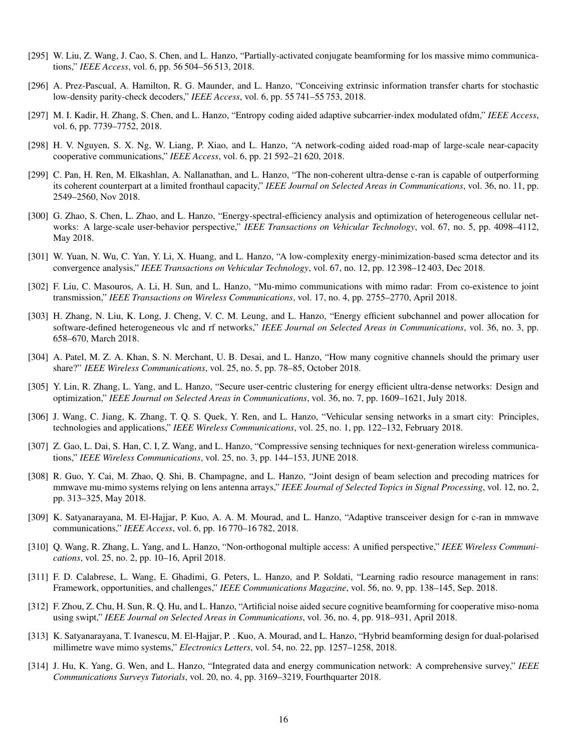- [295] W. Liu, Z. Wang, J. Cao, S. Chen, and L. Hanzo, "Partially-activated conjugate beamforming for los massive mimo communications," *IEEE Access*, vol. 6, pp. 56 504–56 513, 2018.
- [296] A. Prez-Pascual, A. Hamilton, R. G. Maunder, and L. Hanzo, "Conceiving extrinsic information transfer charts for stochastic low-density parity-check decoders," *IEEE Access*, vol. 6, pp. 55 741–55 753, 2018.
- [297] M. I. Kadir, H. Zhang, S. Chen, and L. Hanzo, "Entropy coding aided adaptive subcarrier-index modulated ofdm," *IEEE Access*, vol. 6, pp. 7739–7752, 2018.
- [298] H. V. Nguyen, S. X. Ng, W. Liang, P. Xiao, and L. Hanzo, "A network-coding aided road-map of large-scale near-capacity cooperative communications," *IEEE Access*, vol. 6, pp. 21 592–21 620, 2018.
- [299] C. Pan, H. Ren, M. Elkashlan, A. Nallanathan, and L. Hanzo, "The non-coherent ultra-dense c-ran is capable of outperforming its coherent counterpart at a limited fronthaul capacity," *IEEE Journal on Selected Areas in Communications*, vol. 36, no. 11, pp. 2549–2560, Nov 2018.
- [300] G. Zhao, S. Chen, L. Zhao, and L. Hanzo, "Energy-spectral-efficiency analysis and optimization of heterogeneous cellular networks: A large-scale user-behavior perspective," *IEEE Transactions on Vehicular Technology*, vol. 67, no. 5, pp. 4098–4112, May 2018.
- [301] W. Yuan, N. Wu, C. Yan, Y. Li, X. Huang, and L. Hanzo, "A low-complexity energy-minimization-based scma detector and its convergence analysis," *IEEE Transactions on Vehicular Technology*, vol. 67, no. 12, pp. 12 398–12 403, Dec 2018.
- [302] F. Liu, C. Masouros, A. Li, H. Sun, and L. Hanzo, "Mu-mimo communications with mimo radar: From co-existence to joint transmission," *IEEE Transactions on Wireless Communications*, vol. 17, no. 4, pp. 2755–2770, April 2018.
- [303] H. Zhang, N. Liu, K. Long, J. Cheng, V. C. M. Leung, and L. Hanzo, "Energy efficient subchannel and power allocation for software-defined heterogeneous vlc and rf networks," *IEEE Journal on Selected Areas in Communications*, vol. 36, no. 3, pp. 658–670, March 2018.
- [304] A. Patel, M. Z. A. Khan, S. N. Merchant, U. B. Desai, and L. Hanzo, "How many cognitive channels should the primary user share?" *IEEE Wireless Communications*, vol. 25, no. 5, pp. 78–85, October 2018.
- [305] Y. Lin, R. Zhang, L. Yang, and L. Hanzo, "Secure user-centric clustering for energy efficient ultra-dense networks: Design and optimization," *IEEE Journal on Selected Areas in Communications*, vol. 36, no. 7, pp. 1609–1621, July 2018.
- [306] J. Wang, C. Jiang, K. Zhang, T. Q. S. Quek, Y. Ren, and L. Hanzo, "Vehicular sensing networks in a smart city: Principles, technologies and applications," *IEEE Wireless Communications*, vol. 25, no. 1, pp. 122–132, February 2018.
- [307] Z. Gao, L. Dai, S. Han, C. I, Z. Wang, and L. Hanzo, "Compressive sensing techniques for next-generation wireless communications," *IEEE Wireless Communications*, vol. 25, no. 3, pp. 144–153, JUNE 2018.
- [308] R. Guo, Y. Cai, M. Zhao, Q. Shi, B. Champagne, and L. Hanzo, "Joint design of beam selection and precoding matrices for mmwave mu-mimo systems relying on lens antenna arrays," *IEEE Journal of Selected Topics in Signal Processing*, vol. 12, no. 2, pp. 313–325, May 2018.
- [309] K. Satyanarayana, M. El-Hajjar, P. Kuo, A. A. M. Mourad, and L. Hanzo, "Adaptive transceiver design for c-ran in mmwave communications," *IEEE Access*, vol. 6, pp. 16 770–16 782, 2018.
- [310] Q. Wang, R. Zhang, L. Yang, and L. Hanzo, "Non-orthogonal multiple access: A unified perspective," *IEEE Wireless Communications*, vol. 25, no. 2, pp. 10–16, April 2018.
- [311] F. D. Calabrese, L. Wang, E. Ghadimi, G. Peters, L. Hanzo, and P. Soldati, "Learning radio resource management in rans: Framework, opportunities, and challenges," *IEEE Communications Magazine*, vol. 56, no. 9, pp. 138–145, Sep. 2018.
- [312] F. Zhou, Z. Chu, H. Sun, R. Q. Hu, and L. Hanzo, "Artificial noise aided secure cognitive beamforming for cooperative miso-noma using swipt," *IEEE Journal on Selected Areas in Communications*, vol. 36, no. 4, pp. 918–931, April 2018.
- [313] K. Satyanarayana, T. Ivanescu, M. El-Hajjar, P. . Kuo, A. Mourad, and L. Hanzo, "Hybrid beamforming design for dual-polarised millimetre wave mimo systems," *Electronics Letters*, vol. 54, no. 22, pp. 1257–1258, 2018.
- [314] J. Hu, K. Yang, G. Wen, and L. Hanzo, "Integrated data and energy communication network: A comprehensive survey," *IEEE Communications Surveys Tutorials*, vol. 20, no. 4, pp. 3169–3219, Fourthquarter 2018.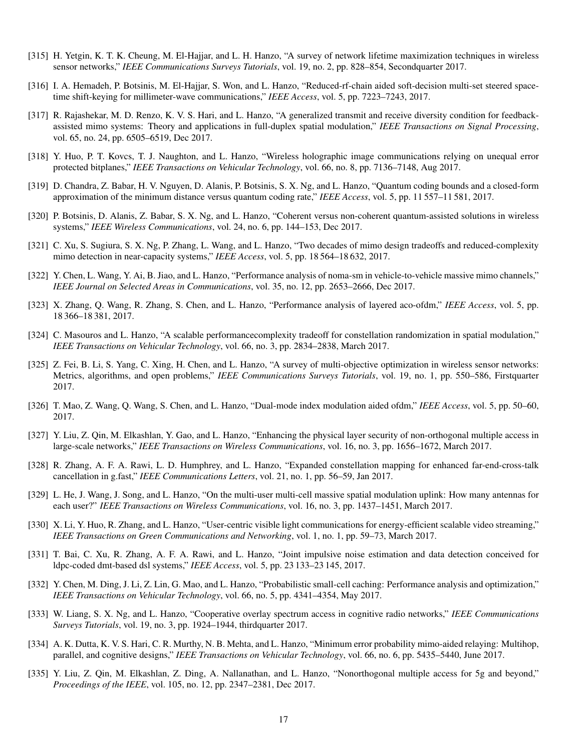- [315] H. Yetgin, K. T. K. Cheung, M. El-Hajjar, and L. H. Hanzo, "A survey of network lifetime maximization techniques in wireless sensor networks," *IEEE Communications Surveys Tutorials*, vol. 19, no. 2, pp. 828–854, Secondquarter 2017.
- [316] I. A. Hemadeh, P. Botsinis, M. El-Hajjar, S. Won, and L. Hanzo, "Reduced-rf-chain aided soft-decision multi-set steered spacetime shift-keying for millimeter-wave communications," *IEEE Access*, vol. 5, pp. 7223–7243, 2017.
- [317] R. Rajashekar, M. D. Renzo, K. V. S. Hari, and L. Hanzo, "A generalized transmit and receive diversity condition for feedbackassisted mimo systems: Theory and applications in full-duplex spatial modulation," *IEEE Transactions on Signal Processing*, vol. 65, no. 24, pp. 6505–6519, Dec 2017.
- [318] Y. Huo, P. T. Kovcs, T. J. Naughton, and L. Hanzo, "Wireless holographic image communications relying on unequal error protected bitplanes," *IEEE Transactions on Vehicular Technology*, vol. 66, no. 8, pp. 7136–7148, Aug 2017.
- [319] D. Chandra, Z. Babar, H. V. Nguyen, D. Alanis, P. Botsinis, S. X. Ng, and L. Hanzo, "Quantum coding bounds and a closed-form approximation of the minimum distance versus quantum coding rate," *IEEE Access*, vol. 5, pp. 11 557–11 581, 2017.
- [320] P. Botsinis, D. Alanis, Z. Babar, S. X. Ng, and L. Hanzo, "Coherent versus non-coherent quantum-assisted solutions in wireless systems," *IEEE Wireless Communications*, vol. 24, no. 6, pp. 144–153, Dec 2017.
- [321] C. Xu, S. Sugiura, S. X. Ng, P. Zhang, L. Wang, and L. Hanzo, "Two decades of mimo design tradeoffs and reduced-complexity mimo detection in near-capacity systems," *IEEE Access*, vol. 5, pp. 18 564–18 632, 2017.
- [322] Y. Chen, L. Wang, Y. Ai, B. Jiao, and L. Hanzo, "Performance analysis of noma-sm in vehicle-to-vehicle massive mimo channels," *IEEE Journal on Selected Areas in Communications*, vol. 35, no. 12, pp. 2653–2666, Dec 2017.
- [323] X. Zhang, Q. Wang, R. Zhang, S. Chen, and L. Hanzo, "Performance analysis of layered aco-ofdm," *IEEE Access*, vol. 5, pp. 18 366–18 381, 2017.
- [324] C. Masouros and L. Hanzo, "A scalable performancecomplexity tradeoff for constellation randomization in spatial modulation," *IEEE Transactions on Vehicular Technology*, vol. 66, no. 3, pp. 2834–2838, March 2017.
- [325] Z. Fei, B. Li, S. Yang, C. Xing, H. Chen, and L. Hanzo, "A survey of multi-objective optimization in wireless sensor networks: Metrics, algorithms, and open problems," *IEEE Communications Surveys Tutorials*, vol. 19, no. 1, pp. 550–586, Firstquarter 2017.
- [326] T. Mao, Z. Wang, Q. Wang, S. Chen, and L. Hanzo, "Dual-mode index modulation aided ofdm," *IEEE Access*, vol. 5, pp. 50–60, 2017.
- [327] Y. Liu, Z. Qin, M. Elkashlan, Y. Gao, and L. Hanzo, "Enhancing the physical layer security of non-orthogonal multiple access in large-scale networks," *IEEE Transactions on Wireless Communications*, vol. 16, no. 3, pp. 1656–1672, March 2017.
- [328] R. Zhang, A. F. A. Rawi, L. D. Humphrey, and L. Hanzo, "Expanded constellation mapping for enhanced far-end-cross-talk cancellation in g.fast," *IEEE Communications Letters*, vol. 21, no. 1, pp. 56–59, Jan 2017.
- [329] L. He, J. Wang, J. Song, and L. Hanzo, "On the multi-user multi-cell massive spatial modulation uplink: How many antennas for each user?" *IEEE Transactions on Wireless Communications*, vol. 16, no. 3, pp. 1437–1451, March 2017.
- [330] X. Li, Y. Huo, R. Zhang, and L. Hanzo, "User-centric visible light communications for energy-efficient scalable video streaming," *IEEE Transactions on Green Communications and Networking*, vol. 1, no. 1, pp. 59–73, March 2017.
- [331] T. Bai, C. Xu, R. Zhang, A. F. A. Rawi, and L. Hanzo, "Joint impulsive noise estimation and data detection conceived for ldpc-coded dmt-based dsl systems," *IEEE Access*, vol. 5, pp. 23 133–23 145, 2017.
- [332] Y. Chen, M. Ding, J. Li, Z. Lin, G. Mao, and L. Hanzo, "Probabilistic small-cell caching: Performance analysis and optimization," *IEEE Transactions on Vehicular Technology*, vol. 66, no. 5, pp. 4341–4354, May 2017.
- [333] W. Liang, S. X. Ng, and L. Hanzo, "Cooperative overlay spectrum access in cognitive radio networks," *IEEE Communications Surveys Tutorials*, vol. 19, no. 3, pp. 1924–1944, thirdquarter 2017.
- [334] A. K. Dutta, K. V. S. Hari, C. R. Murthy, N. B. Mehta, and L. Hanzo, "Minimum error probability mimo-aided relaying: Multihop, parallel, and cognitive designs," *IEEE Transactions on Vehicular Technology*, vol. 66, no. 6, pp. 5435–5440, June 2017.
- [335] Y. Liu, Z. Qin, M. Elkashlan, Z. Ding, A. Nallanathan, and L. Hanzo, "Nonorthogonal multiple access for 5g and beyond," *Proceedings of the IEEE*, vol. 105, no. 12, pp. 2347–2381, Dec 2017.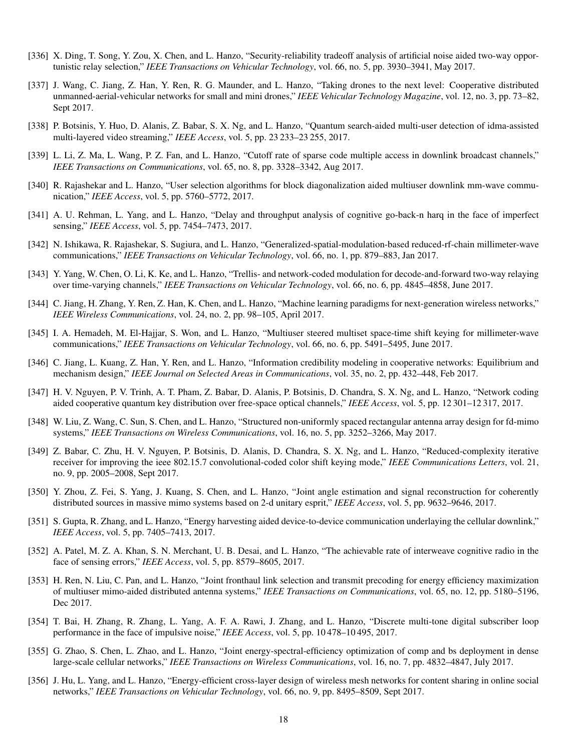- [336] X. Ding, T. Song, Y. Zou, X. Chen, and L. Hanzo, "Security-reliability tradeoff analysis of artificial noise aided two-way opportunistic relay selection," *IEEE Transactions on Vehicular Technology*, vol. 66, no. 5, pp. 3930–3941, May 2017.
- [337] J. Wang, C. Jiang, Z. Han, Y. Ren, R. G. Maunder, and L. Hanzo, "Taking drones to the next level: Cooperative distributed unmanned-aerial-vehicular networks for small and mini drones," *IEEE Vehicular Technology Magazine*, vol. 12, no. 3, pp. 73–82, Sept 2017.
- [338] P. Botsinis, Y. Huo, D. Alanis, Z. Babar, S. X. Ng, and L. Hanzo, "Quantum search-aided multi-user detection of idma-assisted multi-layered video streaming," *IEEE Access*, vol. 5, pp. 23 233–23 255, 2017.
- [339] L. Li, Z. Ma, L. Wang, P. Z. Fan, and L. Hanzo, "Cutoff rate of sparse code multiple access in downlink broadcast channels," *IEEE Transactions on Communications*, vol. 65, no. 8, pp. 3328–3342, Aug 2017.
- [340] R. Rajashekar and L. Hanzo, "User selection algorithms for block diagonalization aided multiuser downlink mm-wave communication," *IEEE Access*, vol. 5, pp. 5760–5772, 2017.
- [341] A. U. Rehman, L. Yang, and L. Hanzo, "Delay and throughput analysis of cognitive go-back-n harq in the face of imperfect sensing," *IEEE Access*, vol. 5, pp. 7454–7473, 2017.
- [342] N. Ishikawa, R. Rajashekar, S. Sugiura, and L. Hanzo, "Generalized-spatial-modulation-based reduced-rf-chain millimeter-wave communications," *IEEE Transactions on Vehicular Technology*, vol. 66, no. 1, pp. 879–883, Jan 2017.
- [343] Y. Yang, W. Chen, O. Li, K. Ke, and L. Hanzo, "Trellis- and network-coded modulation for decode-and-forward two-way relaying over time-varying channels," *IEEE Transactions on Vehicular Technology*, vol. 66, no. 6, pp. 4845–4858, June 2017.
- [344] C. Jiang, H. Zhang, Y. Ren, Z. Han, K. Chen, and L. Hanzo, "Machine learning paradigms for next-generation wireless networks," *IEEE Wireless Communications*, vol. 24, no. 2, pp. 98–105, April 2017.
- [345] I. A. Hemadeh, M. El-Hajjar, S. Won, and L. Hanzo, "Multiuser steered multiset space-time shift keying for millimeter-wave communications," *IEEE Transactions on Vehicular Technology*, vol. 66, no. 6, pp. 5491–5495, June 2017.
- [346] C. Jiang, L. Kuang, Z. Han, Y. Ren, and L. Hanzo, "Information credibility modeling in cooperative networks: Equilibrium and mechanism design," *IEEE Journal on Selected Areas in Communications*, vol. 35, no. 2, pp. 432–448, Feb 2017.
- [347] H. V. Nguyen, P. V. Trinh, A. T. Pham, Z. Babar, D. Alanis, P. Botsinis, D. Chandra, S. X. Ng, and L. Hanzo, "Network coding aided cooperative quantum key distribution over free-space optical channels," *IEEE Access*, vol. 5, pp. 12 301–12 317, 2017.
- [348] W. Liu, Z. Wang, C. Sun, S. Chen, and L. Hanzo, "Structured non-uniformly spaced rectangular antenna array design for fd-mimo systems," *IEEE Transactions on Wireless Communications*, vol. 16, no. 5, pp. 3252–3266, May 2017.
- [349] Z. Babar, C. Zhu, H. V. Nguyen, P. Botsinis, D. Alanis, D. Chandra, S. X. Ng, and L. Hanzo, "Reduced-complexity iterative receiver for improving the ieee 802.15.7 convolutional-coded color shift keying mode," *IEEE Communications Letters*, vol. 21, no. 9, pp. 2005–2008, Sept 2017.
- [350] Y. Zhou, Z. Fei, S. Yang, J. Kuang, S. Chen, and L. Hanzo, "Joint angle estimation and signal reconstruction for coherently distributed sources in massive mimo systems based on 2-d unitary esprit," *IEEE Access*, vol. 5, pp. 9632–9646, 2017.
- [351] S. Gupta, R. Zhang, and L. Hanzo, "Energy harvesting aided device-to-device communication underlaying the cellular downlink," *IEEE Access*, vol. 5, pp. 7405–7413, 2017.
- [352] A. Patel, M. Z. A. Khan, S. N. Merchant, U. B. Desai, and L. Hanzo, "The achievable rate of interweave cognitive radio in the face of sensing errors," *IEEE Access*, vol. 5, pp. 8579–8605, 2017.
- [353] H. Ren, N. Liu, C. Pan, and L. Hanzo, "Joint fronthaul link selection and transmit precoding for energy efficiency maximization of multiuser mimo-aided distributed antenna systems," *IEEE Transactions on Communications*, vol. 65, no. 12, pp. 5180–5196, Dec 2017.
- [354] T. Bai, H. Zhang, R. Zhang, L. Yang, A. F. A. Rawi, J. Zhang, and L. Hanzo, "Discrete multi-tone digital subscriber loop performance in the face of impulsive noise," *IEEE Access*, vol. 5, pp. 10 478–10 495, 2017.
- [355] G. Zhao, S. Chen, L. Zhao, and L. Hanzo, "Joint energy-spectral-efficiency optimization of comp and bs deployment in dense large-scale cellular networks," *IEEE Transactions on Wireless Communications*, vol. 16, no. 7, pp. 4832–4847, July 2017.
- [356] J. Hu, L. Yang, and L. Hanzo, "Energy-efficient cross-layer design of wireless mesh networks for content sharing in online social networks," *IEEE Transactions on Vehicular Technology*, vol. 66, no. 9, pp. 8495–8509, Sept 2017.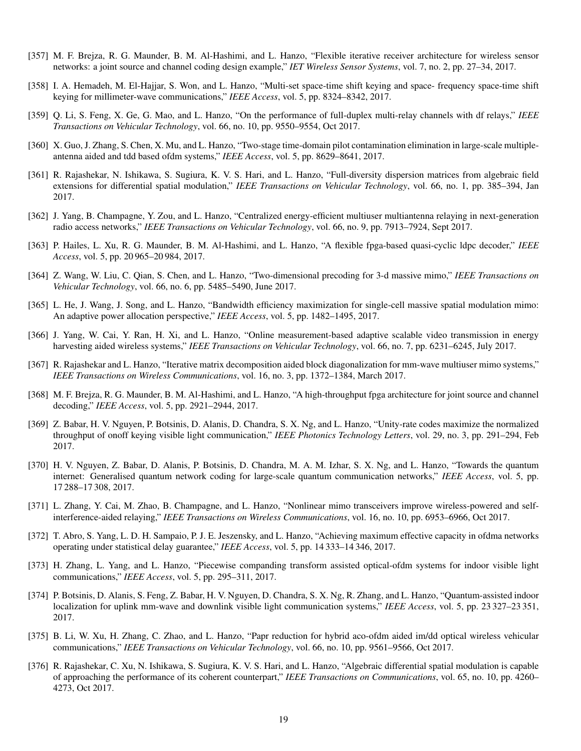- [357] M. F. Brejza, R. G. Maunder, B. M. Al-Hashimi, and L. Hanzo, "Flexible iterative receiver architecture for wireless sensor networks: a joint source and channel coding design example," *IET Wireless Sensor Systems*, vol. 7, no. 2, pp. 27–34, 2017.
- [358] I. A. Hemadeh, M. El-Hajjar, S. Won, and L. Hanzo, "Multi-set space-time shift keying and space- frequency space-time shift keying for millimeter-wave communications," *IEEE Access*, vol. 5, pp. 8324–8342, 2017.
- [359] Q. Li, S. Feng, X. Ge, G. Mao, and L. Hanzo, "On the performance of full-duplex multi-relay channels with df relays," *IEEE Transactions on Vehicular Technology*, vol. 66, no. 10, pp. 9550–9554, Oct 2017.
- [360] X. Guo, J. Zhang, S. Chen, X. Mu, and L. Hanzo, "Two-stage time-domain pilot contamination elimination in large-scale multipleantenna aided and tdd based ofdm systems," *IEEE Access*, vol. 5, pp. 8629–8641, 2017.
- [361] R. Rajashekar, N. Ishikawa, S. Sugiura, K. V. S. Hari, and L. Hanzo, "Full-diversity dispersion matrices from algebraic field extensions for differential spatial modulation," *IEEE Transactions on Vehicular Technology*, vol. 66, no. 1, pp. 385–394, Jan 2017.
- [362] J. Yang, B. Champagne, Y. Zou, and L. Hanzo, "Centralized energy-efficient multiuser multiantenna relaying in next-generation radio access networks," *IEEE Transactions on Vehicular Technology*, vol. 66, no. 9, pp. 7913–7924, Sept 2017.
- [363] P. Hailes, L. Xu, R. G. Maunder, B. M. Al-Hashimi, and L. Hanzo, "A flexible fpga-based quasi-cyclic ldpc decoder," *IEEE Access*, vol. 5, pp. 20 965–20 984, 2017.
- [364] Z. Wang, W. Liu, C. Qian, S. Chen, and L. Hanzo, "Two-dimensional precoding for 3-d massive mimo," *IEEE Transactions on Vehicular Technology*, vol. 66, no. 6, pp. 5485–5490, June 2017.
- [365] L. He, J. Wang, J. Song, and L. Hanzo, "Bandwidth efficiency maximization for single-cell massive spatial modulation mimo: An adaptive power allocation perspective," *IEEE Access*, vol. 5, pp. 1482–1495, 2017.
- [366] J. Yang, W. Cai, Y. Ran, H. Xi, and L. Hanzo, "Online measurement-based adaptive scalable video transmission in energy harvesting aided wireless systems," *IEEE Transactions on Vehicular Technology*, vol. 66, no. 7, pp. 6231–6245, July 2017.
- [367] R. Rajashekar and L. Hanzo, "Iterative matrix decomposition aided block diagonalization for mm-wave multiuser mimo systems," *IEEE Transactions on Wireless Communications*, vol. 16, no. 3, pp. 1372–1384, March 2017.
- [368] M. F. Brejza, R. G. Maunder, B. M. Al-Hashimi, and L. Hanzo, "A high-throughput fpga architecture for joint source and channel decoding," *IEEE Access*, vol. 5, pp. 2921–2944, 2017.
- [369] Z. Babar, H. V. Nguyen, P. Botsinis, D. Alanis, D. Chandra, S. X. Ng, and L. Hanzo, "Unity-rate codes maximize the normalized throughput of onoff keying visible light communication," *IEEE Photonics Technology Letters*, vol. 29, no. 3, pp. 291–294, Feb 2017.
- [370] H. V. Nguyen, Z. Babar, D. Alanis, P. Botsinis, D. Chandra, M. A. M. Izhar, S. X. Ng, and L. Hanzo, "Towards the quantum internet: Generalised quantum network coding for large-scale quantum communication networks," *IEEE Access*, vol. 5, pp. 17 288–17 308, 2017.
- [371] L. Zhang, Y. Cai, M. Zhao, B. Champagne, and L. Hanzo, "Nonlinear mimo transceivers improve wireless-powered and selfinterference-aided relaying," *IEEE Transactions on Wireless Communications*, vol. 16, no. 10, pp. 6953–6966, Oct 2017.
- [372] T. Abro, S. Yang, L. D. H. Sampaio, P. J. E. Jeszensky, and L. Hanzo, "Achieving maximum effective capacity in ofdma networks operating under statistical delay guarantee," *IEEE Access*, vol. 5, pp. 14 333–14 346, 2017.
- [373] H. Zhang, L. Yang, and L. Hanzo, "Piecewise companding transform assisted optical-ofdm systems for indoor visible light communications," *IEEE Access*, vol. 5, pp. 295–311, 2017.
- [374] P. Botsinis, D. Alanis, S. Feng, Z. Babar, H. V. Nguyen, D. Chandra, S. X. Ng, R. Zhang, and L. Hanzo, "Quantum-assisted indoor localization for uplink mm-wave and downlink visible light communication systems," *IEEE Access*, vol. 5, pp. 23 327–23 351, 2017.
- [375] B. Li, W. Xu, H. Zhang, C. Zhao, and L. Hanzo, "Papr reduction for hybrid aco-ofdm aided im/dd optical wireless vehicular communications," *IEEE Transactions on Vehicular Technology*, vol. 66, no. 10, pp. 9561–9566, Oct 2017.
- [376] R. Rajashekar, C. Xu, N. Ishikawa, S. Sugiura, K. V. S. Hari, and L. Hanzo, "Algebraic differential spatial modulation is capable of approaching the performance of its coherent counterpart," *IEEE Transactions on Communications*, vol. 65, no. 10, pp. 4260– 4273, Oct 2017.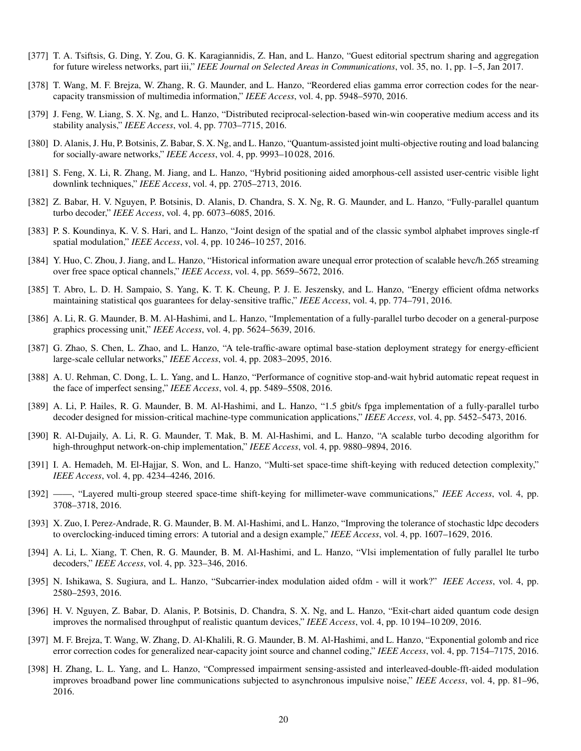- [377] T. A. Tsiftsis, G. Ding, Y. Zou, G. K. Karagiannidis, Z. Han, and L. Hanzo, "Guest editorial spectrum sharing and aggregation for future wireless networks, part iii," *IEEE Journal on Selected Areas in Communications*, vol. 35, no. 1, pp. 1–5, Jan 2017.
- [378] T. Wang, M. F. Brejza, W. Zhang, R. G. Maunder, and L. Hanzo, "Reordered elias gamma error correction codes for the nearcapacity transmission of multimedia information," *IEEE Access*, vol. 4, pp. 5948–5970, 2016.
- [379] J. Feng, W. Liang, S. X. Ng, and L. Hanzo, "Distributed reciprocal-selection-based win-win cooperative medium access and its stability analysis," *IEEE Access*, vol. 4, pp. 7703–7715, 2016.
- [380] D. Alanis, J. Hu, P. Botsinis, Z. Babar, S. X. Ng, and L. Hanzo, "Quantum-assisted joint multi-objective routing and load balancing for socially-aware networks," *IEEE Access*, vol. 4, pp. 9993–10 028, 2016.
- [381] S. Feng, X. Li, R. Zhang, M. Jiang, and L. Hanzo, "Hybrid positioning aided amorphous-cell assisted user-centric visible light downlink techniques," *IEEE Access*, vol. 4, pp. 2705–2713, 2016.
- [382] Z. Babar, H. V. Nguyen, P. Botsinis, D. Alanis, D. Chandra, S. X. Ng, R. G. Maunder, and L. Hanzo, "Fully-parallel quantum turbo decoder," *IEEE Access*, vol. 4, pp. 6073–6085, 2016.
- [383] P. S. Koundinya, K. V. S. Hari, and L. Hanzo, "Joint design of the spatial and of the classic symbol alphabet improves single-rf spatial modulation," *IEEE Access*, vol. 4, pp. 10 246–10 257, 2016.
- [384] Y. Huo, C. Zhou, J. Jiang, and L. Hanzo, "Historical information aware unequal error protection of scalable hevc/h.265 streaming over free space optical channels," *IEEE Access*, vol. 4, pp. 5659–5672, 2016.
- [385] T. Abro, L. D. H. Sampaio, S. Yang, K. T. K. Cheung, P. J. E. Jeszensky, and L. Hanzo, "Energy efficient ofdma networks maintaining statistical qos guarantees for delay-sensitive traffic," *IEEE Access*, vol. 4, pp. 774–791, 2016.
- [386] A. Li, R. G. Maunder, B. M. Al-Hashimi, and L. Hanzo, "Implementation of a fully-parallel turbo decoder on a general-purpose graphics processing unit," *IEEE Access*, vol. 4, pp. 5624–5639, 2016.
- [387] G. Zhao, S. Chen, L. Zhao, and L. Hanzo, "A tele-traffic-aware optimal base-station deployment strategy for energy-efficient large-scale cellular networks," *IEEE Access*, vol. 4, pp. 2083–2095, 2016.
- [388] A. U. Rehman, C. Dong, L. L. Yang, and L. Hanzo, "Performance of cognitive stop-and-wait hybrid automatic repeat request in the face of imperfect sensing," *IEEE Access*, vol. 4, pp. 5489–5508, 2016.
- [389] A. Li, P. Hailes, R. G. Maunder, B. M. Al-Hashimi, and L. Hanzo, "1.5 gbit/s fpga implementation of a fully-parallel turbo decoder designed for mission-critical machine-type communication applications," *IEEE Access*, vol. 4, pp. 5452–5473, 2016.
- [390] R. Al-Dujaily, A. Li, R. G. Maunder, T. Mak, B. M. Al-Hashimi, and L. Hanzo, "A scalable turbo decoding algorithm for high-throughput network-on-chip implementation," *IEEE Access*, vol. 4, pp. 9880–9894, 2016.
- [391] I. A. Hemadeh, M. El-Hajjar, S. Won, and L. Hanzo, "Multi-set space-time shift-keying with reduced detection complexity," *IEEE Access*, vol. 4, pp. 4234–4246, 2016.
- [392] ——, "Layered multi-group steered space-time shift-keying for millimeter-wave communications," *IEEE Access*, vol. 4, pp. 3708–3718, 2016.
- [393] X. Zuo, I. Perez-Andrade, R. G. Maunder, B. M. Al-Hashimi, and L. Hanzo, "Improving the tolerance of stochastic ldpc decoders to overclocking-induced timing errors: A tutorial and a design example," *IEEE Access*, vol. 4, pp. 1607–1629, 2016.
- [394] A. Li, L. Xiang, T. Chen, R. G. Maunder, B. M. Al-Hashimi, and L. Hanzo, "Vlsi implementation of fully parallel lte turbo decoders," *IEEE Access*, vol. 4, pp. 323–346, 2016.
- [395] N. Ishikawa, S. Sugiura, and L. Hanzo, "Subcarrier-index modulation aided ofdm will it work?" *IEEE Access*, vol. 4, pp. 2580–2593, 2016.
- [396] H. V. Nguyen, Z. Babar, D. Alanis, P. Botsinis, D. Chandra, S. X. Ng, and L. Hanzo, "Exit-chart aided quantum code design improves the normalised throughput of realistic quantum devices," *IEEE Access*, vol. 4, pp. 10 194–10 209, 2016.
- [397] M. F. Brejza, T. Wang, W. Zhang, D. Al-Khalili, R. G. Maunder, B. M. Al-Hashimi, and L. Hanzo, "Exponential golomb and rice error correction codes for generalized near-capacity joint source and channel coding," *IEEE Access*, vol. 4, pp. 7154–7175, 2016.
- [398] H. Zhang, L. L. Yang, and L. Hanzo, "Compressed impairment sensing-assisted and interleaved-double-fft-aided modulation improves broadband power line communications subjected to asynchronous impulsive noise," *IEEE Access*, vol. 4, pp. 81–96, 2016.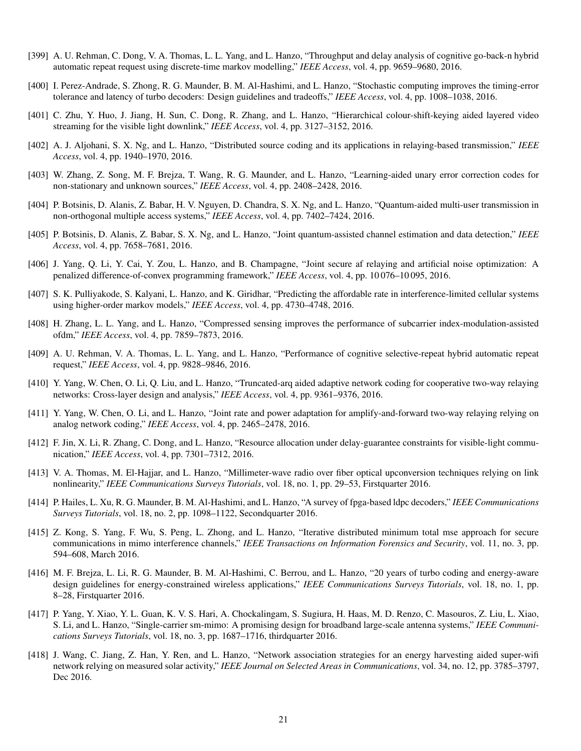- [399] A. U. Rehman, C. Dong, V. A. Thomas, L. L. Yang, and L. Hanzo, "Throughput and delay analysis of cognitive go-back-n hybrid automatic repeat request using discrete-time markov modelling," *IEEE Access*, vol. 4, pp. 9659–9680, 2016.
- [400] I. Perez-Andrade, S. Zhong, R. G. Maunder, B. M. Al-Hashimi, and L. Hanzo, "Stochastic computing improves the timing-error tolerance and latency of turbo decoders: Design guidelines and tradeoffs," *IEEE Access*, vol. 4, pp. 1008–1038, 2016.
- [401] C. Zhu, Y. Huo, J. Jiang, H. Sun, C. Dong, R. Zhang, and L. Hanzo, "Hierarchical colour-shift-keying aided layered video streaming for the visible light downlink," *IEEE Access*, vol. 4, pp. 3127–3152, 2016.
- [402] A. J. Aljohani, S. X. Ng, and L. Hanzo, "Distributed source coding and its applications in relaying-based transmission," *IEEE Access*, vol. 4, pp. 1940–1970, 2016.
- [403] W. Zhang, Z. Song, M. F. Brejza, T. Wang, R. G. Maunder, and L. Hanzo, "Learning-aided unary error correction codes for non-stationary and unknown sources," *IEEE Access*, vol. 4, pp. 2408–2428, 2016.
- [404] P. Botsinis, D. Alanis, Z. Babar, H. V. Nguyen, D. Chandra, S. X. Ng, and L. Hanzo, "Quantum-aided multi-user transmission in non-orthogonal multiple access systems," *IEEE Access*, vol. 4, pp. 7402–7424, 2016.
- [405] P. Botsinis, D. Alanis, Z. Babar, S. X. Ng, and L. Hanzo, "Joint quantum-assisted channel estimation and data detection," *IEEE Access*, vol. 4, pp. 7658–7681, 2016.
- [406] J. Yang, Q. Li, Y. Cai, Y. Zou, L. Hanzo, and B. Champagne, "Joint secure af relaying and artificial noise optimization: A penalized difference-of-convex programming framework," *IEEE Access*, vol. 4, pp. 10 076–10 095, 2016.
- [407] S. K. Pulliyakode, S. Kalyani, L. Hanzo, and K. Giridhar, "Predicting the affordable rate in interference-limited cellular systems using higher-order markov models," *IEEE Access*, vol. 4, pp. 4730–4748, 2016.
- [408] H. Zhang, L. L. Yang, and L. Hanzo, "Compressed sensing improves the performance of subcarrier index-modulation-assisted ofdm," *IEEE Access*, vol. 4, pp. 7859–7873, 2016.
- [409] A. U. Rehman, V. A. Thomas, L. L. Yang, and L. Hanzo, "Performance of cognitive selective-repeat hybrid automatic repeat request," *IEEE Access*, vol. 4, pp. 9828–9846, 2016.
- [410] Y. Yang, W. Chen, O. Li, Q. Liu, and L. Hanzo, "Truncated-arq aided adaptive network coding for cooperative two-way relaying networks: Cross-layer design and analysis," *IEEE Access*, vol. 4, pp. 9361–9376, 2016.
- [411] Y. Yang, W. Chen, O. Li, and L. Hanzo, "Joint rate and power adaptation for amplify-and-forward two-way relaying relying on analog network coding," *IEEE Access*, vol. 4, pp. 2465–2478, 2016.
- [412] F. Jin, X. Li, R. Zhang, C. Dong, and L. Hanzo, "Resource allocation under delay-guarantee constraints for visible-light communication," *IEEE Access*, vol. 4, pp. 7301–7312, 2016.
- [413] V. A. Thomas, M. El-Hajjar, and L. Hanzo, "Millimeter-wave radio over fiber optical upconversion techniques relying on link nonlinearity," *IEEE Communications Surveys Tutorials*, vol. 18, no. 1, pp. 29–53, Firstquarter 2016.
- [414] P. Hailes, L. Xu, R. G. Maunder, B. M. Al-Hashimi, and L. Hanzo, "A survey of fpga-based ldpc decoders," *IEEE Communications Surveys Tutorials*, vol. 18, no. 2, pp. 1098–1122, Secondquarter 2016.
- [415] Z. Kong, S. Yang, F. Wu, S. Peng, L. Zhong, and L. Hanzo, "Iterative distributed minimum total mse approach for secure communications in mimo interference channels," *IEEE Transactions on Information Forensics and Security*, vol. 11, no. 3, pp. 594–608, March 2016.
- [416] M. F. Brejza, L. Li, R. G. Maunder, B. M. Al-Hashimi, C. Berrou, and L. Hanzo, "20 years of turbo coding and energy-aware design guidelines for energy-constrained wireless applications," *IEEE Communications Surveys Tutorials*, vol. 18, no. 1, pp. 8–28, Firstquarter 2016.
- [417] P. Yang, Y. Xiao, Y. L. Guan, K. V. S. Hari, A. Chockalingam, S. Sugiura, H. Haas, M. D. Renzo, C. Masouros, Z. Liu, L. Xiao, S. Li, and L. Hanzo, "Single-carrier sm-mimo: A promising design for broadband large-scale antenna systems," *IEEE Communications Surveys Tutorials*, vol. 18, no. 3, pp. 1687–1716, thirdquarter 2016.
- [418] J. Wang, C. Jiang, Z. Han, Y. Ren, and L. Hanzo, "Network association strategies for an energy harvesting aided super-wifi network relying on measured solar activity," *IEEE Journal on Selected Areas in Communications*, vol. 34, no. 12, pp. 3785–3797, Dec 2016.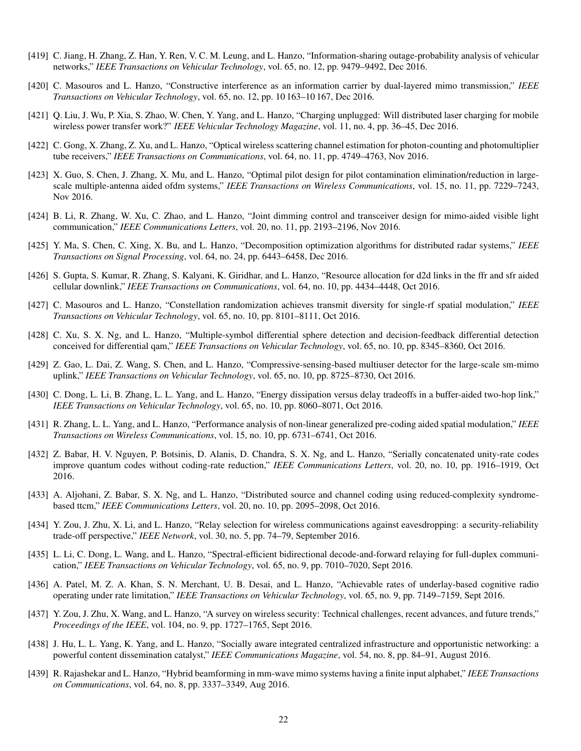- [419] C. Jiang, H. Zhang, Z. Han, Y. Ren, V. C. M. Leung, and L. Hanzo, "Information-sharing outage-probability analysis of vehicular networks," *IEEE Transactions on Vehicular Technology*, vol. 65, no. 12, pp. 9479–9492, Dec 2016.
- [420] C. Masouros and L. Hanzo, "Constructive interference as an information carrier by dual-layered mimo transmission," *IEEE Transactions on Vehicular Technology*, vol. 65, no. 12, pp. 10 163–10 167, Dec 2016.
- [421] Q. Liu, J. Wu, P. Xia, S. Zhao, W. Chen, Y. Yang, and L. Hanzo, "Charging unplugged: Will distributed laser charging for mobile wireless power transfer work?" *IEEE Vehicular Technology Magazine*, vol. 11, no. 4, pp. 36–45, Dec 2016.
- [422] C. Gong, X. Zhang, Z. Xu, and L. Hanzo, "Optical wireless scattering channel estimation for photon-counting and photomultiplier tube receivers," *IEEE Transactions on Communications*, vol. 64, no. 11, pp. 4749–4763, Nov 2016.
- [423] X. Guo, S. Chen, J. Zhang, X. Mu, and L. Hanzo, "Optimal pilot design for pilot contamination elimination/reduction in largescale multiple-antenna aided ofdm systems," *IEEE Transactions on Wireless Communications*, vol. 15, no. 11, pp. 7229–7243, Nov 2016.
- [424] B. Li, R. Zhang, W. Xu, C. Zhao, and L. Hanzo, "Joint dimming control and transceiver design for mimo-aided visible light communication," *IEEE Communications Letters*, vol. 20, no. 11, pp. 2193–2196, Nov 2016.
- [425] Y. Ma, S. Chen, C. Xing, X. Bu, and L. Hanzo, "Decomposition optimization algorithms for distributed radar systems," *IEEE Transactions on Signal Processing*, vol. 64, no. 24, pp. 6443–6458, Dec 2016.
- [426] S. Gupta, S. Kumar, R. Zhang, S. Kalyani, K. Giridhar, and L. Hanzo, "Resource allocation for d2d links in the ffr and sfr aided cellular downlink," *IEEE Transactions on Communications*, vol. 64, no. 10, pp. 4434–4448, Oct 2016.
- [427] C. Masouros and L. Hanzo, "Constellation randomization achieves transmit diversity for single-rf spatial modulation," *IEEE Transactions on Vehicular Technology*, vol. 65, no. 10, pp. 8101–8111, Oct 2016.
- [428] C. Xu, S. X. Ng, and L. Hanzo, "Multiple-symbol differential sphere detection and decision-feedback differential detection conceived for differential qam," *IEEE Transactions on Vehicular Technology*, vol. 65, no. 10, pp. 8345–8360, Oct 2016.
- [429] Z. Gao, L. Dai, Z. Wang, S. Chen, and L. Hanzo, "Compressive-sensing-based multiuser detector for the large-scale sm-mimo uplink," *IEEE Transactions on Vehicular Technology*, vol. 65, no. 10, pp. 8725–8730, Oct 2016.
- [430] C. Dong, L. Li, B. Zhang, L. L. Yang, and L. Hanzo, "Energy dissipation versus delay tradeoffs in a buffer-aided two-hop link," *IEEE Transactions on Vehicular Technology*, vol. 65, no. 10, pp. 8060–8071, Oct 2016.
- [431] R. Zhang, L. L. Yang, and L. Hanzo, "Performance analysis of non-linear generalized pre-coding aided spatial modulation," *IEEE Transactions on Wireless Communications*, vol. 15, no. 10, pp. 6731–6741, Oct 2016.
- [432] Z. Babar, H. V. Nguyen, P. Botsinis, D. Alanis, D. Chandra, S. X. Ng, and L. Hanzo, "Serially concatenated unity-rate codes improve quantum codes without coding-rate reduction," *IEEE Communications Letters*, vol. 20, no. 10, pp. 1916–1919, Oct 2016.
- [433] A. Aljohani, Z. Babar, S. X. Ng, and L. Hanzo, "Distributed source and channel coding using reduced-complexity syndromebased ttcm," *IEEE Communications Letters*, vol. 20, no. 10, pp. 2095–2098, Oct 2016.
- [434] Y. Zou, J. Zhu, X. Li, and L. Hanzo, "Relay selection for wireless communications against eavesdropping: a security-reliability trade-off perspective," *IEEE Network*, vol. 30, no. 5, pp. 74–79, September 2016.
- [435] L. Li, C. Dong, L. Wang, and L. Hanzo, "Spectral-efficient bidirectional decode-and-forward relaying for full-duplex communication," *IEEE Transactions on Vehicular Technology*, vol. 65, no. 9, pp. 7010–7020, Sept 2016.
- [436] A. Patel, M. Z. A. Khan, S. N. Merchant, U. B. Desai, and L. Hanzo, "Achievable rates of underlay-based cognitive radio operating under rate limitation," *IEEE Transactions on Vehicular Technology*, vol. 65, no. 9, pp. 7149–7159, Sept 2016.
- [437] Y. Zou, J. Zhu, X. Wang, and L. Hanzo, "A survey on wireless security: Technical challenges, recent advances, and future trends," *Proceedings of the IEEE*, vol. 104, no. 9, pp. 1727–1765, Sept 2016.
- [438] J. Hu, L. L. Yang, K. Yang, and L. Hanzo, "Socially aware integrated centralized infrastructure and opportunistic networking: a powerful content dissemination catalyst," *IEEE Communications Magazine*, vol. 54, no. 8, pp. 84–91, August 2016.
- [439] R. Rajashekar and L. Hanzo, "Hybrid beamforming in mm-wave mimo systems having a finite input alphabet," *IEEE Transactions on Communications*, vol. 64, no. 8, pp. 3337–3349, Aug 2016.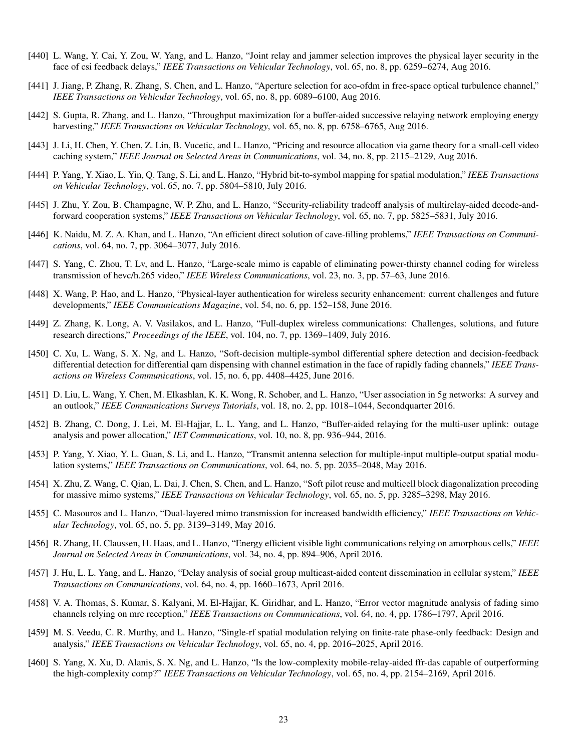- [440] L. Wang, Y. Cai, Y. Zou, W. Yang, and L. Hanzo, "Joint relay and jammer selection improves the physical layer security in the face of csi feedback delays," *IEEE Transactions on Vehicular Technology*, vol. 65, no. 8, pp. 6259–6274, Aug 2016.
- [441] J. Jiang, P. Zhang, R. Zhang, S. Chen, and L. Hanzo, "Aperture selection for aco-ofdm in free-space optical turbulence channel," *IEEE Transactions on Vehicular Technology*, vol. 65, no. 8, pp. 6089–6100, Aug 2016.
- [442] S. Gupta, R. Zhang, and L. Hanzo, "Throughput maximization for a buffer-aided successive relaying network employing energy harvesting," *IEEE Transactions on Vehicular Technology*, vol. 65, no. 8, pp. 6758–6765, Aug 2016.
- [443] J. Li, H. Chen, Y. Chen, Z. Lin, B. Vucetic, and L. Hanzo, "Pricing and resource allocation via game theory for a small-cell video caching system," *IEEE Journal on Selected Areas in Communications*, vol. 34, no. 8, pp. 2115–2129, Aug 2016.
- [444] P. Yang, Y. Xiao, L. Yin, Q. Tang, S. Li, and L. Hanzo, "Hybrid bit-to-symbol mapping for spatial modulation," *IEEE Transactions on Vehicular Technology*, vol. 65, no. 7, pp. 5804–5810, July 2016.
- [445] J. Zhu, Y. Zou, B. Champagne, W. P. Zhu, and L. Hanzo, "Security-reliability tradeoff analysis of multirelay-aided decode-andforward cooperation systems," *IEEE Transactions on Vehicular Technology*, vol. 65, no. 7, pp. 5825–5831, July 2016.
- [446] K. Naidu, M. Z. A. Khan, and L. Hanzo, "An efficient direct solution of cave-filling problems," *IEEE Transactions on Communications*, vol. 64, no. 7, pp. 3064–3077, July 2016.
- [447] S. Yang, C. Zhou, T. Lv, and L. Hanzo, "Large-scale mimo is capable of eliminating power-thirsty channel coding for wireless transmission of hevc/h.265 video," *IEEE Wireless Communications*, vol. 23, no. 3, pp. 57–63, June 2016.
- [448] X. Wang, P. Hao, and L. Hanzo, "Physical-layer authentication for wireless security enhancement: current challenges and future developments," *IEEE Communications Magazine*, vol. 54, no. 6, pp. 152–158, June 2016.
- [449] Z. Zhang, K. Long, A. V. Vasilakos, and L. Hanzo, "Full-duplex wireless communications: Challenges, solutions, and future research directions," *Proceedings of the IEEE*, vol. 104, no. 7, pp. 1369–1409, July 2016.
- [450] C. Xu, L. Wang, S. X. Ng, and L. Hanzo, "Soft-decision multiple-symbol differential sphere detection and decision-feedback differential detection for differential qam dispensing with channel estimation in the face of rapidly fading channels," *IEEE Transactions on Wireless Communications*, vol. 15, no. 6, pp. 4408–4425, June 2016.
- [451] D. Liu, L. Wang, Y. Chen, M. Elkashlan, K. K. Wong, R. Schober, and L. Hanzo, "User association in 5g networks: A survey and an outlook," *IEEE Communications Surveys Tutorials*, vol. 18, no. 2, pp. 1018–1044, Secondquarter 2016.
- [452] B. Zhang, C. Dong, J. Lei, M. El-Hajjar, L. L. Yang, and L. Hanzo, "Buffer-aided relaying for the multi-user uplink: outage analysis and power allocation," *IET Communications*, vol. 10, no. 8, pp. 936–944, 2016.
- [453] P. Yang, Y. Xiao, Y. L. Guan, S. Li, and L. Hanzo, "Transmit antenna selection for multiple-input multiple-output spatial modulation systems," *IEEE Transactions on Communications*, vol. 64, no. 5, pp. 2035–2048, May 2016.
- [454] X. Zhu, Z. Wang, C. Qian, L. Dai, J. Chen, S. Chen, and L. Hanzo, "Soft pilot reuse and multicell block diagonalization precoding for massive mimo systems," *IEEE Transactions on Vehicular Technology*, vol. 65, no. 5, pp. 3285–3298, May 2016.
- [455] C. Masouros and L. Hanzo, "Dual-layered mimo transmission for increased bandwidth efficiency," *IEEE Transactions on Vehicular Technology*, vol. 65, no. 5, pp. 3139–3149, May 2016.
- [456] R. Zhang, H. Claussen, H. Haas, and L. Hanzo, "Energy efficient visible light communications relying on amorphous cells," *IEEE Journal on Selected Areas in Communications*, vol. 34, no. 4, pp. 894–906, April 2016.
- [457] J. Hu, L. L. Yang, and L. Hanzo, "Delay analysis of social group multicast-aided content dissemination in cellular system," *IEEE Transactions on Communications*, vol. 64, no. 4, pp. 1660–1673, April 2016.
- [458] V. A. Thomas, S. Kumar, S. Kalyani, M. El-Hajjar, K. Giridhar, and L. Hanzo, "Error vector magnitude analysis of fading simo channels relying on mrc reception," *IEEE Transactions on Communications*, vol. 64, no. 4, pp. 1786–1797, April 2016.
- [459] M. S. Veedu, C. R. Murthy, and L. Hanzo, "Single-rf spatial modulation relying on finite-rate phase-only feedback: Design and analysis," *IEEE Transactions on Vehicular Technology*, vol. 65, no. 4, pp. 2016–2025, April 2016.
- [460] S. Yang, X. Xu, D. Alanis, S. X. Ng, and L. Hanzo, "Is the low-complexity mobile-relay-aided ffr-das capable of outperforming the high-complexity comp?" *IEEE Transactions on Vehicular Technology*, vol. 65, no. 4, pp. 2154–2169, April 2016.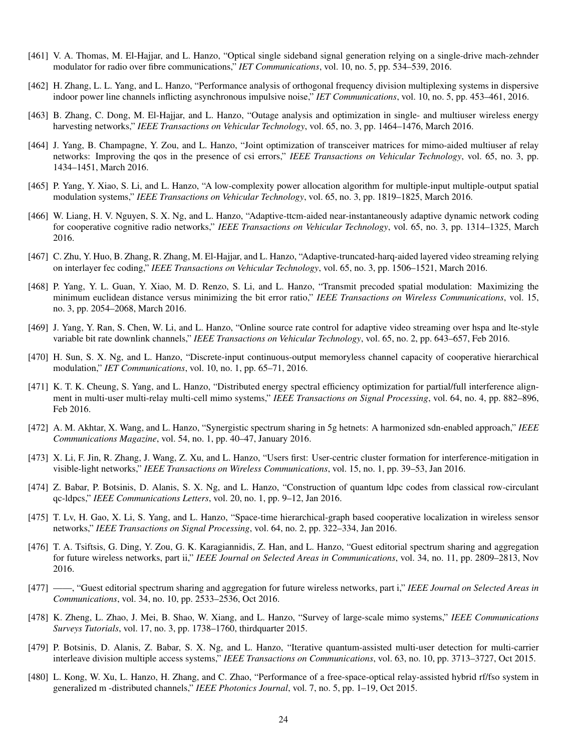- [461] V. A. Thomas, M. El-Hajjar, and L. Hanzo, "Optical single sideband signal generation relying on a single-drive mach-zehnder modulator for radio over fibre communications," *IET Communications*, vol. 10, no. 5, pp. 534–539, 2016.
- [462] H. Zhang, L. L. Yang, and L. Hanzo, "Performance analysis of orthogonal frequency division multiplexing systems in dispersive indoor power line channels inflicting asynchronous impulsive noise," *IET Communications*, vol. 10, no. 5, pp. 453–461, 2016.
- [463] B. Zhang, C. Dong, M. El-Hajjar, and L. Hanzo, "Outage analysis and optimization in single- and multiuser wireless energy harvesting networks," *IEEE Transactions on Vehicular Technology*, vol. 65, no. 3, pp. 1464–1476, March 2016.
- [464] J. Yang, B. Champagne, Y. Zou, and L. Hanzo, "Joint optimization of transceiver matrices for mimo-aided multiuser af relay networks: Improving the qos in the presence of csi errors," *IEEE Transactions on Vehicular Technology*, vol. 65, no. 3, pp. 1434–1451, March 2016.
- [465] P. Yang, Y. Xiao, S. Li, and L. Hanzo, "A low-complexity power allocation algorithm for multiple-input multiple-output spatial modulation systems," *IEEE Transactions on Vehicular Technology*, vol. 65, no. 3, pp. 1819–1825, March 2016.
- [466] W. Liang, H. V. Nguyen, S. X. Ng, and L. Hanzo, "Adaptive-ttcm-aided near-instantaneously adaptive dynamic network coding for cooperative cognitive radio networks," *IEEE Transactions on Vehicular Technology*, vol. 65, no. 3, pp. 1314–1325, March 2016.
- [467] C. Zhu, Y. Huo, B. Zhang, R. Zhang, M. El-Hajjar, and L. Hanzo, "Adaptive-truncated-harq-aided layered video streaming relying on interlayer fec coding," *IEEE Transactions on Vehicular Technology*, vol. 65, no. 3, pp. 1506–1521, March 2016.
- [468] P. Yang, Y. L. Guan, Y. Xiao, M. D. Renzo, S. Li, and L. Hanzo, "Transmit precoded spatial modulation: Maximizing the minimum euclidean distance versus minimizing the bit error ratio," *IEEE Transactions on Wireless Communications*, vol. 15, no. 3, pp. 2054–2068, March 2016.
- [469] J. Yang, Y. Ran, S. Chen, W. Li, and L. Hanzo, "Online source rate control for adaptive video streaming over hspa and lte-style variable bit rate downlink channels," *IEEE Transactions on Vehicular Technology*, vol. 65, no. 2, pp. 643–657, Feb 2016.
- [470] H. Sun, S. X. Ng, and L. Hanzo, "Discrete-input continuous-output memoryless channel capacity of cooperative hierarchical modulation," *IET Communications*, vol. 10, no. 1, pp. 65–71, 2016.
- [471] K. T. K. Cheung, S. Yang, and L. Hanzo, "Distributed energy spectral efficiency optimization for partial/full interference alignment in multi-user multi-relay multi-cell mimo systems," *IEEE Transactions on Signal Processing*, vol. 64, no. 4, pp. 882–896, Feb 2016.
- [472] A. M. Akhtar, X. Wang, and L. Hanzo, "Synergistic spectrum sharing in 5g hetnets: A harmonized sdn-enabled approach," *IEEE Communications Magazine*, vol. 54, no. 1, pp. 40–47, January 2016.
- [473] X. Li, F. Jin, R. Zhang, J. Wang, Z. Xu, and L. Hanzo, "Users first: User-centric cluster formation for interference-mitigation in visible-light networks," *IEEE Transactions on Wireless Communications*, vol. 15, no. 1, pp. 39–53, Jan 2016.
- [474] Z. Babar, P. Botsinis, D. Alanis, S. X. Ng, and L. Hanzo, "Construction of quantum ldpc codes from classical row-circulant qc-ldpcs," *IEEE Communications Letters*, vol. 20, no. 1, pp. 9–12, Jan 2016.
- [475] T. Lv, H. Gao, X. Li, S. Yang, and L. Hanzo, "Space-time hierarchical-graph based cooperative localization in wireless sensor networks," *IEEE Transactions on Signal Processing*, vol. 64, no. 2, pp. 322–334, Jan 2016.
- [476] T. A. Tsiftsis, G. Ding, Y. Zou, G. K. Karagiannidis, Z. Han, and L. Hanzo, "Guest editorial spectrum sharing and aggregation for future wireless networks, part ii," *IEEE Journal on Selected Areas in Communications*, vol. 34, no. 11, pp. 2809–2813, Nov 2016.
- [477] ——, "Guest editorial spectrum sharing and aggregation for future wireless networks, part i," *IEEE Journal on Selected Areas in Communications*, vol. 34, no. 10, pp. 2533–2536, Oct 2016.
- [478] K. Zheng, L. Zhao, J. Mei, B. Shao, W. Xiang, and L. Hanzo, "Survey of large-scale mimo systems," *IEEE Communications Surveys Tutorials*, vol. 17, no. 3, pp. 1738–1760, thirdquarter 2015.
- [479] P. Botsinis, D. Alanis, Z. Babar, S. X. Ng, and L. Hanzo, "Iterative quantum-assisted multi-user detection for multi-carrier interleave division multiple access systems," *IEEE Transactions on Communications*, vol. 63, no. 10, pp. 3713–3727, Oct 2015.
- [480] L. Kong, W. Xu, L. Hanzo, H. Zhang, and C. Zhao, "Performance of a free-space-optical relay-assisted hybrid rf/fso system in generalized m -distributed channels," *IEEE Photonics Journal*, vol. 7, no. 5, pp. 1–19, Oct 2015.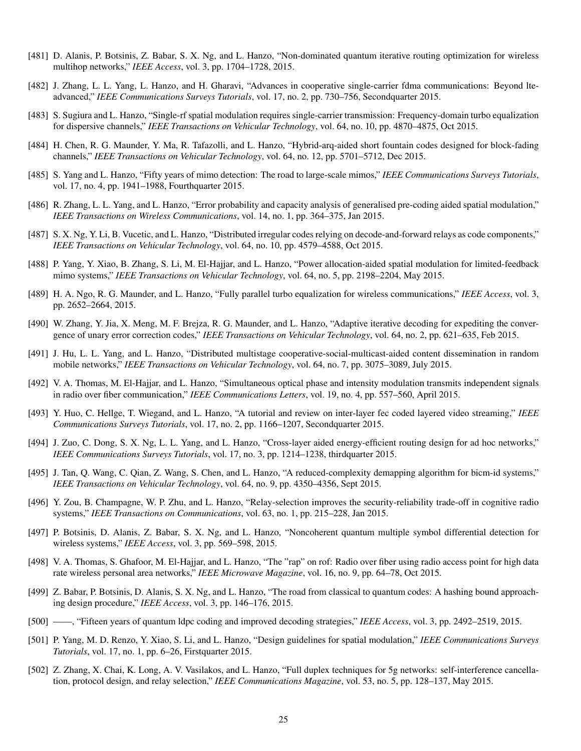- [481] D. Alanis, P. Botsinis, Z. Babar, S. X. Ng, and L. Hanzo, "Non-dominated quantum iterative routing optimization for wireless multihop networks," *IEEE Access*, vol. 3, pp. 1704–1728, 2015.
- [482] J. Zhang, L. L. Yang, L. Hanzo, and H. Gharavi, "Advances in cooperative single-carrier fdma communications: Beyond lteadvanced," *IEEE Communications Surveys Tutorials*, vol. 17, no. 2, pp. 730–756, Secondquarter 2015.
- [483] S. Sugiura and L. Hanzo, "Single-rf spatial modulation requires single-carrier transmission: Frequency-domain turbo equalization for dispersive channels," *IEEE Transactions on Vehicular Technology*, vol. 64, no. 10, pp. 4870–4875, Oct 2015.
- [484] H. Chen, R. G. Maunder, Y. Ma, R. Tafazolli, and L. Hanzo, "Hybrid-arq-aided short fountain codes designed for block-fading channels," *IEEE Transactions on Vehicular Technology*, vol. 64, no. 12, pp. 5701–5712, Dec 2015.
- [485] S. Yang and L. Hanzo, "Fifty years of mimo detection: The road to large-scale mimos," *IEEE Communications Surveys Tutorials*, vol. 17, no. 4, pp. 1941–1988, Fourthquarter 2015.
- [486] R. Zhang, L. L. Yang, and L. Hanzo, "Error probability and capacity analysis of generalised pre-coding aided spatial modulation," *IEEE Transactions on Wireless Communications*, vol. 14, no. 1, pp. 364–375, Jan 2015.
- [487] S. X. Ng, Y. Li, B. Vucetic, and L. Hanzo, "Distributed irregular codes relying on decode-and-forward relays as code components," *IEEE Transactions on Vehicular Technology*, vol. 64, no. 10, pp. 4579–4588, Oct 2015.
- [488] P. Yang, Y. Xiao, B. Zhang, S. Li, M. El-Hajjar, and L. Hanzo, "Power allocation-aided spatial modulation for limited-feedback mimo systems," *IEEE Transactions on Vehicular Technology*, vol. 64, no. 5, pp. 2198–2204, May 2015.
- [489] H. A. Ngo, R. G. Maunder, and L. Hanzo, "Fully parallel turbo equalization for wireless communications," *IEEE Access*, vol. 3, pp. 2652–2664, 2015.
- [490] W. Zhang, Y. Jia, X. Meng, M. F. Brejza, R. G. Maunder, and L. Hanzo, "Adaptive iterative decoding for expediting the convergence of unary error correction codes," *IEEE Transactions on Vehicular Technology*, vol. 64, no. 2, pp. 621–635, Feb 2015.
- [491] J. Hu, L. L. Yang, and L. Hanzo, "Distributed multistage cooperative-social-multicast-aided content dissemination in random mobile networks," *IEEE Transactions on Vehicular Technology*, vol. 64, no. 7, pp. 3075–3089, July 2015.
- [492] V. A. Thomas, M. El-Hajjar, and L. Hanzo, "Simultaneous optical phase and intensity modulation transmits independent signals in radio over fiber communication," *IEEE Communications Letters*, vol. 19, no. 4, pp. 557–560, April 2015.
- [493] Y. Huo, C. Hellge, T. Wiegand, and L. Hanzo, "A tutorial and review on inter-layer fec coded layered video streaming," *IEEE Communications Surveys Tutorials*, vol. 17, no. 2, pp. 1166–1207, Secondquarter 2015.
- [494] J. Zuo, C. Dong, S. X. Ng, L. L. Yang, and L. Hanzo, "Cross-layer aided energy-efficient routing design for ad hoc networks," *IEEE Communications Surveys Tutorials*, vol. 17, no. 3, pp. 1214–1238, thirdquarter 2015.
- [495] J. Tan, Q. Wang, C. Qian, Z. Wang, S. Chen, and L. Hanzo, "A reduced-complexity demapping algorithm for bicm-id systems," *IEEE Transactions on Vehicular Technology*, vol. 64, no. 9, pp. 4350–4356, Sept 2015.
- [496] Y. Zou, B. Champagne, W. P. Zhu, and L. Hanzo, "Relay-selection improves the security-reliability trade-off in cognitive radio systems," *IEEE Transactions on Communications*, vol. 63, no. 1, pp. 215–228, Jan 2015.
- [497] P. Botsinis, D. Alanis, Z. Babar, S. X. Ng, and L. Hanzo, "Noncoherent quantum multiple symbol differential detection for wireless systems," *IEEE Access*, vol. 3, pp. 569–598, 2015.
- [498] V. A. Thomas, S. Ghafoor, M. El-Hajjar, and L. Hanzo, "The "rap" on rof: Radio over fiber using radio access point for high data rate wireless personal area networks," *IEEE Microwave Magazine*, vol. 16, no. 9, pp. 64–78, Oct 2015.
- [499] Z. Babar, P. Botsinis, D. Alanis, S. X. Ng, and L. Hanzo, "The road from classical to quantum codes: A hashing bound approaching design procedure," *IEEE Access*, vol. 3, pp. 146–176, 2015.
- [500] ——, "Fifteen years of quantum ldpc coding and improved decoding strategies," *IEEE Access*, vol. 3, pp. 2492–2519, 2015.
- [501] P. Yang, M. D. Renzo, Y. Xiao, S. Li, and L. Hanzo, "Design guidelines for spatial modulation," *IEEE Communications Surveys Tutorials*, vol. 17, no. 1, pp. 6–26, Firstquarter 2015.
- [502] Z. Zhang, X. Chai, K. Long, A. V. Vasilakos, and L. Hanzo, "Full duplex techniques for 5g networks: self-interference cancellation, protocol design, and relay selection," *IEEE Communications Magazine*, vol. 53, no. 5, pp. 128–137, May 2015.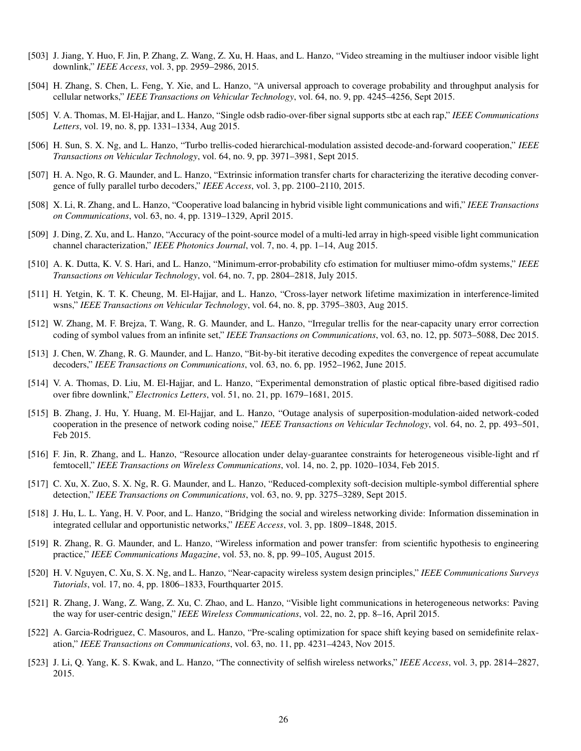- [503] J. Jiang, Y. Huo, F. Jin, P. Zhang, Z. Wang, Z. Xu, H. Haas, and L. Hanzo, "Video streaming in the multiuser indoor visible light downlink," *IEEE Access*, vol. 3, pp. 2959–2986, 2015.
- [504] H. Zhang, S. Chen, L. Feng, Y. Xie, and L. Hanzo, "A universal approach to coverage probability and throughput analysis for cellular networks," *IEEE Transactions on Vehicular Technology*, vol. 64, no. 9, pp. 4245–4256, Sept 2015.
- [505] V. A. Thomas, M. El-Hajjar, and L. Hanzo, "Single odsb radio-over-fiber signal supports stbc at each rap," *IEEE Communications Letters*, vol. 19, no. 8, pp. 1331–1334, Aug 2015.
- [506] H. Sun, S. X. Ng, and L. Hanzo, "Turbo trellis-coded hierarchical-modulation assisted decode-and-forward cooperation," *IEEE Transactions on Vehicular Technology*, vol. 64, no. 9, pp. 3971–3981, Sept 2015.
- [507] H. A. Ngo, R. G. Maunder, and L. Hanzo, "Extrinsic information transfer charts for characterizing the iterative decoding convergence of fully parallel turbo decoders," *IEEE Access*, vol. 3, pp. 2100–2110, 2015.
- [508] X. Li, R. Zhang, and L. Hanzo, "Cooperative load balancing in hybrid visible light communications and wifi," *IEEE Transactions on Communications*, vol. 63, no. 4, pp. 1319–1329, April 2015.
- [509] J. Ding, Z. Xu, and L. Hanzo, "Accuracy of the point-source model of a multi-led array in high-speed visible light communication channel characterization," *IEEE Photonics Journal*, vol. 7, no. 4, pp. 1–14, Aug 2015.
- [510] A. K. Dutta, K. V. S. Hari, and L. Hanzo, "Minimum-error-probability cfo estimation for multiuser mimo-ofdm systems," *IEEE Transactions on Vehicular Technology*, vol. 64, no. 7, pp. 2804–2818, July 2015.
- [511] H. Yetgin, K. T. K. Cheung, M. El-Hajjar, and L. Hanzo, "Cross-layer network lifetime maximization in interference-limited wsns," *IEEE Transactions on Vehicular Technology*, vol. 64, no. 8, pp. 3795–3803, Aug 2015.
- [512] W. Zhang, M. F. Brejza, T. Wang, R. G. Maunder, and L. Hanzo, "Irregular trellis for the near-capacity unary error correction coding of symbol values from an infinite set," *IEEE Transactions on Communications*, vol. 63, no. 12, pp. 5073–5088, Dec 2015.
- [513] J. Chen, W. Zhang, R. G. Maunder, and L. Hanzo, "Bit-by-bit iterative decoding expedites the convergence of repeat accumulate decoders," *IEEE Transactions on Communications*, vol. 63, no. 6, pp. 1952–1962, June 2015.
- [514] V. A. Thomas, D. Liu, M. El-Hajjar, and L. Hanzo, "Experimental demonstration of plastic optical fibre-based digitised radio over fibre downlink," *Electronics Letters*, vol. 51, no. 21, pp. 1679–1681, 2015.
- [515] B. Zhang, J. Hu, Y. Huang, M. El-Hajjar, and L. Hanzo, "Outage analysis of superposition-modulation-aided network-coded cooperation in the presence of network coding noise," *IEEE Transactions on Vehicular Technology*, vol. 64, no. 2, pp. 493–501, Feb 2015.
- [516] F. Jin, R. Zhang, and L. Hanzo, "Resource allocation under delay-guarantee constraints for heterogeneous visible-light and rf femtocell," *IEEE Transactions on Wireless Communications*, vol. 14, no. 2, pp. 1020–1034, Feb 2015.
- [517] C. Xu, X. Zuo, S. X. Ng, R. G. Maunder, and L. Hanzo, "Reduced-complexity soft-decision multiple-symbol differential sphere detection," *IEEE Transactions on Communications*, vol. 63, no. 9, pp. 3275–3289, Sept 2015.
- [518] J. Hu, L. L. Yang, H. V. Poor, and L. Hanzo, "Bridging the social and wireless networking divide: Information dissemination in integrated cellular and opportunistic networks," *IEEE Access*, vol. 3, pp. 1809–1848, 2015.
- [519] R. Zhang, R. G. Maunder, and L. Hanzo, "Wireless information and power transfer: from scientific hypothesis to engineering practice," *IEEE Communications Magazine*, vol. 53, no. 8, pp. 99–105, August 2015.
- [520] H. V. Nguyen, C. Xu, S. X. Ng, and L. Hanzo, "Near-capacity wireless system design principles," *IEEE Communications Surveys Tutorials*, vol. 17, no. 4, pp. 1806–1833, Fourthquarter 2015.
- [521] R. Zhang, J. Wang, Z. Wang, Z. Xu, C. Zhao, and L. Hanzo, "Visible light communications in heterogeneous networks: Paving the way for user-centric design," *IEEE Wireless Communications*, vol. 22, no. 2, pp. 8–16, April 2015.
- [522] A. Garcia-Rodriguez, C. Masouros, and L. Hanzo, "Pre-scaling optimization for space shift keying based on semidefinite relaxation," *IEEE Transactions on Communications*, vol. 63, no. 11, pp. 4231–4243, Nov 2015.
- [523] J. Li, Q. Yang, K. S. Kwak, and L. Hanzo, "The connectivity of selfish wireless networks," *IEEE Access*, vol. 3, pp. 2814–2827, 2015.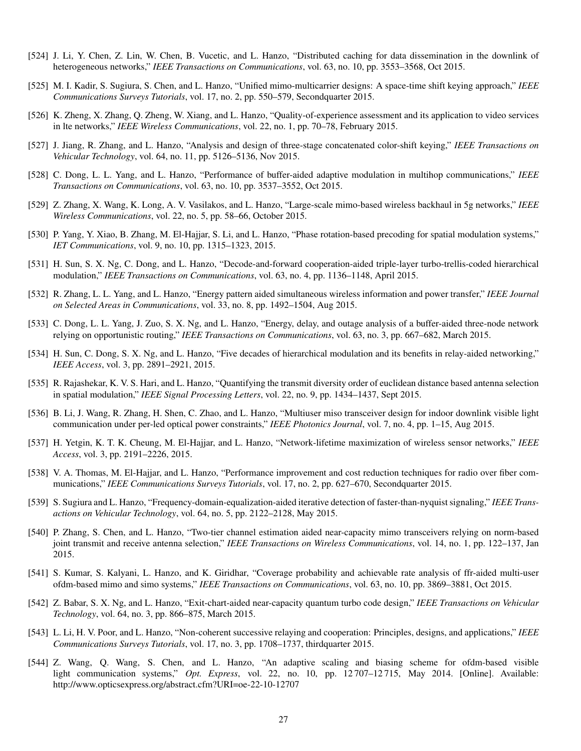- [524] J. Li, Y. Chen, Z. Lin, W. Chen, B. Vucetic, and L. Hanzo, "Distributed caching for data dissemination in the downlink of heterogeneous networks," *IEEE Transactions on Communications*, vol. 63, no. 10, pp. 3553–3568, Oct 2015.
- [525] M. I. Kadir, S. Sugiura, S. Chen, and L. Hanzo, "Unified mimo-multicarrier designs: A space-time shift keying approach," *IEEE Communications Surveys Tutorials*, vol. 17, no. 2, pp. 550–579, Secondquarter 2015.
- [526] K. Zheng, X. Zhang, Q. Zheng, W. Xiang, and L. Hanzo, "Quality-of-experience assessment and its application to video services in lte networks," *IEEE Wireless Communications*, vol. 22, no. 1, pp. 70–78, February 2015.
- [527] J. Jiang, R. Zhang, and L. Hanzo, "Analysis and design of three-stage concatenated color-shift keying," *IEEE Transactions on Vehicular Technology*, vol. 64, no. 11, pp. 5126–5136, Nov 2015.
- [528] C. Dong, L. L. Yang, and L. Hanzo, "Performance of buffer-aided adaptive modulation in multihop communications," *IEEE Transactions on Communications*, vol. 63, no. 10, pp. 3537–3552, Oct 2015.
- [529] Z. Zhang, X. Wang, K. Long, A. V. Vasilakos, and L. Hanzo, "Large-scale mimo-based wireless backhaul in 5g networks," *IEEE Wireless Communications*, vol. 22, no. 5, pp. 58–66, October 2015.
- [530] P. Yang, Y. Xiao, B. Zhang, M. El-Hajjar, S. Li, and L. Hanzo, "Phase rotation-based precoding for spatial modulation systems," *IET Communications*, vol. 9, no. 10, pp. 1315–1323, 2015.
- [531] H. Sun, S. X. Ng, C. Dong, and L. Hanzo, "Decode-and-forward cooperation-aided triple-layer turbo-trellis-coded hierarchical modulation," *IEEE Transactions on Communications*, vol. 63, no. 4, pp. 1136–1148, April 2015.
- [532] R. Zhang, L. L. Yang, and L. Hanzo, "Energy pattern aided simultaneous wireless information and power transfer," *IEEE Journal on Selected Areas in Communications*, vol. 33, no. 8, pp. 1492–1504, Aug 2015.
- [533] C. Dong, L. L. Yang, J. Zuo, S. X. Ng, and L. Hanzo, "Energy, delay, and outage analysis of a buffer-aided three-node network relying on opportunistic routing," *IEEE Transactions on Communications*, vol. 63, no. 3, pp. 667–682, March 2015.
- [534] H. Sun, C. Dong, S. X. Ng, and L. Hanzo, "Five decades of hierarchical modulation and its benefits in relay-aided networking," *IEEE Access*, vol. 3, pp. 2891–2921, 2015.
- [535] R. Rajashekar, K. V. S. Hari, and L. Hanzo, "Quantifying the transmit diversity order of euclidean distance based antenna selection in spatial modulation," *IEEE Signal Processing Letters*, vol. 22, no. 9, pp. 1434–1437, Sept 2015.
- [536] B. Li, J. Wang, R. Zhang, H. Shen, C. Zhao, and L. Hanzo, "Multiuser miso transceiver design for indoor downlink visible light communication under per-led optical power constraints," *IEEE Photonics Journal*, vol. 7, no. 4, pp. 1–15, Aug 2015.
- [537] H. Yetgin, K. T. K. Cheung, M. El-Hajjar, and L. Hanzo, "Network-lifetime maximization of wireless sensor networks," *IEEE Access*, vol. 3, pp. 2191–2226, 2015.
- [538] V. A. Thomas, M. El-Hajjar, and L. Hanzo, "Performance improvement and cost reduction techniques for radio over fiber communications," *IEEE Communications Surveys Tutorials*, vol. 17, no. 2, pp. 627–670, Secondquarter 2015.
- [539] S. Sugiura and L. Hanzo, "Frequency-domain-equalization-aided iterative detection of faster-than-nyquist signaling," *IEEE Transactions on Vehicular Technology*, vol. 64, no. 5, pp. 2122–2128, May 2015.
- [540] P. Zhang, S. Chen, and L. Hanzo, "Two-tier channel estimation aided near-capacity mimo transceivers relying on norm-based joint transmit and receive antenna selection," *IEEE Transactions on Wireless Communications*, vol. 14, no. 1, pp. 122–137, Jan 2015.
- [541] S. Kumar, S. Kalyani, L. Hanzo, and K. Giridhar, "Coverage probability and achievable rate analysis of ffr-aided multi-user ofdm-based mimo and simo systems," *IEEE Transactions on Communications*, vol. 63, no. 10, pp. 3869–3881, Oct 2015.
- [542] Z. Babar, S. X. Ng, and L. Hanzo, "Exit-chart-aided near-capacity quantum turbo code design," *IEEE Transactions on Vehicular Technology*, vol. 64, no. 3, pp. 866–875, March 2015.
- [543] L. Li, H. V. Poor, and L. Hanzo, "Non-coherent successive relaying and cooperation: Principles, designs, and applications," *IEEE Communications Surveys Tutorials*, vol. 17, no. 3, pp. 1708–1737, thirdquarter 2015.
- [544] Z. Wang, Q. Wang, S. Chen, and L. Hanzo, "An adaptive scaling and biasing scheme for ofdm-based visible light communication systems," *Opt. Express*, vol. 22, no. 10, pp. 12 707–12 715, May 2014. [Online]. Available: http://www.opticsexpress.org/abstract.cfm?URI=oe-22-10-12707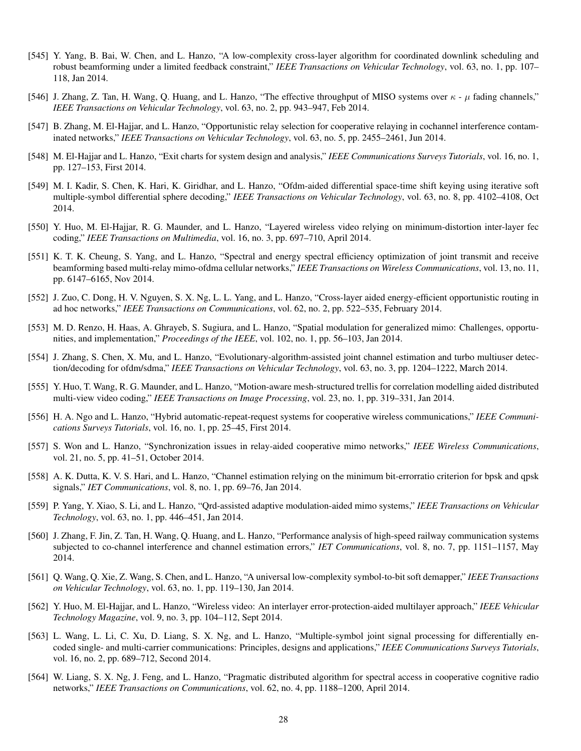- [545] Y. Yang, B. Bai, W. Chen, and L. Hanzo, "A low-complexity cross-layer algorithm for coordinated downlink scheduling and robust beamforming under a limited feedback constraint," *IEEE Transactions on Vehicular Technology*, vol. 63, no. 1, pp. 107– 118, Jan 2014.
- [546] J. Zhang, Z. Tan, H. Wang, Q. Huang, and L. Hanzo, "The effective throughput of MISO systems over  $\kappa$   $\mu$  fading channels," *IEEE Transactions on Vehicular Technology*, vol. 63, no. 2, pp. 943–947, Feb 2014.
- [547] B. Zhang, M. El-Hajjar, and L. Hanzo, "Opportunistic relay selection for cooperative relaying in cochannel interference contaminated networks," *IEEE Transactions on Vehicular Technology*, vol. 63, no. 5, pp. 2455–2461, Jun 2014.
- [548] M. El-Hajjar and L. Hanzo, "Exit charts for system design and analysis," *IEEE Communications Surveys Tutorials*, vol. 16, no. 1, pp. 127–153, First 2014.
- [549] M. I. Kadir, S. Chen, K. Hari, K. Giridhar, and L. Hanzo, "Ofdm-aided differential space-time shift keying using iterative soft multiple-symbol differential sphere decoding," *IEEE Transactions on Vehicular Technology*, vol. 63, no. 8, pp. 4102–4108, Oct 2014.
- [550] Y. Huo, M. El-Hajjar, R. G. Maunder, and L. Hanzo, "Layered wireless video relying on minimum-distortion inter-layer fec coding," *IEEE Transactions on Multimedia*, vol. 16, no. 3, pp. 697–710, April 2014.
- [551] K. T. K. Cheung, S. Yang, and L. Hanzo, "Spectral and energy spectral efficiency optimization of joint transmit and receive beamforming based multi-relay mimo-ofdma cellular networks," *IEEE Transactions on Wireless Communications*, vol. 13, no. 11, pp. 6147–6165, Nov 2014.
- [552] J. Zuo, C. Dong, H. V. Nguyen, S. X. Ng, L. L. Yang, and L. Hanzo, "Cross-layer aided energy-efficient opportunistic routing in ad hoc networks," *IEEE Transactions on Communications*, vol. 62, no. 2, pp. 522–535, February 2014.
- [553] M. D. Renzo, H. Haas, A. Ghrayeb, S. Sugiura, and L. Hanzo, "Spatial modulation for generalized mimo: Challenges, opportunities, and implementation," *Proceedings of the IEEE*, vol. 102, no. 1, pp. 56–103, Jan 2014.
- [554] J. Zhang, S. Chen, X. Mu, and L. Hanzo, "Evolutionary-algorithm-assisted joint channel estimation and turbo multiuser detection/decoding for ofdm/sdma," *IEEE Transactions on Vehicular Technology*, vol. 63, no. 3, pp. 1204–1222, March 2014.
- [555] Y. Huo, T. Wang, R. G. Maunder, and L. Hanzo, "Motion-aware mesh-structured trellis for correlation modelling aided distributed multi-view video coding," *IEEE Transactions on Image Processing*, vol. 23, no. 1, pp. 319–331, Jan 2014.
- [556] H. A. Ngo and L. Hanzo, "Hybrid automatic-repeat-request systems for cooperative wireless communications," *IEEE Communications Surveys Tutorials*, vol. 16, no. 1, pp. 25–45, First 2014.
- [557] S. Won and L. Hanzo, "Synchronization issues in relay-aided cooperative mimo networks," *IEEE Wireless Communications*, vol. 21, no. 5, pp. 41–51, October 2014.
- [558] A. K. Dutta, K. V. S. Hari, and L. Hanzo, "Channel estimation relying on the minimum bit-errorratio criterion for bpsk and qpsk signals," *IET Communications*, vol. 8, no. 1, pp. 69–76, Jan 2014.
- [559] P. Yang, Y. Xiao, S. Li, and L. Hanzo, "Qrd-assisted adaptive modulation-aided mimo systems," *IEEE Transactions on Vehicular Technology*, vol. 63, no. 1, pp. 446–451, Jan 2014.
- [560] J. Zhang, F. Jin, Z. Tan, H. Wang, Q. Huang, and L. Hanzo, "Performance analysis of high-speed railway communication systems subjected to co-channel interference and channel estimation errors," *IET Communications*, vol. 8, no. 7, pp. 1151–1157, May 2014.
- [561] Q. Wang, Q. Xie, Z. Wang, S. Chen, and L. Hanzo, "A universal low-complexity symbol-to-bit soft demapper," *IEEE Transactions on Vehicular Technology*, vol. 63, no. 1, pp. 119–130, Jan 2014.
- [562] Y. Huo, M. El-Hajjar, and L. Hanzo, "Wireless video: An interlayer error-protection-aided multilayer approach," *IEEE Vehicular Technology Magazine*, vol. 9, no. 3, pp. 104–112, Sept 2014.
- [563] L. Wang, L. Li, C. Xu, D. Liang, S. X. Ng, and L. Hanzo, "Multiple-symbol joint signal processing for differentially encoded single- and multi-carrier communications: Principles, designs and applications," *IEEE Communications Surveys Tutorials*, vol. 16, no. 2, pp. 689–712, Second 2014.
- [564] W. Liang, S. X. Ng, J. Feng, and L. Hanzo, "Pragmatic distributed algorithm for spectral access in cooperative cognitive radio networks," *IEEE Transactions on Communications*, vol. 62, no. 4, pp. 1188–1200, April 2014.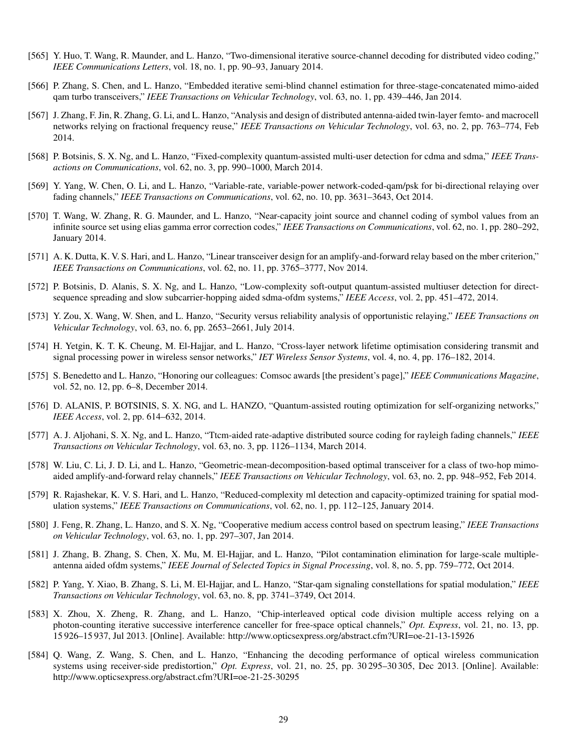- [565] Y. Huo, T. Wang, R. Maunder, and L. Hanzo, "Two-dimensional iterative source-channel decoding for distributed video coding," *IEEE Communications Letters*, vol. 18, no. 1, pp. 90–93, January 2014.
- [566] P. Zhang, S. Chen, and L. Hanzo, "Embedded iterative semi-blind channel estimation for three-stage-concatenated mimo-aided qam turbo transceivers," *IEEE Transactions on Vehicular Technology*, vol. 63, no. 1, pp. 439–446, Jan 2014.
- [567] J. Zhang, F. Jin, R. Zhang, G. Li, and L. Hanzo, "Analysis and design of distributed antenna-aided twin-layer femto- and macrocell networks relying on fractional frequency reuse," *IEEE Transactions on Vehicular Technology*, vol. 63, no. 2, pp. 763–774, Feb 2014.
- [568] P. Botsinis, S. X. Ng, and L. Hanzo, "Fixed-complexity quantum-assisted multi-user detection for cdma and sdma," *IEEE Transactions on Communications*, vol. 62, no. 3, pp. 990–1000, March 2014.
- [569] Y. Yang, W. Chen, O. Li, and L. Hanzo, "Variable-rate, variable-power network-coded-qam/psk for bi-directional relaying over fading channels," *IEEE Transactions on Communications*, vol. 62, no. 10, pp. 3631–3643, Oct 2014.
- [570] T. Wang, W. Zhang, R. G. Maunder, and L. Hanzo, "Near-capacity joint source and channel coding of symbol values from an infinite source set using elias gamma error correction codes," *IEEE Transactions on Communications*, vol. 62, no. 1, pp. 280–292, January 2014.
- [571] A. K. Dutta, K. V. S. Hari, and L. Hanzo, "Linear transceiver design for an amplify-and-forward relay based on the mber criterion," *IEEE Transactions on Communications*, vol. 62, no. 11, pp. 3765–3777, Nov 2014.
- [572] P. Botsinis, D. Alanis, S. X. Ng, and L. Hanzo, "Low-complexity soft-output quantum-assisted multiuser detection for directsequence spreading and slow subcarrier-hopping aided sdma-ofdm systems," *IEEE Access*, vol. 2, pp. 451–472, 2014.
- [573] Y. Zou, X. Wang, W. Shen, and L. Hanzo, "Security versus reliability analysis of opportunistic relaying," *IEEE Transactions on Vehicular Technology*, vol. 63, no. 6, pp. 2653–2661, July 2014.
- [574] H. Yetgin, K. T. K. Cheung, M. El-Hajjar, and L. Hanzo, "Cross-layer network lifetime optimisation considering transmit and signal processing power in wireless sensor networks," *IET Wireless Sensor Systems*, vol. 4, no. 4, pp. 176–182, 2014.
- [575] S. Benedetto and L. Hanzo, "Honoring our colleagues: Comsoc awards [the president's page]," *IEEE Communications Magazine*, vol. 52, no. 12, pp. 6–8, December 2014.
- [576] D. ALANIS, P. BOTSINIS, S. X. NG, and L. HANZO, "Quantum-assisted routing optimization for self-organizing networks," *IEEE Access*, vol. 2, pp. 614–632, 2014.
- [577] A. J. Aljohani, S. X. Ng, and L. Hanzo, "Ttcm-aided rate-adaptive distributed source coding for rayleigh fading channels," *IEEE Transactions on Vehicular Technology*, vol. 63, no. 3, pp. 1126–1134, March 2014.
- [578] W. Liu, C. Li, J. D. Li, and L. Hanzo, "Geometric-mean-decomposition-based optimal transceiver for a class of two-hop mimoaided amplify-and-forward relay channels," *IEEE Transactions on Vehicular Technology*, vol. 63, no. 2, pp. 948–952, Feb 2014.
- [579] R. Rajashekar, K. V. S. Hari, and L. Hanzo, "Reduced-complexity ml detection and capacity-optimized training for spatial modulation systems," *IEEE Transactions on Communications*, vol. 62, no. 1, pp. 112–125, January 2014.
- [580] J. Feng, R. Zhang, L. Hanzo, and S. X. Ng, "Cooperative medium access control based on spectrum leasing," *IEEE Transactions on Vehicular Technology*, vol. 63, no. 1, pp. 297–307, Jan 2014.
- [581] J. Zhang, B. Zhang, S. Chen, X. Mu, M. El-Hajjar, and L. Hanzo, "Pilot contamination elimination for large-scale multipleantenna aided ofdm systems," *IEEE Journal of Selected Topics in Signal Processing*, vol. 8, no. 5, pp. 759–772, Oct 2014.
- [582] P. Yang, Y. Xiao, B. Zhang, S. Li, M. El-Hajjar, and L. Hanzo, "Star-qam signaling constellations for spatial modulation," *IEEE Transactions on Vehicular Technology*, vol. 63, no. 8, pp. 3741–3749, Oct 2014.
- [583] X. Zhou, X. Zheng, R. Zhang, and L. Hanzo, "Chip-interleaved optical code division multiple access relying on a photon-counting iterative successive interference canceller for free-space optical channels," *Opt. Express*, vol. 21, no. 13, pp. 15 926–15 937, Jul 2013. [Online]. Available: http://www.opticsexpress.org/abstract.cfm?URI=oe-21-13-15926
- [584] Q. Wang, Z. Wang, S. Chen, and L. Hanzo, "Enhancing the decoding performance of optical wireless communication systems using receiver-side predistortion," *Opt. Express*, vol. 21, no. 25, pp. 30 295–30 305, Dec 2013. [Online]. Available: http://www.opticsexpress.org/abstract.cfm?URI=oe-21-25-30295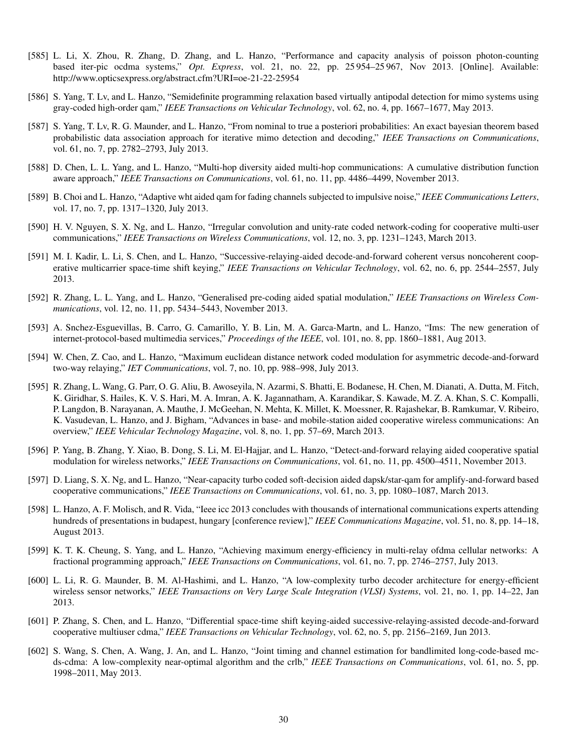- [585] L. Li, X. Zhou, R. Zhang, D. Zhang, and L. Hanzo, "Performance and capacity analysis of poisson photon-counting based iter-pic ocdma systems," *Opt. Express*, vol. 21, no. 22, pp. 25 954–25 967, Nov 2013. [Online]. Available: http://www.opticsexpress.org/abstract.cfm?URI=oe-21-22-25954
- [586] S. Yang, T. Lv, and L. Hanzo, "Semidefinite programming relaxation based virtually antipodal detection for mimo systems using gray-coded high-order qam," *IEEE Transactions on Vehicular Technology*, vol. 62, no. 4, pp. 1667–1677, May 2013.
- [587] S. Yang, T. Lv, R. G. Maunder, and L. Hanzo, "From nominal to true a posteriori probabilities: An exact bayesian theorem based probabilistic data association approach for iterative mimo detection and decoding," *IEEE Transactions on Communications*, vol. 61, no. 7, pp. 2782–2793, July 2013.
- [588] D. Chen, L. L. Yang, and L. Hanzo, "Multi-hop diversity aided multi-hop communications: A cumulative distribution function aware approach," *IEEE Transactions on Communications*, vol. 61, no. 11, pp. 4486–4499, November 2013.
- [589] B. Choi and L. Hanzo, "Adaptive wht aided qam for fading channels subjected to impulsive noise," *IEEE Communications Letters*, vol. 17, no. 7, pp. 1317–1320, July 2013.
- [590] H. V. Nguyen, S. X. Ng, and L. Hanzo, "Irregular convolution and unity-rate coded network-coding for cooperative multi-user communications," *IEEE Transactions on Wireless Communications*, vol. 12, no. 3, pp. 1231–1243, March 2013.
- [591] M. I. Kadir, L. Li, S. Chen, and L. Hanzo, "Successive-relaying-aided decode-and-forward coherent versus noncoherent cooperative multicarrier space-time shift keying," *IEEE Transactions on Vehicular Technology*, vol. 62, no. 6, pp. 2544–2557, July 2013.
- [592] R. Zhang, L. L. Yang, and L. Hanzo, "Generalised pre-coding aided spatial modulation," *IEEE Transactions on Wireless Communications*, vol. 12, no. 11, pp. 5434–5443, November 2013.
- [593] A. Snchez-Esguevillas, B. Carro, G. Camarillo, Y. B. Lin, M. A. Garca-Martn, and L. Hanzo, "Ims: The new generation of internet-protocol-based multimedia services," *Proceedings of the IEEE*, vol. 101, no. 8, pp. 1860–1881, Aug 2013.
- [594] W. Chen, Z. Cao, and L. Hanzo, "Maximum euclidean distance network coded modulation for asymmetric decode-and-forward two-way relaying," *IET Communications*, vol. 7, no. 10, pp. 988–998, July 2013.
- [595] R. Zhang, L. Wang, G. Parr, O. G. Aliu, B. Awoseyila, N. Azarmi, S. Bhatti, E. Bodanese, H. Chen, M. Dianati, A. Dutta, M. Fitch, K. Giridhar, S. Hailes, K. V. S. Hari, M. A. Imran, A. K. Jagannatham, A. Karandikar, S. Kawade, M. Z. A. Khan, S. C. Kompalli, P. Langdon, B. Narayanan, A. Mauthe, J. McGeehan, N. Mehta, K. Millet, K. Moessner, R. Rajashekar, B. Ramkumar, V. Ribeiro, K. Vasudevan, L. Hanzo, and J. Bigham, "Advances in base- and mobile-station aided cooperative wireless communications: An overview," *IEEE Vehicular Technology Magazine*, vol. 8, no. 1, pp. 57–69, March 2013.
- [596] P. Yang, B. Zhang, Y. Xiao, B. Dong, S. Li, M. El-Hajjar, and L. Hanzo, "Detect-and-forward relaying aided cooperative spatial modulation for wireless networks," *IEEE Transactions on Communications*, vol. 61, no. 11, pp. 4500–4511, November 2013.
- [597] D. Liang, S. X. Ng, and L. Hanzo, "Near-capacity turbo coded soft-decision aided dapsk/star-qam for amplify-and-forward based cooperative communications," *IEEE Transactions on Communications*, vol. 61, no. 3, pp. 1080–1087, March 2013.
- [598] L. Hanzo, A. F. Molisch, and R. Vida, "Ieee icc 2013 concludes with thousands of international communications experts attending hundreds of presentations in budapest, hungary [conference review]," *IEEE Communications Magazine*, vol. 51, no. 8, pp. 14–18, August 2013.
- [599] K. T. K. Cheung, S. Yang, and L. Hanzo, "Achieving maximum energy-efficiency in multi-relay ofdma cellular networks: A fractional programming approach," *IEEE Transactions on Communications*, vol. 61, no. 7, pp. 2746–2757, July 2013.
- [600] L. Li, R. G. Maunder, B. M. Al-Hashimi, and L. Hanzo, "A low-complexity turbo decoder architecture for energy-efficient wireless sensor networks," *IEEE Transactions on Very Large Scale Integration (VLSI) Systems*, vol. 21, no. 1, pp. 14–22, Jan 2013.
- [601] P. Zhang, S. Chen, and L. Hanzo, "Differential space-time shift keying-aided successive-relaying-assisted decode-and-forward cooperative multiuser cdma," *IEEE Transactions on Vehicular Technology*, vol. 62, no. 5, pp. 2156–2169, Jun 2013.
- [602] S. Wang, S. Chen, A. Wang, J. An, and L. Hanzo, "Joint timing and channel estimation for bandlimited long-code-based mcds-cdma: A low-complexity near-optimal algorithm and the crlb," *IEEE Transactions on Communications*, vol. 61, no. 5, pp. 1998–2011, May 2013.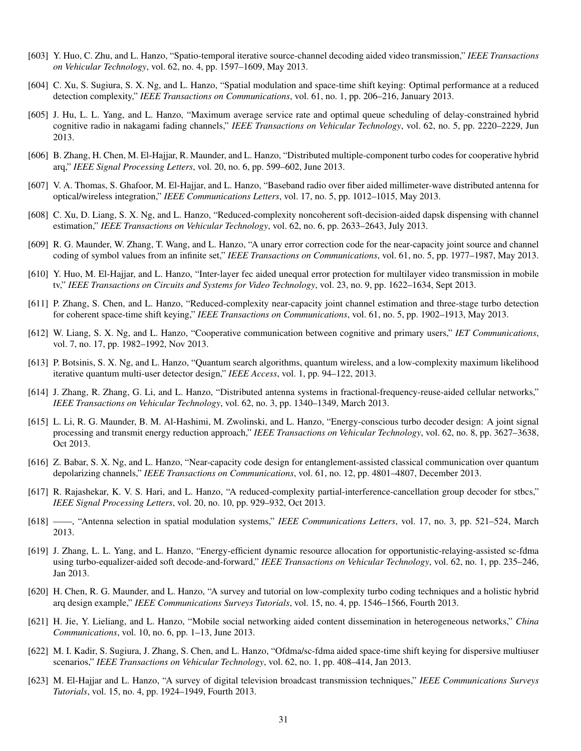- [603] Y. Huo, C. Zhu, and L. Hanzo, "Spatio-temporal iterative source-channel decoding aided video transmission," *IEEE Transactions on Vehicular Technology*, vol. 62, no. 4, pp. 1597–1609, May 2013.
- [604] C. Xu, S. Sugiura, S. X. Ng, and L. Hanzo, "Spatial modulation and space-time shift keying: Optimal performance at a reduced detection complexity," *IEEE Transactions on Communications*, vol. 61, no. 1, pp. 206–216, January 2013.
- [605] J. Hu, L. L. Yang, and L. Hanzo, "Maximum average service rate and optimal queue scheduling of delay-constrained hybrid cognitive radio in nakagami fading channels," *IEEE Transactions on Vehicular Technology*, vol. 62, no. 5, pp. 2220–2229, Jun 2013.
- [606] B. Zhang, H. Chen, M. El-Hajjar, R. Maunder, and L. Hanzo, "Distributed multiple-component turbo codes for cooperative hybrid arq," *IEEE Signal Processing Letters*, vol. 20, no. 6, pp. 599–602, June 2013.
- [607] V. A. Thomas, S. Ghafoor, M. El-Hajjar, and L. Hanzo, "Baseband radio over fiber aided millimeter-wave distributed antenna for optical/wireless integration," *IEEE Communications Letters*, vol. 17, no. 5, pp. 1012–1015, May 2013.
- [608] C. Xu, D. Liang, S. X. Ng, and L. Hanzo, "Reduced-complexity noncoherent soft-decision-aided dapsk dispensing with channel estimation," *IEEE Transactions on Vehicular Technology*, vol. 62, no. 6, pp. 2633–2643, July 2013.
- [609] R. G. Maunder, W. Zhang, T. Wang, and L. Hanzo, "A unary error correction code for the near-capacity joint source and channel coding of symbol values from an infinite set," *IEEE Transactions on Communications*, vol. 61, no. 5, pp. 1977–1987, May 2013.
- [610] Y. Huo, M. El-Hajjar, and L. Hanzo, "Inter-layer fec aided unequal error protection for multilayer video transmission in mobile tv," *IEEE Transactions on Circuits and Systems for Video Technology*, vol. 23, no. 9, pp. 1622–1634, Sept 2013.
- [611] P. Zhang, S. Chen, and L. Hanzo, "Reduced-complexity near-capacity joint channel estimation and three-stage turbo detection for coherent space-time shift keying," *IEEE Transactions on Communications*, vol. 61, no. 5, pp. 1902–1913, May 2013.
- [612] W. Liang, S. X. Ng, and L. Hanzo, "Cooperative communication between cognitive and primary users," *IET Communications*, vol. 7, no. 17, pp. 1982–1992, Nov 2013.
- [613] P. Botsinis, S. X. Ng, and L. Hanzo, "Quantum search algorithms, quantum wireless, and a low-complexity maximum likelihood iterative quantum multi-user detector design," *IEEE Access*, vol. 1, pp. 94–122, 2013.
- [614] J. Zhang, R. Zhang, G. Li, and L. Hanzo, "Distributed antenna systems in fractional-frequency-reuse-aided cellular networks," *IEEE Transactions on Vehicular Technology*, vol. 62, no. 3, pp. 1340–1349, March 2013.
- [615] L. Li, R. G. Maunder, B. M. Al-Hashimi, M. Zwolinski, and L. Hanzo, "Energy-conscious turbo decoder design: A joint signal processing and transmit energy reduction approach," *IEEE Transactions on Vehicular Technology*, vol. 62, no. 8, pp. 3627–3638, Oct 2013.
- [616] Z. Babar, S. X. Ng, and L. Hanzo, "Near-capacity code design for entanglement-assisted classical communication over quantum depolarizing channels," *IEEE Transactions on Communications*, vol. 61, no. 12, pp. 4801–4807, December 2013.
- [617] R. Rajashekar, K. V. S. Hari, and L. Hanzo, "A reduced-complexity partial-interference-cancellation group decoder for stbcs," *IEEE Signal Processing Letters*, vol. 20, no. 10, pp. 929–932, Oct 2013.
- [618] ——, "Antenna selection in spatial modulation systems," *IEEE Communications Letters*, vol. 17, no. 3, pp. 521–524, March 2013.
- [619] J. Zhang, L. L. Yang, and L. Hanzo, "Energy-efficient dynamic resource allocation for opportunistic-relaying-assisted sc-fdma using turbo-equalizer-aided soft decode-and-forward," *IEEE Transactions on Vehicular Technology*, vol. 62, no. 1, pp. 235–246, Jan 2013.
- [620] H. Chen, R. G. Maunder, and L. Hanzo, "A survey and tutorial on low-complexity turbo coding techniques and a holistic hybrid arq design example," *IEEE Communications Surveys Tutorials*, vol. 15, no. 4, pp. 1546–1566, Fourth 2013.
- [621] H. Jie, Y. Lieliang, and L. Hanzo, "Mobile social networking aided content dissemination in heterogeneous networks," *China Communications*, vol. 10, no. 6, pp. 1–13, June 2013.
- [622] M. I. Kadir, S. Sugiura, J. Zhang, S. Chen, and L. Hanzo, "Ofdma/sc-fdma aided space-time shift keying for dispersive multiuser scenarios," *IEEE Transactions on Vehicular Technology*, vol. 62, no. 1, pp. 408–414, Jan 2013.
- [623] M. El-Hajjar and L. Hanzo, "A survey of digital television broadcast transmission techniques," *IEEE Communications Surveys Tutorials*, vol. 15, no. 4, pp. 1924–1949, Fourth 2013.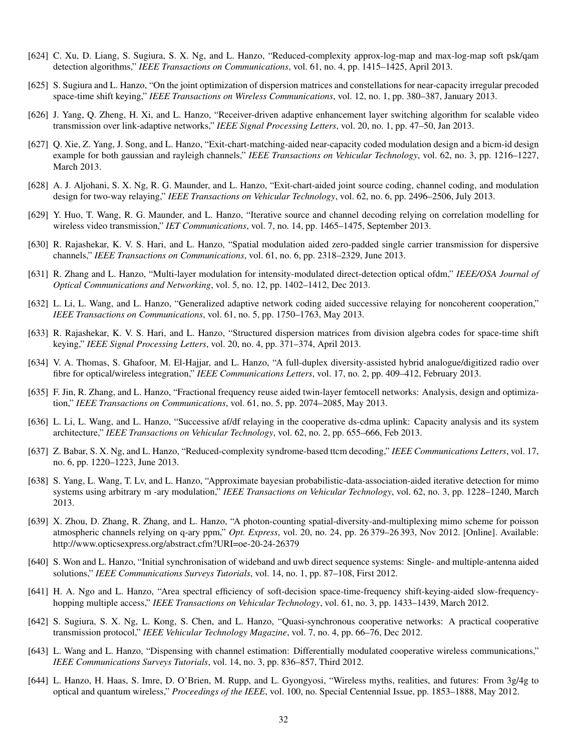- [624] C. Xu, D. Liang, S. Sugiura, S. X. Ng, and L. Hanzo, "Reduced-complexity approx-log-map and max-log-map soft psk/qam detection algorithms," *IEEE Transactions on Communications*, vol. 61, no. 4, pp. 1415–1425, April 2013.
- [625] S. Sugiura and L. Hanzo, "On the joint optimization of dispersion matrices and constellations for near-capacity irregular precoded space-time shift keying," *IEEE Transactions on Wireless Communications*, vol. 12, no. 1, pp. 380–387, January 2013.
- [626] J. Yang, Q. Zheng, H. Xi, and L. Hanzo, "Receiver-driven adaptive enhancement layer switching algorithm for scalable video transmission over link-adaptive networks," *IEEE Signal Processing Letters*, vol. 20, no. 1, pp. 47–50, Jan 2013.
- [627] Q. Xie, Z. Yang, J. Song, and L. Hanzo, "Exit-chart-matching-aided near-capacity coded modulation design and a bicm-id design example for both gaussian and rayleigh channels," *IEEE Transactions on Vehicular Technology*, vol. 62, no. 3, pp. 1216–1227, March 2013.
- [628] A. J. Aljohani, S. X. Ng, R. G. Maunder, and L. Hanzo, "Exit-chart-aided joint source coding, channel coding, and modulation design for two-way relaying," *IEEE Transactions on Vehicular Technology*, vol. 62, no. 6, pp. 2496–2506, July 2013.
- [629] Y. Huo, T. Wang, R. G. Maunder, and L. Hanzo, "Iterative source and channel decoding relying on correlation modelling for wireless video transmission," *IET Communications*, vol. 7, no. 14, pp. 1465–1475, September 2013.
- [630] R. Rajashekar, K. V. S. Hari, and L. Hanzo, "Spatial modulation aided zero-padded single carrier transmission for dispersive channels," *IEEE Transactions on Communications*, vol. 61, no. 6, pp. 2318–2329, June 2013.
- [631] R. Zhang and L. Hanzo, "Multi-layer modulation for intensity-modulated direct-detection optical ofdm," *IEEE/OSA Journal of Optical Communications and Networking*, vol. 5, no. 12, pp. 1402–1412, Dec 2013.
- [632] L. Li, L. Wang, and L. Hanzo, "Generalized adaptive network coding aided successive relaying for noncoherent cooperation," *IEEE Transactions on Communications*, vol. 61, no. 5, pp. 1750–1763, May 2013.
- [633] R. Rajashekar, K. V. S. Hari, and L. Hanzo, "Structured dispersion matrices from division algebra codes for space-time shift keying," *IEEE Signal Processing Letters*, vol. 20, no. 4, pp. 371–374, April 2013.
- [634] V. A. Thomas, S. Ghafoor, M. El-Hajjar, and L. Hanzo, "A full-duplex diversity-assisted hybrid analogue/digitized radio over fibre for optical/wireless integration," *IEEE Communications Letters*, vol. 17, no. 2, pp. 409–412, February 2013.
- [635] F. Jin, R. Zhang, and L. Hanzo, "Fractional frequency reuse aided twin-layer femtocell networks: Analysis, design and optimization," *IEEE Transactions on Communications*, vol. 61, no. 5, pp. 2074–2085, May 2013.
- [636] L. Li, L. Wang, and L. Hanzo, "Successive af/df relaying in the cooperative ds-cdma uplink: Capacity analysis and its system architecture," *IEEE Transactions on Vehicular Technology*, vol. 62, no. 2, pp. 655–666, Feb 2013.
- [637] Z. Babar, S. X. Ng, and L. Hanzo, "Reduced-complexity syndrome-based ttcm decoding," *IEEE Communications Letters*, vol. 17, no. 6, pp. 1220–1223, June 2013.
- [638] S. Yang, L. Wang, T. Lv, and L. Hanzo, "Approximate bayesian probabilistic-data-association-aided iterative detection for mimo systems using arbitrary m -ary modulation," *IEEE Transactions on Vehicular Technology*, vol. 62, no. 3, pp. 1228–1240, March 2013.
- [639] X. Zhou, D. Zhang, R. Zhang, and L. Hanzo, "A photon-counting spatial-diversity-and-multiplexing mimo scheme for poisson atmospheric channels relying on q-ary ppm," *Opt. Express*, vol. 20, no. 24, pp. 26 379–26 393, Nov 2012. [Online]. Available: http://www.opticsexpress.org/abstract.cfm?URI=oe-20-24-26379
- [640] S. Won and L. Hanzo, "Initial synchronisation of wideband and uwb direct sequence systems: Single- and multiple-antenna aided solutions," *IEEE Communications Surveys Tutorials*, vol. 14, no. 1, pp. 87–108, First 2012.
- [641] H. A. Ngo and L. Hanzo, "Area spectral efficiency of soft-decision space-time-frequency shift-keying-aided slow-frequencyhopping multiple access," *IEEE Transactions on Vehicular Technology*, vol. 61, no. 3, pp. 1433–1439, March 2012.
- [642] S. Sugiura, S. X. Ng, L. Kong, S. Chen, and L. Hanzo, "Quasi-synchronous cooperative networks: A practical cooperative transmission protocol," *IEEE Vehicular Technology Magazine*, vol. 7, no. 4, pp. 66–76, Dec 2012.
- [643] L. Wang and L. Hanzo, "Dispensing with channel estimation: Differentially modulated cooperative wireless communications," *IEEE Communications Surveys Tutorials*, vol. 14, no. 3, pp. 836–857, Third 2012.
- [644] L. Hanzo, H. Haas, S. Imre, D. O'Brien, M. Rupp, and L. Gyongyosi, "Wireless myths, realities, and futures: From 3g/4g to optical and quantum wireless," *Proceedings of the IEEE*, vol. 100, no. Special Centennial Issue, pp. 1853–1888, May 2012.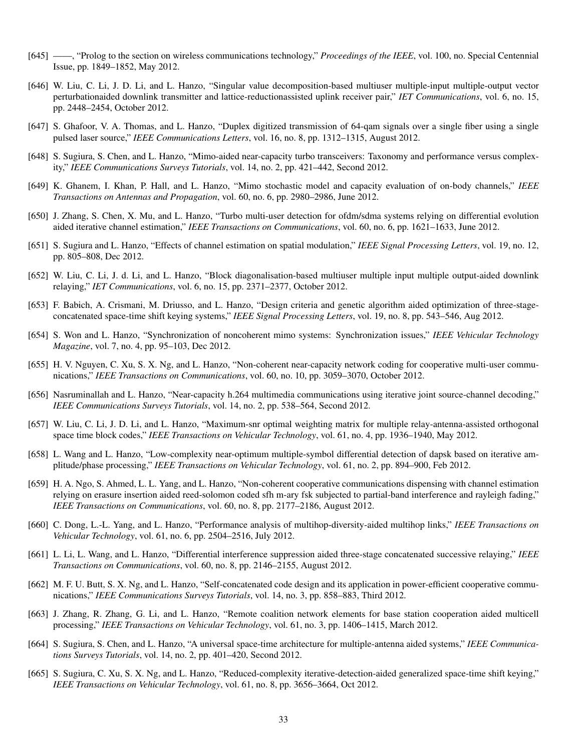- [645] ——, "Prolog to the section on wireless communications technology," *Proceedings of the IEEE*, vol. 100, no. Special Centennial Issue, pp. 1849–1852, May 2012.
- [646] W. Liu, C. Li, J. D. Li, and L. Hanzo, "Singular value decomposition-based multiuser multiple-input multiple-output vector perturbationaided downlink transmitter and lattice-reductionassisted uplink receiver pair," *IET Communications*, vol. 6, no. 15, pp. 2448–2454, October 2012.
- [647] S. Ghafoor, V. A. Thomas, and L. Hanzo, "Duplex digitized transmission of 64-qam signals over a single fiber using a single pulsed laser source," *IEEE Communications Letters*, vol. 16, no. 8, pp. 1312–1315, August 2012.
- [648] S. Sugiura, S. Chen, and L. Hanzo, "Mimo-aided near-capacity turbo transceivers: Taxonomy and performance versus complexity," *IEEE Communications Surveys Tutorials*, vol. 14, no. 2, pp. 421–442, Second 2012.
- [649] K. Ghanem, I. Khan, P. Hall, and L. Hanzo, "Mimo stochastic model and capacity evaluation of on-body channels," *IEEE Transactions on Antennas and Propagation*, vol. 60, no. 6, pp. 2980–2986, June 2012.
- [650] J. Zhang, S. Chen, X. Mu, and L. Hanzo, "Turbo multi-user detection for ofdm/sdma systems relying on differential evolution aided iterative channel estimation," *IEEE Transactions on Communications*, vol. 60, no. 6, pp. 1621–1633, June 2012.
- [651] S. Sugiura and L. Hanzo, "Effects of channel estimation on spatial modulation," *IEEE Signal Processing Letters*, vol. 19, no. 12, pp. 805–808, Dec 2012.
- [652] W. Liu, C. Li, J. d. Li, and L. Hanzo, "Block diagonalisation-based multiuser multiple input multiple output-aided downlink relaying," *IET Communications*, vol. 6, no. 15, pp. 2371–2377, October 2012.
- [653] F. Babich, A. Crismani, M. Driusso, and L. Hanzo, "Design criteria and genetic algorithm aided optimization of three-stageconcatenated space-time shift keying systems," *IEEE Signal Processing Letters*, vol. 19, no. 8, pp. 543–546, Aug 2012.
- [654] S. Won and L. Hanzo, "Synchronization of noncoherent mimo systems: Synchronization issues," *IEEE Vehicular Technology Magazine*, vol. 7, no. 4, pp. 95–103, Dec 2012.
- [655] H. V. Nguyen, C. Xu, S. X. Ng, and L. Hanzo, "Non-coherent near-capacity network coding for cooperative multi-user communications," *IEEE Transactions on Communications*, vol. 60, no. 10, pp. 3059–3070, October 2012.
- [656] Nasruminallah and L. Hanzo, "Near-capacity h.264 multimedia communications using iterative joint source-channel decoding," *IEEE Communications Surveys Tutorials*, vol. 14, no. 2, pp. 538–564, Second 2012.
- [657] W. Liu, C. Li, J. D. Li, and L. Hanzo, "Maximum-snr optimal weighting matrix for multiple relay-antenna-assisted orthogonal space time block codes," *IEEE Transactions on Vehicular Technology*, vol. 61, no. 4, pp. 1936–1940, May 2012.
- [658] L. Wang and L. Hanzo, "Low-complexity near-optimum multiple-symbol differential detection of dapsk based on iterative amplitude/phase processing," *IEEE Transactions on Vehicular Technology*, vol. 61, no. 2, pp. 894–900, Feb 2012.
- [659] H. A. Ngo, S. Ahmed, L. L. Yang, and L. Hanzo, "Non-coherent cooperative communications dispensing with channel estimation relying on erasure insertion aided reed-solomon coded sfh m-ary fsk subjected to partial-band interference and rayleigh fading," *IEEE Transactions on Communications*, vol. 60, no. 8, pp. 2177–2186, August 2012.
- [660] C. Dong, L.-L. Yang, and L. Hanzo, "Performance analysis of multihop-diversity-aided multihop links," *IEEE Transactions on Vehicular Technology*, vol. 61, no. 6, pp. 2504–2516, July 2012.
- [661] L. Li, L. Wang, and L. Hanzo, "Differential interference suppression aided three-stage concatenated successive relaying," *IEEE Transactions on Communications*, vol. 60, no. 8, pp. 2146–2155, August 2012.
- [662] M. F. U. Butt, S. X. Ng, and L. Hanzo, "Self-concatenated code design and its application in power-efficient cooperative communications," *IEEE Communications Surveys Tutorials*, vol. 14, no. 3, pp. 858–883, Third 2012.
- [663] J. Zhang, R. Zhang, G. Li, and L. Hanzo, "Remote coalition network elements for base station cooperation aided multicell processing," *IEEE Transactions on Vehicular Technology*, vol. 61, no. 3, pp. 1406–1415, March 2012.
- [664] S. Sugiura, S. Chen, and L. Hanzo, "A universal space-time architecture for multiple-antenna aided systems," *IEEE Communications Surveys Tutorials*, vol. 14, no. 2, pp. 401–420, Second 2012.
- [665] S. Sugiura, C. Xu, S. X. Ng, and L. Hanzo, "Reduced-complexity iterative-detection-aided generalized space-time shift keying," *IEEE Transactions on Vehicular Technology*, vol. 61, no. 8, pp. 3656–3664, Oct 2012.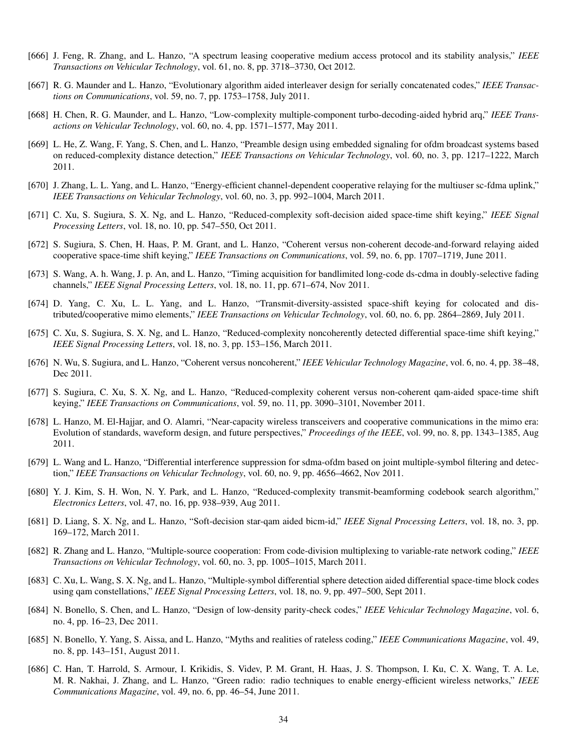- [666] J. Feng, R. Zhang, and L. Hanzo, "A spectrum leasing cooperative medium access protocol and its stability analysis," *IEEE Transactions on Vehicular Technology*, vol. 61, no. 8, pp. 3718–3730, Oct 2012.
- [667] R. G. Maunder and L. Hanzo, "Evolutionary algorithm aided interleaver design for serially concatenated codes," *IEEE Transactions on Communications*, vol. 59, no. 7, pp. 1753–1758, July 2011.
- [668] H. Chen, R. G. Maunder, and L. Hanzo, "Low-complexity multiple-component turbo-decoding-aided hybrid arq," *IEEE Transactions on Vehicular Technology*, vol. 60, no. 4, pp. 1571–1577, May 2011.
- [669] L. He, Z. Wang, F. Yang, S. Chen, and L. Hanzo, "Preamble design using embedded signaling for ofdm broadcast systems based on reduced-complexity distance detection," *IEEE Transactions on Vehicular Technology*, vol. 60, no. 3, pp. 1217–1222, March 2011.
- [670] J. Zhang, L. L. Yang, and L. Hanzo, "Energy-efficient channel-dependent cooperative relaying for the multiuser sc-fdma uplink," *IEEE Transactions on Vehicular Technology*, vol. 60, no. 3, pp. 992–1004, March 2011.
- [671] C. Xu, S. Sugiura, S. X. Ng, and L. Hanzo, "Reduced-complexity soft-decision aided space-time shift keying," *IEEE Signal Processing Letters*, vol. 18, no. 10, pp. 547–550, Oct 2011.
- [672] S. Sugiura, S. Chen, H. Haas, P. M. Grant, and L. Hanzo, "Coherent versus non-coherent decode-and-forward relaying aided cooperative space-time shift keying," *IEEE Transactions on Communications*, vol. 59, no. 6, pp. 1707–1719, June 2011.
- [673] S. Wang, A. h. Wang, J. p. An, and L. Hanzo, "Timing acquisition for bandlimited long-code ds-cdma in doubly-selective fading channels," *IEEE Signal Processing Letters*, vol. 18, no. 11, pp. 671–674, Nov 2011.
- [674] D. Yang, C. Xu, L. L. Yang, and L. Hanzo, "Transmit-diversity-assisted space-shift keying for colocated and distributed/cooperative mimo elements," *IEEE Transactions on Vehicular Technology*, vol. 60, no. 6, pp. 2864–2869, July 2011.
- [675] C. Xu, S. Sugiura, S. X. Ng, and L. Hanzo, "Reduced-complexity noncoherently detected differential space-time shift keying," *IEEE Signal Processing Letters*, vol. 18, no. 3, pp. 153–156, March 2011.
- [676] N. Wu, S. Sugiura, and L. Hanzo, "Coherent versus noncoherent," *IEEE Vehicular Technology Magazine*, vol. 6, no. 4, pp. 38–48, Dec 2011.
- [677] S. Sugiura, C. Xu, S. X. Ng, and L. Hanzo, "Reduced-complexity coherent versus non-coherent qam-aided space-time shift keying," *IEEE Transactions on Communications*, vol. 59, no. 11, pp. 3090–3101, November 2011.
- [678] L. Hanzo, M. El-Hajjar, and O. Alamri, "Near-capacity wireless transceivers and cooperative communications in the mimo era: Evolution of standards, waveform design, and future perspectives," *Proceedings of the IEEE*, vol. 99, no. 8, pp. 1343–1385, Aug 2011.
- [679] L. Wang and L. Hanzo, "Differential interference suppression for sdma-ofdm based on joint multiple-symbol filtering and detection," *IEEE Transactions on Vehicular Technology*, vol. 60, no. 9, pp. 4656–4662, Nov 2011.
- [680] Y. J. Kim, S. H. Won, N. Y. Park, and L. Hanzo, "Reduced-complexity transmit-beamforming codebook search algorithm," *Electronics Letters*, vol. 47, no. 16, pp. 938–939, Aug 2011.
- [681] D. Liang, S. X. Ng, and L. Hanzo, "Soft-decision star-qam aided bicm-id," *IEEE Signal Processing Letters*, vol. 18, no. 3, pp. 169–172, March 2011.
- [682] R. Zhang and L. Hanzo, "Multiple-source cooperation: From code-division multiplexing to variable-rate network coding," *IEEE Transactions on Vehicular Technology*, vol. 60, no. 3, pp. 1005–1015, March 2011.
- [683] C. Xu, L. Wang, S. X. Ng, and L. Hanzo, "Multiple-symbol differential sphere detection aided differential space-time block codes using qam constellations," *IEEE Signal Processing Letters*, vol. 18, no. 9, pp. 497–500, Sept 2011.
- [684] N. Bonello, S. Chen, and L. Hanzo, "Design of low-density parity-check codes," *IEEE Vehicular Technology Magazine*, vol. 6, no. 4, pp. 16–23, Dec 2011.
- [685] N. Bonello, Y. Yang, S. Aissa, and L. Hanzo, "Myths and realities of rateless coding," *IEEE Communications Magazine*, vol. 49, no. 8, pp. 143–151, August 2011.
- [686] C. Han, T. Harrold, S. Armour, I. Krikidis, S. Videv, P. M. Grant, H. Haas, J. S. Thompson, I. Ku, C. X. Wang, T. A. Le, M. R. Nakhai, J. Zhang, and L. Hanzo, "Green radio: radio techniques to enable energy-efficient wireless networks," *IEEE Communications Magazine*, vol. 49, no. 6, pp. 46–54, June 2011.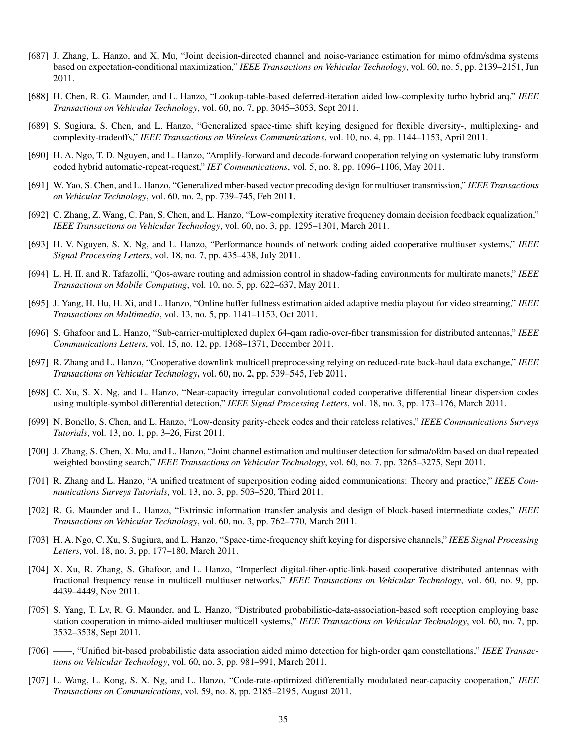- [687] J. Zhang, L. Hanzo, and X. Mu, "Joint decision-directed channel and noise-variance estimation for mimo ofdm/sdma systems based on expectation-conditional maximization," *IEEE Transactions on Vehicular Technology*, vol. 60, no. 5, pp. 2139–2151, Jun 2011.
- [688] H. Chen, R. G. Maunder, and L. Hanzo, "Lookup-table-based deferred-iteration aided low-complexity turbo hybrid arq," *IEEE Transactions on Vehicular Technology*, vol. 60, no. 7, pp. 3045–3053, Sept 2011.
- [689] S. Sugiura, S. Chen, and L. Hanzo, "Generalized space-time shift keying designed for flexible diversity-, multiplexing- and complexity-tradeoffs," *IEEE Transactions on Wireless Communications*, vol. 10, no. 4, pp. 1144–1153, April 2011.
- [690] H. A. Ngo, T. D. Nguyen, and L. Hanzo, "Amplify-forward and decode-forward cooperation relying on systematic luby transform coded hybrid automatic-repeat-request," *IET Communications*, vol. 5, no. 8, pp. 1096–1106, May 2011.
- [691] W. Yao, S. Chen, and L. Hanzo, "Generalized mber-based vector precoding design for multiuser transmission," *IEEE Transactions on Vehicular Technology*, vol. 60, no. 2, pp. 739–745, Feb 2011.
- [692] C. Zhang, Z. Wang, C. Pan, S. Chen, and L. Hanzo, "Low-complexity iterative frequency domain decision feedback equalization," *IEEE Transactions on Vehicular Technology*, vol. 60, no. 3, pp. 1295–1301, March 2011.
- [693] H. V. Nguyen, S. X. Ng, and L. Hanzo, "Performance bounds of network coding aided cooperative multiuser systems," *IEEE Signal Processing Letters*, vol. 18, no. 7, pp. 435–438, July 2011.
- [694] L. H. II. and R. Tafazolli, "Qos-aware routing and admission control in shadow-fading environments for multirate manets," *IEEE Transactions on Mobile Computing*, vol. 10, no. 5, pp. 622–637, May 2011.
- [695] J. Yang, H. Hu, H. Xi, and L. Hanzo, "Online buffer fullness estimation aided adaptive media playout for video streaming," *IEEE Transactions on Multimedia*, vol. 13, no. 5, pp. 1141–1153, Oct 2011.
- [696] S. Ghafoor and L. Hanzo, "Sub-carrier-multiplexed duplex 64-qam radio-over-fiber transmission for distributed antennas," *IEEE Communications Letters*, vol. 15, no. 12, pp. 1368–1371, December 2011.
- [697] R. Zhang and L. Hanzo, "Cooperative downlink multicell preprocessing relying on reduced-rate back-haul data exchange," *IEEE Transactions on Vehicular Technology*, vol. 60, no. 2, pp. 539–545, Feb 2011.
- [698] C. Xu, S. X. Ng, and L. Hanzo, "Near-capacity irregular convolutional coded cooperative differential linear dispersion codes using multiple-symbol differential detection," *IEEE Signal Processing Letters*, vol. 18, no. 3, pp. 173–176, March 2011.
- [699] N. Bonello, S. Chen, and L. Hanzo, "Low-density parity-check codes and their rateless relatives," *IEEE Communications Surveys Tutorials*, vol. 13, no. 1, pp. 3–26, First 2011.
- [700] J. Zhang, S. Chen, X. Mu, and L. Hanzo, "Joint channel estimation and multiuser detection for sdma/ofdm based on dual repeated weighted boosting search," *IEEE Transactions on Vehicular Technology*, vol. 60, no. 7, pp. 3265–3275, Sept 2011.
- [701] R. Zhang and L. Hanzo, "A unified treatment of superposition coding aided communications: Theory and practice," *IEEE Communications Surveys Tutorials*, vol. 13, no. 3, pp. 503–520, Third 2011.
- [702] R. G. Maunder and L. Hanzo, "Extrinsic information transfer analysis and design of block-based intermediate codes," *IEEE Transactions on Vehicular Technology*, vol. 60, no. 3, pp. 762–770, March 2011.
- [703] H. A. Ngo, C. Xu, S. Sugiura, and L. Hanzo, "Space-time-frequency shift keying for dispersive channels," *IEEE Signal Processing Letters*, vol. 18, no. 3, pp. 177–180, March 2011.
- [704] X. Xu, R. Zhang, S. Ghafoor, and L. Hanzo, "Imperfect digital-fiber-optic-link-based cooperative distributed antennas with fractional frequency reuse in multicell multiuser networks," *IEEE Transactions on Vehicular Technology*, vol. 60, no. 9, pp. 4439–4449, Nov 2011.
- [705] S. Yang, T. Lv, R. G. Maunder, and L. Hanzo, "Distributed probabilistic-data-association-based soft reception employing base station cooperation in mimo-aided multiuser multicell systems," *IEEE Transactions on Vehicular Technology*, vol. 60, no. 7, pp. 3532–3538, Sept 2011.
- [706] ——, "Unified bit-based probabilistic data association aided mimo detection for high-order qam constellations," *IEEE Transactions on Vehicular Technology*, vol. 60, no. 3, pp. 981–991, March 2011.
- [707] L. Wang, L. Kong, S. X. Ng, and L. Hanzo, "Code-rate-optimized differentially modulated near-capacity cooperation," *IEEE Transactions on Communications*, vol. 59, no. 8, pp. 2185–2195, August 2011.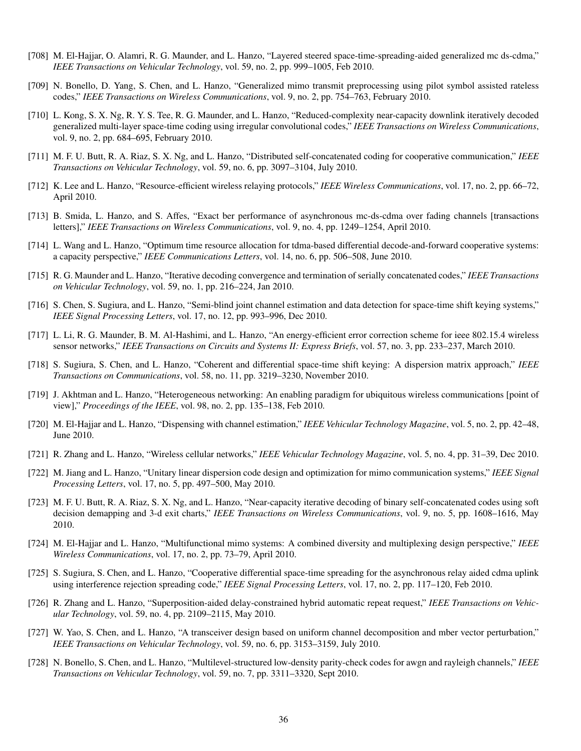- [708] M. El-Hajjar, O. Alamri, R. G. Maunder, and L. Hanzo, "Layered steered space-time-spreading-aided generalized mc ds-cdma," *IEEE Transactions on Vehicular Technology*, vol. 59, no. 2, pp. 999–1005, Feb 2010.
- [709] N. Bonello, D. Yang, S. Chen, and L. Hanzo, "Generalized mimo transmit preprocessing using pilot symbol assisted rateless codes," *IEEE Transactions on Wireless Communications*, vol. 9, no. 2, pp. 754–763, February 2010.
- [710] L. Kong, S. X. Ng, R. Y. S. Tee, R. G. Maunder, and L. Hanzo, "Reduced-complexity near-capacity downlink iteratively decoded generalized multi-layer space-time coding using irregular convolutional codes," *IEEE Transactions on Wireless Communications*, vol. 9, no. 2, pp. 684–695, February 2010.
- [711] M. F. U. Butt, R. A. Riaz, S. X. Ng, and L. Hanzo, "Distributed self-concatenated coding for cooperative communication," *IEEE Transactions on Vehicular Technology*, vol. 59, no. 6, pp. 3097–3104, July 2010.
- [712] K. Lee and L. Hanzo, "Resource-efficient wireless relaying protocols," *IEEE Wireless Communications*, vol. 17, no. 2, pp. 66–72, April 2010.
- [713] B. Smida, L. Hanzo, and S. Affes, "Exact ber performance of asynchronous mc-ds-cdma over fading channels [transactions letters]," *IEEE Transactions on Wireless Communications*, vol. 9, no. 4, pp. 1249–1254, April 2010.
- [714] L. Wang and L. Hanzo, "Optimum time resource allocation for tdma-based differential decode-and-forward cooperative systems: a capacity perspective," *IEEE Communications Letters*, vol. 14, no. 6, pp. 506–508, June 2010.
- [715] R. G. Maunder and L. Hanzo, "Iterative decoding convergence and termination of serially concatenated codes," *IEEE Transactions on Vehicular Technology*, vol. 59, no. 1, pp. 216–224, Jan 2010.
- [716] S. Chen, S. Sugiura, and L. Hanzo, "Semi-blind joint channel estimation and data detection for space-time shift keying systems," *IEEE Signal Processing Letters*, vol. 17, no. 12, pp. 993–996, Dec 2010.
- [717] L. Li, R. G. Maunder, B. M. Al-Hashimi, and L. Hanzo, "An energy-efficient error correction scheme for ieee 802.15.4 wireless sensor networks," *IEEE Transactions on Circuits and Systems II: Express Briefs*, vol. 57, no. 3, pp. 233–237, March 2010.
- [718] S. Sugiura, S. Chen, and L. Hanzo, "Coherent and differential space-time shift keying: A dispersion matrix approach," *IEEE Transactions on Communications*, vol. 58, no. 11, pp. 3219–3230, November 2010.
- [719] J. Akhtman and L. Hanzo, "Heterogeneous networking: An enabling paradigm for ubiquitous wireless communications [point of view]," *Proceedings of the IEEE*, vol. 98, no. 2, pp. 135–138, Feb 2010.
- [720] M. El-Hajjar and L. Hanzo, "Dispensing with channel estimation," *IEEE Vehicular Technology Magazine*, vol. 5, no. 2, pp. 42–48, June 2010.
- [721] R. Zhang and L. Hanzo, "Wireless cellular networks," *IEEE Vehicular Technology Magazine*, vol. 5, no. 4, pp. 31–39, Dec 2010.
- [722] M. Jiang and L. Hanzo, "Unitary linear dispersion code design and optimization for mimo communication systems," *IEEE Signal Processing Letters*, vol. 17, no. 5, pp. 497–500, May 2010.
- [723] M. F. U. Butt, R. A. Riaz, S. X. Ng, and L. Hanzo, "Near-capacity iterative decoding of binary self-concatenated codes using soft decision demapping and 3-d exit charts," *IEEE Transactions on Wireless Communications*, vol. 9, no. 5, pp. 1608–1616, May 2010.
- [724] M. El-Hajjar and L. Hanzo, "Multifunctional mimo systems: A combined diversity and multiplexing design perspective," *IEEE Wireless Communications*, vol. 17, no. 2, pp. 73–79, April 2010.
- [725] S. Sugiura, S. Chen, and L. Hanzo, "Cooperative differential space-time spreading for the asynchronous relay aided cdma uplink using interference rejection spreading code," *IEEE Signal Processing Letters*, vol. 17, no. 2, pp. 117–120, Feb 2010.
- [726] R. Zhang and L. Hanzo, "Superposition-aided delay-constrained hybrid automatic repeat request," *IEEE Transactions on Vehicular Technology*, vol. 59, no. 4, pp. 2109–2115, May 2010.
- [727] W. Yao, S. Chen, and L. Hanzo, "A transceiver design based on uniform channel decomposition and mber vector perturbation," *IEEE Transactions on Vehicular Technology*, vol. 59, no. 6, pp. 3153–3159, July 2010.
- [728] N. Bonello, S. Chen, and L. Hanzo, "Multilevel-structured low-density parity-check codes for awgn and rayleigh channels," *IEEE Transactions on Vehicular Technology*, vol. 59, no. 7, pp. 3311–3320, Sept 2010.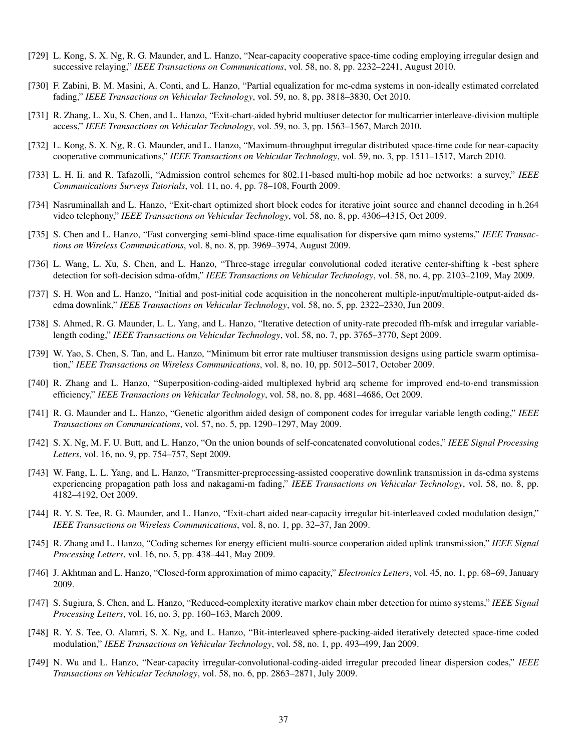- [729] L. Kong, S. X. Ng, R. G. Maunder, and L. Hanzo, "Near-capacity cooperative space-time coding employing irregular design and successive relaying," *IEEE Transactions on Communications*, vol. 58, no. 8, pp. 2232–2241, August 2010.
- [730] F. Zabini, B. M. Masini, A. Conti, and L. Hanzo, "Partial equalization for mc-cdma systems in non-ideally estimated correlated fading," *IEEE Transactions on Vehicular Technology*, vol. 59, no. 8, pp. 3818–3830, Oct 2010.
- [731] R. Zhang, L. Xu, S. Chen, and L. Hanzo, "Exit-chart-aided hybrid multiuser detector for multicarrier interleave-division multiple access," *IEEE Transactions on Vehicular Technology*, vol. 59, no. 3, pp. 1563–1567, March 2010.
- [732] L. Kong, S. X. Ng, R. G. Maunder, and L. Hanzo, "Maximum-throughput irregular distributed space-time code for near-capacity cooperative communications," *IEEE Transactions on Vehicular Technology*, vol. 59, no. 3, pp. 1511–1517, March 2010.
- [733] L. H. Ii. and R. Tafazolli, "Admission control schemes for 802.11-based multi-hop mobile ad hoc networks: a survey," *IEEE Communications Surveys Tutorials*, vol. 11, no. 4, pp. 78–108, Fourth 2009.
- [734] Nasruminallah and L. Hanzo, "Exit-chart optimized short block codes for iterative joint source and channel decoding in h.264 video telephony," *IEEE Transactions on Vehicular Technology*, vol. 58, no. 8, pp. 4306–4315, Oct 2009.
- [735] S. Chen and L. Hanzo, "Fast converging semi-blind space-time equalisation for dispersive qam mimo systems," *IEEE Transactions on Wireless Communications*, vol. 8, no. 8, pp. 3969–3974, August 2009.
- [736] L. Wang, L. Xu, S. Chen, and L. Hanzo, "Three-stage irregular convolutional coded iterative center-shifting k -best sphere detection for soft-decision sdma-ofdm," *IEEE Transactions on Vehicular Technology*, vol. 58, no. 4, pp. 2103–2109, May 2009.
- [737] S. H. Won and L. Hanzo, "Initial and post-initial code acquisition in the noncoherent multiple-input/multiple-output-aided dscdma downlink," *IEEE Transactions on Vehicular Technology*, vol. 58, no. 5, pp. 2322–2330, Jun 2009.
- [738] S. Ahmed, R. G. Maunder, L. L. Yang, and L. Hanzo, "Iterative detection of unity-rate precoded ffh-mfsk and irregular variablelength coding," *IEEE Transactions on Vehicular Technology*, vol. 58, no. 7, pp. 3765–3770, Sept 2009.
- [739] W. Yao, S. Chen, S. Tan, and L. Hanzo, "Minimum bit error rate multiuser transmission designs using particle swarm optimisation," *IEEE Transactions on Wireless Communications*, vol. 8, no. 10, pp. 5012–5017, October 2009.
- [740] R. Zhang and L. Hanzo, "Superposition-coding-aided multiplexed hybrid arq scheme for improved end-to-end transmission efficiency," *IEEE Transactions on Vehicular Technology*, vol. 58, no. 8, pp. 4681–4686, Oct 2009.
- [741] R. G. Maunder and L. Hanzo, "Genetic algorithm aided design of component codes for irregular variable length coding," *IEEE Transactions on Communications*, vol. 57, no. 5, pp. 1290–1297, May 2009.
- [742] S. X. Ng, M. F. U. Butt, and L. Hanzo, "On the union bounds of self-concatenated convolutional codes," *IEEE Signal Processing Letters*, vol. 16, no. 9, pp. 754–757, Sept 2009.
- [743] W. Fang, L. L. Yang, and L. Hanzo, "Transmitter-preprocessing-assisted cooperative downlink transmission in ds-cdma systems experiencing propagation path loss and nakagami-m fading," *IEEE Transactions on Vehicular Technology*, vol. 58, no. 8, pp. 4182–4192, Oct 2009.
- [744] R. Y. S. Tee, R. G. Maunder, and L. Hanzo, "Exit-chart aided near-capacity irregular bit-interleaved coded modulation design," *IEEE Transactions on Wireless Communications*, vol. 8, no. 1, pp. 32–37, Jan 2009.
- [745] R. Zhang and L. Hanzo, "Coding schemes for energy efficient multi-source cooperation aided uplink transmission," *IEEE Signal Processing Letters*, vol. 16, no. 5, pp. 438–441, May 2009.
- [746] J. Akhtman and L. Hanzo, "Closed-form approximation of mimo capacity," *Electronics Letters*, vol. 45, no. 1, pp. 68–69, January 2009.
- [747] S. Sugiura, S. Chen, and L. Hanzo, "Reduced-complexity iterative markov chain mber detection for mimo systems," *IEEE Signal Processing Letters*, vol. 16, no. 3, pp. 160–163, March 2009.
- [748] R. Y. S. Tee, O. Alamri, S. X. Ng, and L. Hanzo, "Bit-interleaved sphere-packing-aided iteratively detected space-time coded modulation," *IEEE Transactions on Vehicular Technology*, vol. 58, no. 1, pp. 493–499, Jan 2009.
- [749] N. Wu and L. Hanzo, "Near-capacity irregular-convolutional-coding-aided irregular precoded linear dispersion codes," *IEEE Transactions on Vehicular Technology*, vol. 58, no. 6, pp. 2863–2871, July 2009.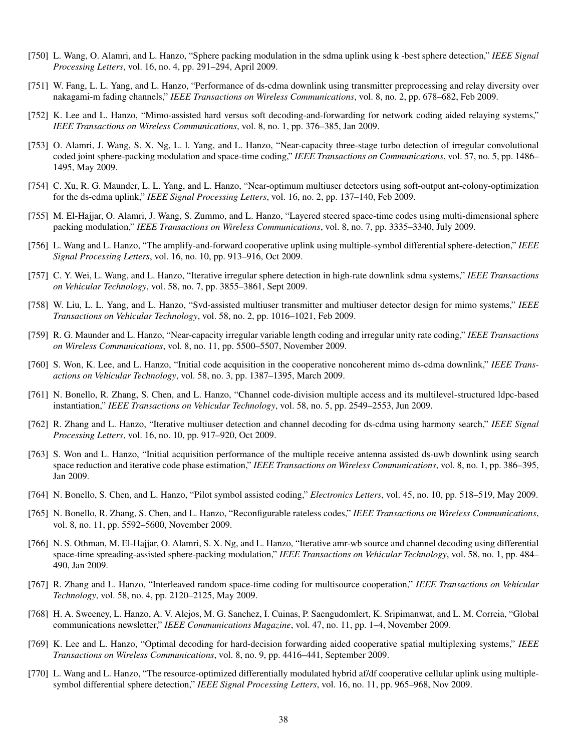- [750] L. Wang, O. Alamri, and L. Hanzo, "Sphere packing modulation in the sdma uplink using k -best sphere detection," *IEEE Signal Processing Letters*, vol. 16, no. 4, pp. 291–294, April 2009.
- [751] W. Fang, L. L. Yang, and L. Hanzo, "Performance of ds-cdma downlink using transmitter preprocessing and relay diversity over nakagami-m fading channels," *IEEE Transactions on Wireless Communications*, vol. 8, no. 2, pp. 678–682, Feb 2009.
- [752] K. Lee and L. Hanzo, "Mimo-assisted hard versus soft decoding-and-forwarding for network coding aided relaying systems," *IEEE Transactions on Wireless Communications*, vol. 8, no. 1, pp. 376–385, Jan 2009.
- [753] O. Alamri, J. Wang, S. X. Ng, L. l. Yang, and L. Hanzo, "Near-capacity three-stage turbo detection of irregular convolutional coded joint sphere-packing modulation and space-time coding," *IEEE Transactions on Communications*, vol. 57, no. 5, pp. 1486– 1495, May 2009.
- [754] C. Xu, R. G. Maunder, L. L. Yang, and L. Hanzo, "Near-optimum multiuser detectors using soft-output ant-colony-optimization for the ds-cdma uplink," *IEEE Signal Processing Letters*, vol. 16, no. 2, pp. 137–140, Feb 2009.
- [755] M. El-Hajjar, O. Alamri, J. Wang, S. Zummo, and L. Hanzo, "Layered steered space-time codes using multi-dimensional sphere packing modulation," *IEEE Transactions on Wireless Communications*, vol. 8, no. 7, pp. 3335–3340, July 2009.
- [756] L. Wang and L. Hanzo, "The amplify-and-forward cooperative uplink using multiple-symbol differential sphere-detection," *IEEE Signal Processing Letters*, vol. 16, no. 10, pp. 913–916, Oct 2009.
- [757] C. Y. Wei, L. Wang, and L. Hanzo, "Iterative irregular sphere detection in high-rate downlink sdma systems," *IEEE Transactions on Vehicular Technology*, vol. 58, no. 7, pp. 3855–3861, Sept 2009.
- [758] W. Liu, L. L. Yang, and L. Hanzo, "Svd-assisted multiuser transmitter and multiuser detector design for mimo systems," *IEEE Transactions on Vehicular Technology*, vol. 58, no. 2, pp. 1016–1021, Feb 2009.
- [759] R. G. Maunder and L. Hanzo, "Near-capacity irregular variable length coding and irregular unity rate coding," *IEEE Transactions on Wireless Communications*, vol. 8, no. 11, pp. 5500–5507, November 2009.
- [760] S. Won, K. Lee, and L. Hanzo, "Initial code acquisition in the cooperative noncoherent mimo ds-cdma downlink," *IEEE Transactions on Vehicular Technology*, vol. 58, no. 3, pp. 1387–1395, March 2009.
- [761] N. Bonello, R. Zhang, S. Chen, and L. Hanzo, "Channel code-division multiple access and its multilevel-structured ldpc-based instantiation," *IEEE Transactions on Vehicular Technology*, vol. 58, no. 5, pp. 2549–2553, Jun 2009.
- [762] R. Zhang and L. Hanzo, "Iterative multiuser detection and channel decoding for ds-cdma using harmony search," *IEEE Signal Processing Letters*, vol. 16, no. 10, pp. 917–920, Oct 2009.
- [763] S. Won and L. Hanzo, "Initial acquisition performance of the multiple receive antenna assisted ds-uwb downlink using search space reduction and iterative code phase estimation," *IEEE Transactions on Wireless Communications*, vol. 8, no. 1, pp. 386–395, Jan 2009.
- [764] N. Bonello, S. Chen, and L. Hanzo, "Pilot symbol assisted coding," *Electronics Letters*, vol. 45, no. 10, pp. 518–519, May 2009.
- [765] N. Bonello, R. Zhang, S. Chen, and L. Hanzo, "Reconfigurable rateless codes," *IEEE Transactions on Wireless Communications*, vol. 8, no. 11, pp. 5592–5600, November 2009.
- [766] N. S. Othman, M. El-Hajjar, O. Alamri, S. X. Ng, and L. Hanzo, "Iterative amr-wb source and channel decoding using differential space-time spreading-assisted sphere-packing modulation," *IEEE Transactions on Vehicular Technology*, vol. 58, no. 1, pp. 484– 490, Jan 2009.
- [767] R. Zhang and L. Hanzo, "Interleaved random space-time coding for multisource cooperation," *IEEE Transactions on Vehicular Technology*, vol. 58, no. 4, pp. 2120–2125, May 2009.
- [768] H. A. Sweeney, L. Hanzo, A. V. Alejos, M. G. Sanchez, I. Cuinas, P. Saengudomlert, K. Sripimanwat, and L. M. Correia, "Global communications newsletter," *IEEE Communications Magazine*, vol. 47, no. 11, pp. 1–4, November 2009.
- [769] K. Lee and L. Hanzo, "Optimal decoding for hard-decision forwarding aided cooperative spatial multiplexing systems," *IEEE Transactions on Wireless Communications*, vol. 8, no. 9, pp. 4416–441, September 2009.
- [770] L. Wang and L. Hanzo, "The resource-optimized differentially modulated hybrid af/df cooperative cellular uplink using multiplesymbol differential sphere detection," *IEEE Signal Processing Letters*, vol. 16, no. 11, pp. 965–968, Nov 2009.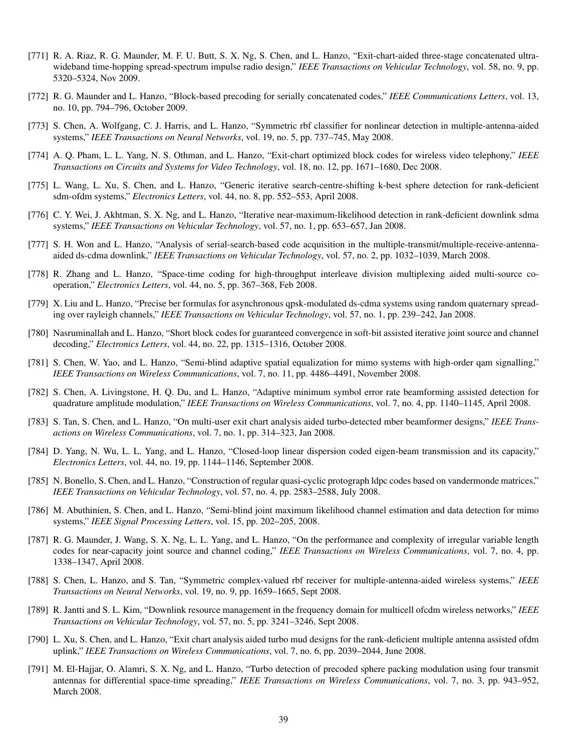- [771] R. A. Riaz, R. G. Maunder, M. F. U. Butt, S. X. Ng, S. Chen, and L. Hanzo, "Exit-chart-aided three-stage concatenated ultrawideband time-hopping spread-spectrum impulse radio design," *IEEE Transactions on Vehicular Technology*, vol. 58, no. 9, pp. 5320–5324, Nov 2009.
- [772] R. G. Maunder and L. Hanzo, "Block-based precoding for serially concatenated codes," *IEEE Communications Letters*, vol. 13, no. 10, pp. 794–796, October 2009.
- [773] S. Chen, A. Wolfgang, C. J. Harris, and L. Hanzo, "Symmetric rbf classifier for nonlinear detection in multiple-antenna-aided systems," *IEEE Transactions on Neural Networks*, vol. 19, no. 5, pp. 737–745, May 2008.
- [774] A. Q. Pham, L. L. Yang, N. S. Othman, and L. Hanzo, "Exit-chart optimized block codes for wireless video telephony," *IEEE Transactions on Circuits and Systems for Video Technology*, vol. 18, no. 12, pp. 1671–1680, Dec 2008.
- [775] L. Wang, L. Xu, S. Chen, and L. Hanzo, "Generic iterative search-centre-shifting k-best sphere detection for rank-deficient sdm-ofdm systems," *Electronics Letters*, vol. 44, no. 8, pp. 552–553, April 2008.
- [776] C. Y. Wei, J. Akhtman, S. X. Ng, and L. Hanzo, "Iterative near-maximum-likelihood detection in rank-deficient downlink sdma systems," *IEEE Transactions on Vehicular Technology*, vol. 57, no. 1, pp. 653–657, Jan 2008.
- [777] S. H. Won and L. Hanzo, "Analysis of serial-search-based code acquisition in the multiple-transmit/multiple-receive-antennaaided ds-cdma downlink," *IEEE Transactions on Vehicular Technology*, vol. 57, no. 2, pp. 1032–1039, March 2008.
- [778] R. Zhang and L. Hanzo, "Space-time coding for high-throughput interleave division multiplexing aided multi-source cooperation," *Electronics Letters*, vol. 44, no. 5, pp. 367–368, Feb 2008.
- [779] X. Liu and L. Hanzo, "Precise ber formulas for asynchronous qpsk-modulated ds-cdma systems using random quaternary spreading over rayleigh channels," *IEEE Transactions on Vehicular Technology*, vol. 57, no. 1, pp. 239–242, Jan 2008.
- [780] Nasruminallah and L. Hanzo, "Short block codes for guaranteed convergence in soft-bit assisted iterative joint source and channel decoding," *Electronics Letters*, vol. 44, no. 22, pp. 1315–1316, October 2008.
- [781] S. Chen, W. Yao, and L. Hanzo, "Semi-blind adaptive spatial equalization for mimo systems with high-order qam signalling," *IEEE Transactions on Wireless Communications*, vol. 7, no. 11, pp. 4486–4491, November 2008.
- [782] S. Chen, A. Livingstone, H. Q. Du, and L. Hanzo, "Adaptive minimum symbol error rate beamforming assisted detection for quadrature amplitude modulation," *IEEE Transactions on Wireless Communications*, vol. 7, no. 4, pp. 1140–1145, April 2008.
- [783] S. Tan, S. Chen, and L. Hanzo, "On multi-user exit chart analysis aided turbo-detected mber beamformer designs," *IEEE Transactions on Wireless Communications*, vol. 7, no. 1, pp. 314–323, Jan 2008.
- [784] D. Yang, N. Wu, L. L. Yang, and L. Hanzo, "Closed-loop linear dispersion coded eigen-beam transmission and its capacity," *Electronics Letters*, vol. 44, no. 19, pp. 1144–1146, September 2008.
- [785] N. Bonello, S. Chen, and L. Hanzo, "Construction of regular quasi-cyclic protograph Idpc codes based on vandermonde matrices," *IEEE Transactions on Vehicular Technology*, vol. 57, no. 4, pp. 2583–2588, July 2008.
- [786] M. Abuthinien, S. Chen, and L. Hanzo, "Semi-blind joint maximum likelihood channel estimation and data detection for mimo systems," *IEEE Signal Processing Letters*, vol. 15, pp. 202–205, 2008.
- [787] R. G. Maunder, J. Wang, S. X. Ng, L. L. Yang, and L. Hanzo, "On the performance and complexity of irregular variable length codes for near-capacity joint source and channel coding," *IEEE Transactions on Wireless Communications*, vol. 7, no. 4, pp. 1338–1347, April 2008.
- [788] S. Chen, L. Hanzo, and S. Tan, "Symmetric complex-valued rbf receiver for multiple-antenna-aided wireless systems," *IEEE Transactions on Neural Networks*, vol. 19, no. 9, pp. 1659–1665, Sept 2008.
- [789] R. Jantti and S. L. Kim, "Downlink resource management in the frequency domain for multicell ofcdm wireless networks," *IEEE Transactions on Vehicular Technology*, vol. 57, no. 5, pp. 3241–3246, Sept 2008.
- [790] L. Xu, S. Chen, and L. Hanzo, "Exit chart analysis aided turbo mud designs for the rank-deficient multiple antenna assisted ofdm uplink," *IEEE Transactions on Wireless Communications*, vol. 7, no. 6, pp. 2039–2044, June 2008.
- [791] M. El-Hajjar, O. Alamri, S. X. Ng, and L. Hanzo, "Turbo detection of precoded sphere packing modulation using four transmit antennas for differential space-time spreading," *IEEE Transactions on Wireless Communications*, vol. 7, no. 3, pp. 943–952, March 2008.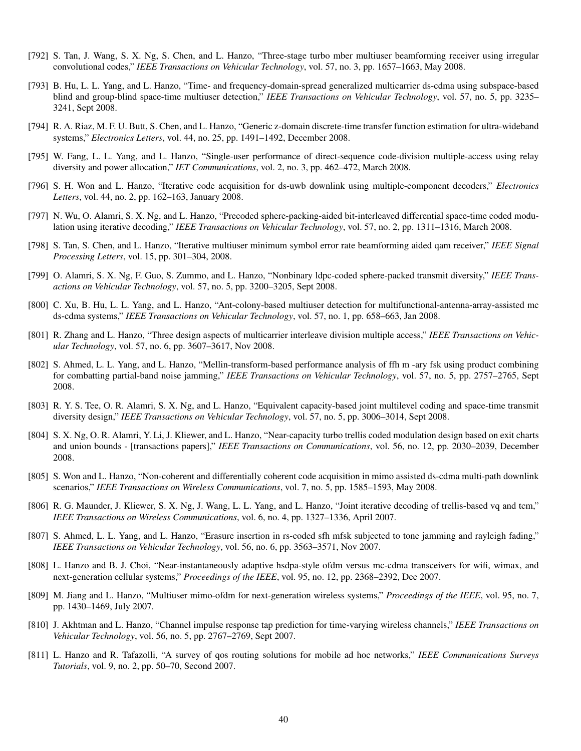- [792] S. Tan, J. Wang, S. X. Ng, S. Chen, and L. Hanzo, "Three-stage turbo mber multiuser beamforming receiver using irregular convolutional codes," *IEEE Transactions on Vehicular Technology*, vol. 57, no. 3, pp. 1657–1663, May 2008.
- [793] B. Hu, L. L. Yang, and L. Hanzo, "Time- and frequency-domain-spread generalized multicarrier ds-cdma using subspace-based blind and group-blind space-time multiuser detection," *IEEE Transactions on Vehicular Technology*, vol. 57, no. 5, pp. 3235– 3241, Sept 2008.
- [794] R. A. Riaz, M. F. U. Butt, S. Chen, and L. Hanzo, "Generic z-domain discrete-time transfer function estimation for ultra-wideband systems," *Electronics Letters*, vol. 44, no. 25, pp. 1491–1492, December 2008.
- [795] W. Fang, L. L. Yang, and L. Hanzo, "Single-user performance of direct-sequence code-division multiple-access using relay diversity and power allocation," *IET Communications*, vol. 2, no. 3, pp. 462–472, March 2008.
- [796] S. H. Won and L. Hanzo, "Iterative code acquisition for ds-uwb downlink using multiple-component decoders," *Electronics Letters*, vol. 44, no. 2, pp. 162–163, January 2008.
- [797] N. Wu, O. Alamri, S. X. Ng, and L. Hanzo, "Precoded sphere-packing-aided bit-interleaved differential space-time coded modulation using iterative decoding," *IEEE Transactions on Vehicular Technology*, vol. 57, no. 2, pp. 1311–1316, March 2008.
- [798] S. Tan, S. Chen, and L. Hanzo, "Iterative multiuser minimum symbol error rate beamforming aided qam receiver," *IEEE Signal Processing Letters*, vol. 15, pp. 301–304, 2008.
- [799] O. Alamri, S. X. Ng, F. Guo, S. Zummo, and L. Hanzo, "Nonbinary ldpc-coded sphere-packed transmit diversity," *IEEE Transactions on Vehicular Technology*, vol. 57, no. 5, pp. 3200–3205, Sept 2008.
- [800] C. Xu, B. Hu, L. L. Yang, and L. Hanzo, "Ant-colony-based multiuser detection for multifunctional-antenna-array-assisted mc ds-cdma systems," *IEEE Transactions on Vehicular Technology*, vol. 57, no. 1, pp. 658–663, Jan 2008.
- [801] R. Zhang and L. Hanzo, "Three design aspects of multicarrier interleave division multiple access," *IEEE Transactions on Vehicular Technology*, vol. 57, no. 6, pp. 3607–3617, Nov 2008.
- [802] S. Ahmed, L. L. Yang, and L. Hanzo, "Mellin-transform-based performance analysis of ffh m -ary fsk using product combining for combatting partial-band noise jamming," *IEEE Transactions on Vehicular Technology*, vol. 57, no. 5, pp. 2757–2765, Sept 2008.
- [803] R. Y. S. Tee, O. R. Alamri, S. X. Ng, and L. Hanzo, "Equivalent capacity-based joint multilevel coding and space-time transmit diversity design," *IEEE Transactions on Vehicular Technology*, vol. 57, no. 5, pp. 3006–3014, Sept 2008.
- [804] S. X. Ng, O. R. Alamri, Y. Li, J. Kliewer, and L. Hanzo, "Near-capacity turbo trellis coded modulation design based on exit charts and union bounds - [transactions papers]," *IEEE Transactions on Communications*, vol. 56, no. 12, pp. 2030–2039, December 2008.
- [805] S. Won and L. Hanzo, "Non-coherent and differentially coherent code acquisition in mimo assisted ds-cdma multi-path downlink scenarios," *IEEE Transactions on Wireless Communications*, vol. 7, no. 5, pp. 1585–1593, May 2008.
- [806] R. G. Maunder, J. Kliewer, S. X. Ng, J. Wang, L. L. Yang, and L. Hanzo, "Joint iterative decoding of trellis-based vq and tcm," *IEEE Transactions on Wireless Communications*, vol. 6, no. 4, pp. 1327–1336, April 2007.
- [807] S. Ahmed, L. L. Yang, and L. Hanzo, "Erasure insertion in rs-coded sfh mfsk subjected to tone jamming and rayleigh fading," *IEEE Transactions on Vehicular Technology*, vol. 56, no. 6, pp. 3563–3571, Nov 2007.
- [808] L. Hanzo and B. J. Choi, "Near-instantaneously adaptive hsdpa-style ofdm versus mc-cdma transceivers for wifi, wimax, and next-generation cellular systems," *Proceedings of the IEEE*, vol. 95, no. 12, pp. 2368–2392, Dec 2007.
- [809] M. Jiang and L. Hanzo, "Multiuser mimo-ofdm for next-generation wireless systems," *Proceedings of the IEEE*, vol. 95, no. 7, pp. 1430–1469, July 2007.
- [810] J. Akhtman and L. Hanzo, "Channel impulse response tap prediction for time-varying wireless channels," *IEEE Transactions on Vehicular Technology*, vol. 56, no. 5, pp. 2767–2769, Sept 2007.
- [811] L. Hanzo and R. Tafazolli, "A survey of qos routing solutions for mobile ad hoc networks," *IEEE Communications Surveys Tutorials*, vol. 9, no. 2, pp. 50–70, Second 2007.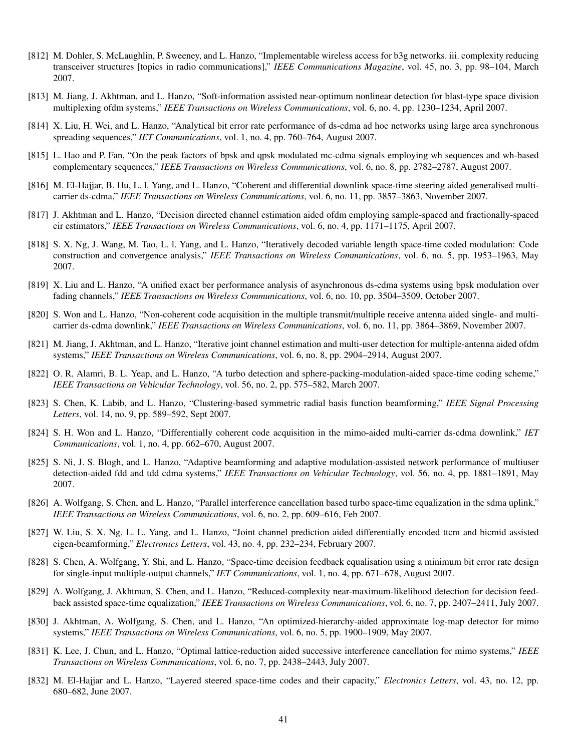- [812] M. Dohler, S. McLaughlin, P. Sweeney, and L. Hanzo, "Implementable wireless access for b3g networks. iii. complexity reducing transceiver structures [topics in radio communications]," *IEEE Communications Magazine*, vol. 45, no. 3, pp. 98–104, March 2007.
- [813] M. Jiang, J. Akhtman, and L. Hanzo, "Soft-information assisted near-optimum nonlinear detection for blast-type space division multiplexing ofdm systems," *IEEE Transactions on Wireless Communications*, vol. 6, no. 4, pp. 1230–1234, April 2007.
- [814] X. Liu, H. Wei, and L. Hanzo, "Analytical bit error rate performance of ds-cdma ad hoc networks using large area synchronous spreading sequences," *IET Communications*, vol. 1, no. 4, pp. 760–764, August 2007.
- [815] L. Hao and P. Fan, "On the peak factors of bpsk and qpsk modulated mc-cdma signals employing wh sequences and wh-based complementary sequences," *IEEE Transactions on Wireless Communications*, vol. 6, no. 8, pp. 2782–2787, August 2007.
- [816] M. El-Hajjar, B. Hu, L. l. Yang, and L. Hanzo, "Coherent and differential downlink space-time steering aided generalised multicarrier ds-cdma," *IEEE Transactions on Wireless Communications*, vol. 6, no. 11, pp. 3857–3863, November 2007.
- [817] J. Akhtman and L. Hanzo, "Decision directed channel estimation aided ofdm employing sample-spaced and fractionally-spaced cir estimators," *IEEE Transactions on Wireless Communications*, vol. 6, no. 4, pp. 1171–1175, April 2007.
- [818] S. X. Ng, J. Wang, M. Tao, L. l. Yang, and L. Hanzo, "Iteratively decoded variable length space-time coded modulation: Code construction and convergence analysis," *IEEE Transactions on Wireless Communications*, vol. 6, no. 5, pp. 1953–1963, May 2007.
- [819] X. Liu and L. Hanzo, "A unified exact ber performance analysis of asynchronous ds-cdma systems using bpsk modulation over fading channels," *IEEE Transactions on Wireless Communications*, vol. 6, no. 10, pp. 3504–3509, October 2007.
- [820] S. Won and L. Hanzo, "Non-coherent code acquisition in the multiple transmit/multiple receive antenna aided single- and multicarrier ds-cdma downlink," *IEEE Transactions on Wireless Communications*, vol. 6, no. 11, pp. 3864–3869, November 2007.
- [821] M. Jiang, J. Akhtman, and L. Hanzo, "Iterative joint channel estimation and multi-user detection for multiple-antenna aided ofdm systems," *IEEE Transactions on Wireless Communications*, vol. 6, no. 8, pp. 2904–2914, August 2007.
- [822] O. R. Alamri, B. L. Yeap, and L. Hanzo, "A turbo detection and sphere-packing-modulation-aided space-time coding scheme," *IEEE Transactions on Vehicular Technology*, vol. 56, no. 2, pp. 575–582, March 2007.
- [823] S. Chen, K. Labib, and L. Hanzo, "Clustering-based symmetric radial basis function beamforming," *IEEE Signal Processing Letters*, vol. 14, no. 9, pp. 589–592, Sept 2007.
- [824] S. H. Won and L. Hanzo, "Differentially coherent code acquisition in the mimo-aided multi-carrier ds-cdma downlink," *IET Communications*, vol. 1, no. 4, pp. 662–670, August 2007.
- [825] S. Ni, J. S. Blogh, and L. Hanzo, "Adaptive beamforming and adaptive modulation-assisted network performance of multiuser detection-aided fdd and tdd cdma systems," *IEEE Transactions on Vehicular Technology*, vol. 56, no. 4, pp. 1881–1891, May 2007.
- [826] A. Wolfgang, S. Chen, and L. Hanzo, "Parallel interference cancellation based turbo space-time equalization in the sdma uplink," *IEEE Transactions on Wireless Communications*, vol. 6, no. 2, pp. 609–616, Feb 2007.
- [827] W. Liu, S. X. Ng, L. L. Yang, and L. Hanzo, "Joint channel prediction aided differentially encoded ttcm and bicmid assisted eigen-beamforming," *Electronics Letters*, vol. 43, no. 4, pp. 232–234, February 2007.
- [828] S. Chen, A. Wolfgang, Y. Shi, and L. Hanzo, "Space-time decision feedback equalisation using a minimum bit error rate design for single-input multiple-output channels," *IET Communications*, vol. 1, no. 4, pp. 671–678, August 2007.
- [829] A. Wolfgang, J. Akhtman, S. Chen, and L. Hanzo, "Reduced-complexity near-maximum-likelihood detection for decision feedback assisted space-time equalization," *IEEE Transactions on Wireless Communications*, vol. 6, no. 7, pp. 2407–2411, July 2007.
- [830] J. Akhtman, A. Wolfgang, S. Chen, and L. Hanzo, "An optimized-hierarchy-aided approximate log-map detector for mimo systems," *IEEE Transactions on Wireless Communications*, vol. 6, no. 5, pp. 1900–1909, May 2007.
- [831] K. Lee, J. Chun, and L. Hanzo, "Optimal lattice-reduction aided successive interference cancellation for mimo systems," *IEEE Transactions on Wireless Communications*, vol. 6, no. 7, pp. 2438–2443, July 2007.
- [832] M. El-Hajjar and L. Hanzo, "Layered steered space-time codes and their capacity," *Electronics Letters*, vol. 43, no. 12, pp. 680–682, June 2007.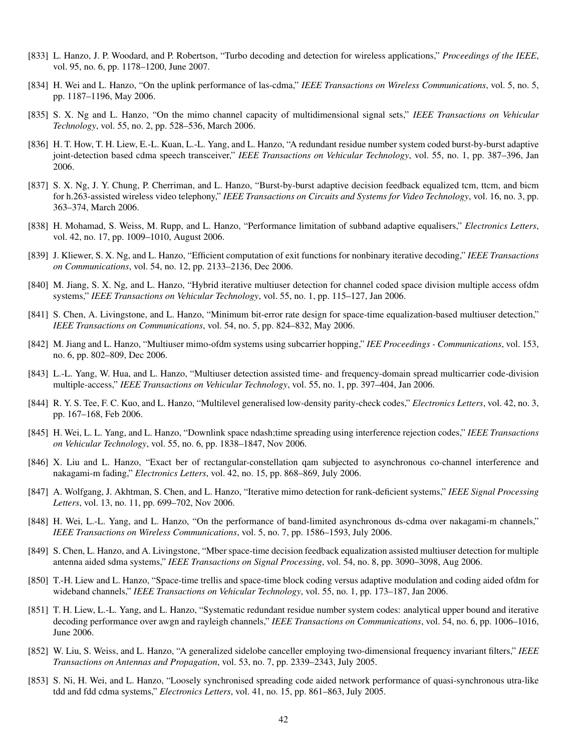- [833] L. Hanzo, J. P. Woodard, and P. Robertson, "Turbo decoding and detection for wireless applications," *Proceedings of the IEEE*, vol. 95, no. 6, pp. 1178–1200, June 2007.
- [834] H. Wei and L. Hanzo, "On the uplink performance of las-cdma," *IEEE Transactions on Wireless Communications*, vol. 5, no. 5, pp. 1187–1196, May 2006.
- [835] S. X. Ng and L. Hanzo, "On the mimo channel capacity of multidimensional signal sets," *IEEE Transactions on Vehicular Technology*, vol. 55, no. 2, pp. 528–536, March 2006.
- [836] H. T. How, T. H. Liew, E.-L. Kuan, L.-L. Yang, and L. Hanzo, "A redundant residue number system coded burst-by-burst adaptive joint-detection based cdma speech transceiver," *IEEE Transactions on Vehicular Technology*, vol. 55, no. 1, pp. 387–396, Jan 2006.
- [837] S. X. Ng, J. Y. Chung, P. Cherriman, and L. Hanzo, "Burst-by-burst adaptive decision feedback equalized tcm, ttcm, and bicm for h.263-assisted wireless video telephony," *IEEE Transactions on Circuits and Systems for Video Technology*, vol. 16, no. 3, pp. 363–374, March 2006.
- [838] H. Mohamad, S. Weiss, M. Rupp, and L. Hanzo, "Performance limitation of subband adaptive equalisers," *Electronics Letters*, vol. 42, no. 17, pp. 1009–1010, August 2006.
- [839] J. Kliewer, S. X. Ng, and L. Hanzo, "Efficient computation of exit functions for nonbinary iterative decoding," *IEEE Transactions on Communications*, vol. 54, no. 12, pp. 2133–2136, Dec 2006.
- [840] M. Jiang, S. X. Ng, and L. Hanzo, "Hybrid iterative multiuser detection for channel coded space division multiple access ofdm systems," *IEEE Transactions on Vehicular Technology*, vol. 55, no. 1, pp. 115–127, Jan 2006.
- [841] S. Chen, A. Livingstone, and L. Hanzo, "Minimum bit-error rate design for space-time equalization-based multiuser detection," *IEEE Transactions on Communications*, vol. 54, no. 5, pp. 824–832, May 2006.
- [842] M. Jiang and L. Hanzo, "Multiuser mimo-ofdm systems using subcarrier hopping," *IEE Proceedings Communications*, vol. 153, no. 6, pp. 802–809, Dec 2006.
- [843] L.-L. Yang, W. Hua, and L. Hanzo, "Multiuser detection assisted time- and frequency-domain spread multicarrier code-division multiple-access," *IEEE Transactions on Vehicular Technology*, vol. 55, no. 1, pp. 397–404, Jan 2006.
- [844] R. Y. S. Tee, F. C. Kuo, and L. Hanzo, "Multilevel generalised low-density parity-check codes," *Electronics Letters*, vol. 42, no. 3, pp. 167–168, Feb 2006.
- [845] H. Wei, L. L. Yang, and L. Hanzo, "Downlink space ndash;time spreading using interference rejection codes," *IEEE Transactions on Vehicular Technology*, vol. 55, no. 6, pp. 1838–1847, Nov 2006.
- [846] X. Liu and L. Hanzo, "Exact ber of rectangular-constellation qam subjected to asynchronous co-channel interference and nakagami-m fading," *Electronics Letters*, vol. 42, no. 15, pp. 868–869, July 2006.
- [847] A. Wolfgang, J. Akhtman, S. Chen, and L. Hanzo, "Iterative mimo detection for rank-deficient systems," *IEEE Signal Processing Letters*, vol. 13, no. 11, pp. 699–702, Nov 2006.
- [848] H. Wei, L.-L. Yang, and L. Hanzo, "On the performance of band-limited asynchronous ds-cdma over nakagami-m channels," *IEEE Transactions on Wireless Communications*, vol. 5, no. 7, pp. 1586–1593, July 2006.
- [849] S. Chen, L. Hanzo, and A. Livingstone, "Mber space-time decision feedback equalization assisted multiuser detection for multiple antenna aided sdma systems," *IEEE Transactions on Signal Processing*, vol. 54, no. 8, pp. 3090–3098, Aug 2006.
- [850] T.-H. Liew and L. Hanzo, "Space-time trellis and space-time block coding versus adaptive modulation and coding aided ofdm for wideband channels," *IEEE Transactions on Vehicular Technology*, vol. 55, no. 1, pp. 173–187, Jan 2006.
- [851] T. H. Liew, L.-L. Yang, and L. Hanzo, "Systematic redundant residue number system codes: analytical upper bound and iterative decoding performance over awgn and rayleigh channels," *IEEE Transactions on Communications*, vol. 54, no. 6, pp. 1006–1016, June 2006.
- [852] W. Liu, S. Weiss, and L. Hanzo, "A generalized sidelobe canceller employing two-dimensional frequency invariant filters," *IEEE Transactions on Antennas and Propagation*, vol. 53, no. 7, pp. 2339–2343, July 2005.
- [853] S. Ni, H. Wei, and L. Hanzo, "Loosely synchronised spreading code aided network performance of quasi-synchronous utra-like tdd and fdd cdma systems," *Electronics Letters*, vol. 41, no. 15, pp. 861–863, July 2005.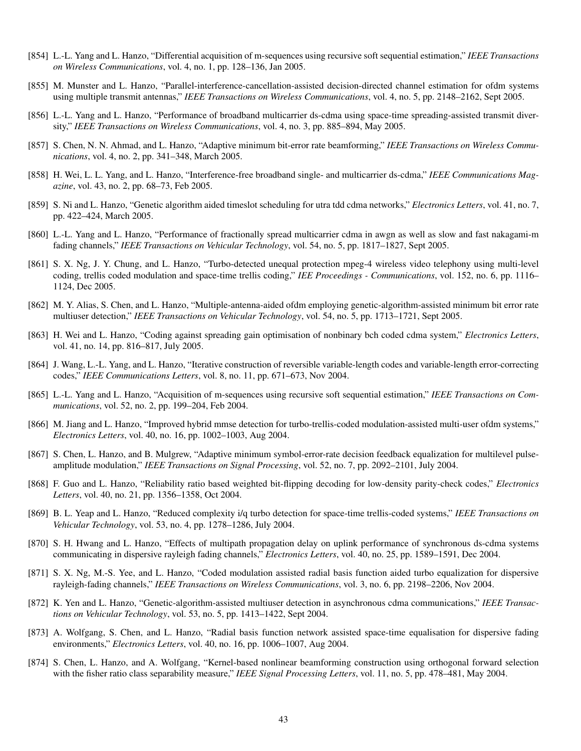- [854] L.-L. Yang and L. Hanzo, "Differential acquisition of m-sequences using recursive soft sequential estimation," *IEEE Transactions on Wireless Communications*, vol. 4, no. 1, pp. 128–136, Jan 2005.
- [855] M. Munster and L. Hanzo, "Parallel-interference-cancellation-assisted decision-directed channel estimation for ofdm systems using multiple transmit antennas," *IEEE Transactions on Wireless Communications*, vol. 4, no. 5, pp. 2148–2162, Sept 2005.
- [856] L.-L. Yang and L. Hanzo, "Performance of broadband multicarrier ds-cdma using space-time spreading-assisted transmit diversity," *IEEE Transactions on Wireless Communications*, vol. 4, no. 3, pp. 885–894, May 2005.
- [857] S. Chen, N. N. Ahmad, and L. Hanzo, "Adaptive minimum bit-error rate beamforming," *IEEE Transactions on Wireless Communications*, vol. 4, no. 2, pp. 341–348, March 2005.
- [858] H. Wei, L. L. Yang, and L. Hanzo, "Interference-free broadband single- and multicarrier ds-cdma," *IEEE Communications Magazine*, vol. 43, no. 2, pp. 68–73, Feb 2005.
- [859] S. Ni and L. Hanzo, "Genetic algorithm aided timeslot scheduling for utra tdd cdma networks," *Electronics Letters*, vol. 41, no. 7, pp. 422–424, March 2005.
- [860] L.-L. Yang and L. Hanzo, "Performance of fractionally spread multicarrier cdma in awgn as well as slow and fast nakagami-m fading channels," *IEEE Transactions on Vehicular Technology*, vol. 54, no. 5, pp. 1817–1827, Sept 2005.
- [861] S. X. Ng, J. Y. Chung, and L. Hanzo, "Turbo-detected unequal protection mpeg-4 wireless video telephony using multi-level coding, trellis coded modulation and space-time trellis coding," *IEE Proceedings - Communications*, vol. 152, no. 6, pp. 1116– 1124, Dec 2005.
- [862] M. Y. Alias, S. Chen, and L. Hanzo, "Multiple-antenna-aided ofdm employing genetic-algorithm-assisted minimum bit error rate multiuser detection," *IEEE Transactions on Vehicular Technology*, vol. 54, no. 5, pp. 1713–1721, Sept 2005.
- [863] H. Wei and L. Hanzo, "Coding against spreading gain optimisation of nonbinary bch coded cdma system," *Electronics Letters*, vol. 41, no. 14, pp. 816–817, July 2005.
- [864] J. Wang, L.-L. Yang, and L. Hanzo, "Iterative construction of reversible variable-length codes and variable-length error-correcting codes," *IEEE Communications Letters*, vol. 8, no. 11, pp. 671–673, Nov 2004.
- [865] L.-L. Yang and L. Hanzo, "Acquisition of m-sequences using recursive soft sequential estimation," *IEEE Transactions on Communications*, vol. 52, no. 2, pp. 199–204, Feb 2004.
- [866] M. Jiang and L. Hanzo, "Improved hybrid mmse detection for turbo-trellis-coded modulation-assisted multi-user ofdm systems," *Electronics Letters*, vol. 40, no. 16, pp. 1002–1003, Aug 2004.
- [867] S. Chen, L. Hanzo, and B. Mulgrew, "Adaptive minimum symbol-error-rate decision feedback equalization for multilevel pulseamplitude modulation," *IEEE Transactions on Signal Processing*, vol. 52, no. 7, pp. 2092–2101, July 2004.
- [868] F. Guo and L. Hanzo, "Reliability ratio based weighted bit-flipping decoding for low-density parity-check codes," *Electronics Letters*, vol. 40, no. 21, pp. 1356–1358, Oct 2004.
- [869] B. L. Yeap and L. Hanzo, "Reduced complexity i/q turbo detection for space-time trellis-coded systems," *IEEE Transactions on Vehicular Technology*, vol. 53, no. 4, pp. 1278–1286, July 2004.
- [870] S. H. Hwang and L. Hanzo, "Effects of multipath propagation delay on uplink performance of synchronous ds-cdma systems communicating in dispersive rayleigh fading channels," *Electronics Letters*, vol. 40, no. 25, pp. 1589–1591, Dec 2004.
- [871] S. X. Ng, M.-S. Yee, and L. Hanzo, "Coded modulation assisted radial basis function aided turbo equalization for dispersive rayleigh-fading channels," *IEEE Transactions on Wireless Communications*, vol. 3, no. 6, pp. 2198–2206, Nov 2004.
- [872] K. Yen and L. Hanzo, "Genetic-algorithm-assisted multiuser detection in asynchronous cdma communications," *IEEE Transactions on Vehicular Technology*, vol. 53, no. 5, pp. 1413–1422, Sept 2004.
- [873] A. Wolfgang, S. Chen, and L. Hanzo, "Radial basis function network assisted space-time equalisation for dispersive fading environments," *Electronics Letters*, vol. 40, no. 16, pp. 1006–1007, Aug 2004.
- [874] S. Chen, L. Hanzo, and A. Wolfgang, "Kernel-based nonlinear beamforming construction using orthogonal forward selection with the fisher ratio class separability measure," *IEEE Signal Processing Letters*, vol. 11, no. 5, pp. 478–481, May 2004.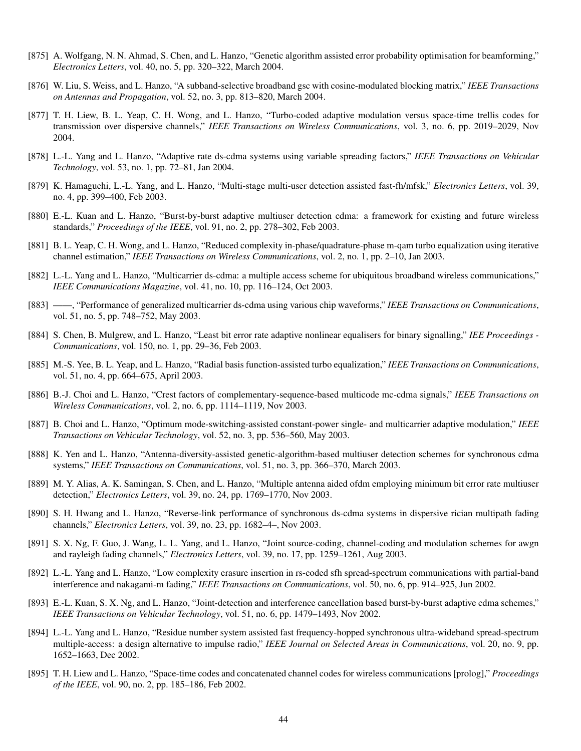- [875] A. Wolfgang, N. N. Ahmad, S. Chen, and L. Hanzo, "Genetic algorithm assisted error probability optimisation for beamforming," *Electronics Letters*, vol. 40, no. 5, pp. 320–322, March 2004.
- [876] W. Liu, S. Weiss, and L. Hanzo, "A subband-selective broadband gsc with cosine-modulated blocking matrix," *IEEE Transactions on Antennas and Propagation*, vol. 52, no. 3, pp. 813–820, March 2004.
- [877] T. H. Liew, B. L. Yeap, C. H. Wong, and L. Hanzo, "Turbo-coded adaptive modulation versus space-time trellis codes for transmission over dispersive channels," *IEEE Transactions on Wireless Communications*, vol. 3, no. 6, pp. 2019–2029, Nov 2004.
- [878] L.-L. Yang and L. Hanzo, "Adaptive rate ds-cdma systems using variable spreading factors," *IEEE Transactions on Vehicular Technology*, vol. 53, no. 1, pp. 72–81, Jan 2004.
- [879] K. Hamaguchi, L.-L. Yang, and L. Hanzo, "Multi-stage multi-user detection assisted fast-fh/mfsk," *Electronics Letters*, vol. 39, no. 4, pp. 399–400, Feb 2003.
- [880] E.-L. Kuan and L. Hanzo, "Burst-by-burst adaptive multiuser detection cdma: a framework for existing and future wireless standards," *Proceedings of the IEEE*, vol. 91, no. 2, pp. 278–302, Feb 2003.
- [881] B. L. Yeap, C. H. Wong, and L. Hanzo, "Reduced complexity in-phase/quadrature-phase m-qam turbo equalization using iterative channel estimation," *IEEE Transactions on Wireless Communications*, vol. 2, no. 1, pp. 2–10, Jan 2003.
- [882] L.-L. Yang and L. Hanzo, "Multicarrier ds-cdma: a multiple access scheme for ubiquitous broadband wireless communications," *IEEE Communications Magazine*, vol. 41, no. 10, pp. 116–124, Oct 2003.
- [883] ——, "Performance of generalized multicarrier ds-cdma using various chip waveforms," *IEEE Transactions on Communications*, vol. 51, no. 5, pp. 748–752, May 2003.
- [884] S. Chen, B. Mulgrew, and L. Hanzo, "Least bit error rate adaptive nonlinear equalisers for binary signalling," *IEE Proceedings - Communications*, vol. 150, no. 1, pp. 29–36, Feb 2003.
- [885] M.-S. Yee, B. L. Yeap, and L. Hanzo, "Radial basis function-assisted turbo equalization," *IEEE Transactions on Communications*, vol. 51, no. 4, pp. 664–675, April 2003.
- [886] B.-J. Choi and L. Hanzo, "Crest factors of complementary-sequence-based multicode mc-cdma signals," *IEEE Transactions on Wireless Communications*, vol. 2, no. 6, pp. 1114–1119, Nov 2003.
- [887] B. Choi and L. Hanzo, "Optimum mode-switching-assisted constant-power single- and multicarrier adaptive modulation," *IEEE Transactions on Vehicular Technology*, vol. 52, no. 3, pp. 536–560, May 2003.
- [888] K. Yen and L. Hanzo, "Antenna-diversity-assisted genetic-algorithm-based multiuser detection schemes for synchronous cdma systems," *IEEE Transactions on Communications*, vol. 51, no. 3, pp. 366–370, March 2003.
- [889] M. Y. Alias, A. K. Samingan, S. Chen, and L. Hanzo, "Multiple antenna aided ofdm employing minimum bit error rate multiuser detection," *Electronics Letters*, vol. 39, no. 24, pp. 1769–1770, Nov 2003.
- [890] S. H. Hwang and L. Hanzo, "Reverse-link performance of synchronous ds-cdma systems in dispersive rician multipath fading channels," *Electronics Letters*, vol. 39, no. 23, pp. 1682–4–, Nov 2003.
- [891] S. X. Ng, F. Guo, J. Wang, L. L. Yang, and L. Hanzo, "Joint source-coding, channel-coding and modulation schemes for awgn and rayleigh fading channels," *Electronics Letters*, vol. 39, no. 17, pp. 1259–1261, Aug 2003.
- [892] L.-L. Yang and L. Hanzo, "Low complexity erasure insertion in rs-coded sfh spread-spectrum communications with partial-band interference and nakagami-m fading," *IEEE Transactions on Communications*, vol. 50, no. 6, pp. 914–925, Jun 2002.
- [893] E.-L. Kuan, S. X. Ng, and L. Hanzo, "Joint-detection and interference cancellation based burst-by-burst adaptive cdma schemes," *IEEE Transactions on Vehicular Technology*, vol. 51, no. 6, pp. 1479–1493, Nov 2002.
- [894] L.-L. Yang and L. Hanzo, "Residue number system assisted fast frequency-hopped synchronous ultra-wideband spread-spectrum multiple-access: a design alternative to impulse radio," *IEEE Journal on Selected Areas in Communications*, vol. 20, no. 9, pp. 1652–1663, Dec 2002.
- [895] T. H. Liew and L. Hanzo, "Space-time codes and concatenated channel codes for wireless communications [prolog]," *Proceedings of the IEEE*, vol. 90, no. 2, pp. 185–186, Feb 2002.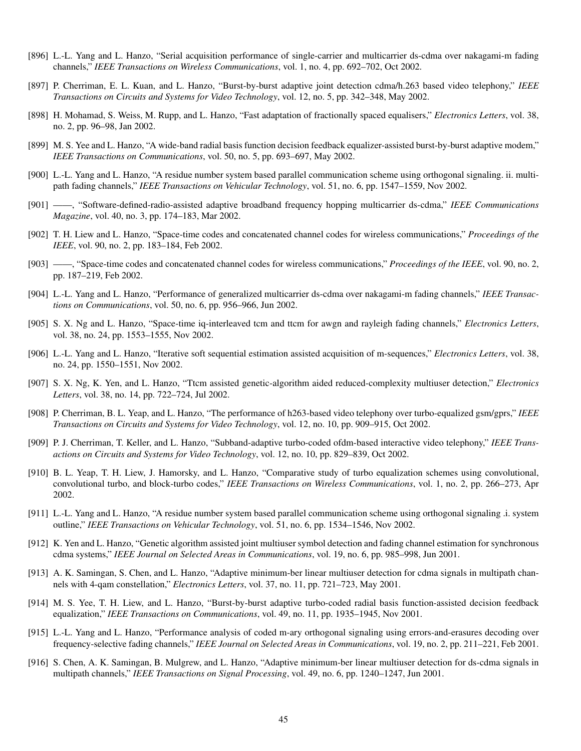- [896] L.-L. Yang and L. Hanzo, "Serial acquisition performance of single-carrier and multicarrier ds-cdma over nakagami-m fading channels," *IEEE Transactions on Wireless Communications*, vol. 1, no. 4, pp. 692–702, Oct 2002.
- [897] P. Cherriman, E. L. Kuan, and L. Hanzo, "Burst-by-burst adaptive joint detection cdma/h.263 based video telephony," *IEEE Transactions on Circuits and Systems for Video Technology*, vol. 12, no. 5, pp. 342–348, May 2002.
- [898] H. Mohamad, S. Weiss, M. Rupp, and L. Hanzo, "Fast adaptation of fractionally spaced equalisers," *Electronics Letters*, vol. 38, no. 2, pp. 96–98, Jan 2002.
- [899] M. S. Yee and L. Hanzo, "A wide-band radial basis function decision feedback equalizer-assisted burst-by-burst adaptive modem," *IEEE Transactions on Communications*, vol. 50, no. 5, pp. 693–697, May 2002.
- [900] L.-L. Yang and L. Hanzo, "A residue number system based parallel communication scheme using orthogonal signaling. ii. multipath fading channels," *IEEE Transactions on Vehicular Technology*, vol. 51, no. 6, pp. 1547–1559, Nov 2002.
- [901] ——, "Software-defined-radio-assisted adaptive broadband frequency hopping multicarrier ds-cdma," *IEEE Communications Magazine*, vol. 40, no. 3, pp. 174–183, Mar 2002.
- [902] T. H. Liew and L. Hanzo, "Space-time codes and concatenated channel codes for wireless communications," *Proceedings of the IEEE*, vol. 90, no. 2, pp. 183–184, Feb 2002.
- [903] ——, "Space-time codes and concatenated channel codes for wireless communications," *Proceedings of the IEEE*, vol. 90, no. 2, pp. 187–219, Feb 2002.
- [904] L.-L. Yang and L. Hanzo, "Performance of generalized multicarrier ds-cdma over nakagami-m fading channels," *IEEE Transactions on Communications*, vol. 50, no. 6, pp. 956–966, Jun 2002.
- [905] S. X. Ng and L. Hanzo, "Space-time iq-interleaved tcm and ttcm for awgn and rayleigh fading channels," *Electronics Letters*, vol. 38, no. 24, pp. 1553–1555, Nov 2002.
- [906] L.-L. Yang and L. Hanzo, "Iterative soft sequential estimation assisted acquisition of m-sequences," *Electronics Letters*, vol. 38, no. 24, pp. 1550–1551, Nov 2002.
- [907] S. X. Ng, K. Yen, and L. Hanzo, "Ttcm assisted genetic-algorithm aided reduced-complexity multiuser detection," *Electronics Letters*, vol. 38, no. 14, pp. 722–724, Jul 2002.
- [908] P. Cherriman, B. L. Yeap, and L. Hanzo, "The performance of h263-based video telephony over turbo-equalized gsm/gprs," *IEEE Transactions on Circuits and Systems for Video Technology*, vol. 12, no. 10, pp. 909–915, Oct 2002.
- [909] P. J. Cherriman, T. Keller, and L. Hanzo, "Subband-adaptive turbo-coded ofdm-based interactive video telephony," *IEEE Transactions on Circuits and Systems for Video Technology*, vol. 12, no. 10, pp. 829–839, Oct 2002.
- [910] B. L. Yeap, T. H. Liew, J. Hamorsky, and L. Hanzo, "Comparative study of turbo equalization schemes using convolutional, convolutional turbo, and block-turbo codes," *IEEE Transactions on Wireless Communications*, vol. 1, no. 2, pp. 266–273, Apr 2002.
- [911] L.-L. Yang and L. Hanzo, "A residue number system based parallel communication scheme using orthogonal signaling .i. system outline," *IEEE Transactions on Vehicular Technology*, vol. 51, no. 6, pp. 1534–1546, Nov 2002.
- [912] K. Yen and L. Hanzo, "Genetic algorithm assisted joint multiuser symbol detection and fading channel estimation for synchronous cdma systems," *IEEE Journal on Selected Areas in Communications*, vol. 19, no. 6, pp. 985–998, Jun 2001.
- [913] A. K. Samingan, S. Chen, and L. Hanzo, "Adaptive minimum-ber linear multiuser detection for cdma signals in multipath channels with 4-qam constellation," *Electronics Letters*, vol. 37, no. 11, pp. 721–723, May 2001.
- [914] M. S. Yee, T. H. Liew, and L. Hanzo, "Burst-by-burst adaptive turbo-coded radial basis function-assisted decision feedback equalization," *IEEE Transactions on Communications*, vol. 49, no. 11, pp. 1935–1945, Nov 2001.
- [915] L.-L. Yang and L. Hanzo, "Performance analysis of coded m-ary orthogonal signaling using errors-and-erasures decoding over frequency-selective fading channels," *IEEE Journal on Selected Areas in Communications*, vol. 19, no. 2, pp. 211–221, Feb 2001.
- [916] S. Chen, A. K. Samingan, B. Mulgrew, and L. Hanzo, "Adaptive minimum-ber linear multiuser detection for ds-cdma signals in multipath channels," *IEEE Transactions on Signal Processing*, vol. 49, no. 6, pp. 1240–1247, Jun 2001.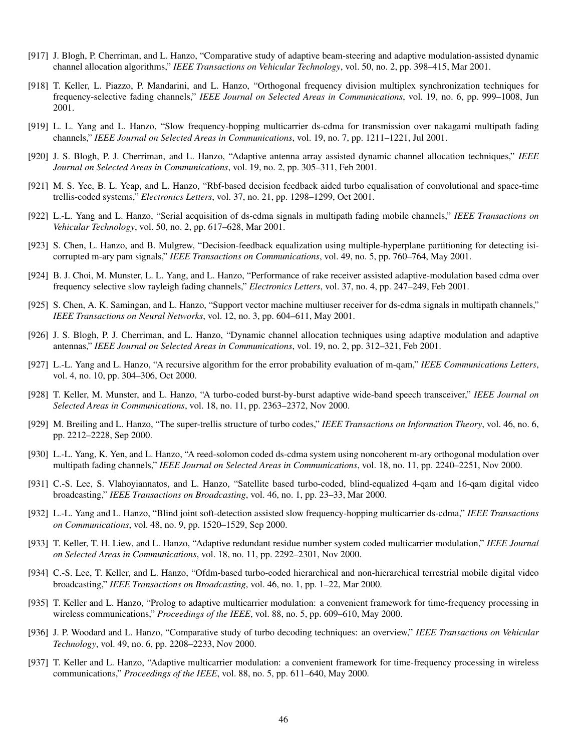- [917] J. Blogh, P. Cherriman, and L. Hanzo, "Comparative study of adaptive beam-steering and adaptive modulation-assisted dynamic channel allocation algorithms," *IEEE Transactions on Vehicular Technology*, vol. 50, no. 2, pp. 398–415, Mar 2001.
- [918] T. Keller, L. Piazzo, P. Mandarini, and L. Hanzo, "Orthogonal frequency division multiplex synchronization techniques for frequency-selective fading channels," *IEEE Journal on Selected Areas in Communications*, vol. 19, no. 6, pp. 999–1008, Jun 2001.
- [919] L. L. Yang and L. Hanzo, "Slow frequency-hopping multicarrier ds-cdma for transmission over nakagami multipath fading channels," *IEEE Journal on Selected Areas in Communications*, vol. 19, no. 7, pp. 1211–1221, Jul 2001.
- [920] J. S. Blogh, P. J. Cherriman, and L. Hanzo, "Adaptive antenna array assisted dynamic channel allocation techniques," *IEEE Journal on Selected Areas in Communications*, vol. 19, no. 2, pp. 305–311, Feb 2001.
- [921] M. S. Yee, B. L. Yeap, and L. Hanzo, "Rbf-based decision feedback aided turbo equalisation of convolutional and space-time trellis-coded systems," *Electronics Letters*, vol. 37, no. 21, pp. 1298–1299, Oct 2001.
- [922] L.-L. Yang and L. Hanzo, "Serial acquisition of ds-cdma signals in multipath fading mobile channels," *IEEE Transactions on Vehicular Technology*, vol. 50, no. 2, pp. 617–628, Mar 2001.
- [923] S. Chen, L. Hanzo, and B. Mulgrew, "Decision-feedback equalization using multiple-hyperplane partitioning for detecting isicorrupted m-ary pam signals," *IEEE Transactions on Communications*, vol. 49, no. 5, pp. 760–764, May 2001.
- [924] B. J. Choi, M. Munster, L. L. Yang, and L. Hanzo, "Performance of rake receiver assisted adaptive-modulation based cdma over frequency selective slow rayleigh fading channels," *Electronics Letters*, vol. 37, no. 4, pp. 247–249, Feb 2001.
- [925] S. Chen, A. K. Samingan, and L. Hanzo, "Support vector machine multiuser receiver for ds-cdma signals in multipath channels," *IEEE Transactions on Neural Networks*, vol. 12, no. 3, pp. 604–611, May 2001.
- [926] J. S. Blogh, P. J. Cherriman, and L. Hanzo, "Dynamic channel allocation techniques using adaptive modulation and adaptive antennas," *IEEE Journal on Selected Areas in Communications*, vol. 19, no. 2, pp. 312–321, Feb 2001.
- [927] L.-L. Yang and L. Hanzo, "A recursive algorithm for the error probability evaluation of m-qam," *IEEE Communications Letters*, vol. 4, no. 10, pp. 304–306, Oct 2000.
- [928] T. Keller, M. Munster, and L. Hanzo, "A turbo-coded burst-by-burst adaptive wide-band speech transceiver," *IEEE Journal on Selected Areas in Communications*, vol. 18, no. 11, pp. 2363–2372, Nov 2000.
- [929] M. Breiling and L. Hanzo, "The super-trellis structure of turbo codes," *IEEE Transactions on Information Theory*, vol. 46, no. 6, pp. 2212–2228, Sep 2000.
- [930] L.-L. Yang, K. Yen, and L. Hanzo, "A reed-solomon coded ds-cdma system using noncoherent m-ary orthogonal modulation over multipath fading channels," *IEEE Journal on Selected Areas in Communications*, vol. 18, no. 11, pp. 2240–2251, Nov 2000.
- [931] C.-S. Lee, S. Vlahoyiannatos, and L. Hanzo, "Satellite based turbo-coded, blind-equalized 4-qam and 16-qam digital video broadcasting," *IEEE Transactions on Broadcasting*, vol. 46, no. 1, pp. 23–33, Mar 2000.
- [932] L.-L. Yang and L. Hanzo, "Blind joint soft-detection assisted slow frequency-hopping multicarrier ds-cdma," *IEEE Transactions on Communications*, vol. 48, no. 9, pp. 1520–1529, Sep 2000.
- [933] T. Keller, T. H. Liew, and L. Hanzo, "Adaptive redundant residue number system coded multicarrier modulation," *IEEE Journal on Selected Areas in Communications*, vol. 18, no. 11, pp. 2292–2301, Nov 2000.
- [934] C.-S. Lee, T. Keller, and L. Hanzo, "Ofdm-based turbo-coded hierarchical and non-hierarchical terrestrial mobile digital video broadcasting," *IEEE Transactions on Broadcasting*, vol. 46, no. 1, pp. 1–22, Mar 2000.
- [935] T. Keller and L. Hanzo, "Prolog to adaptive multicarrier modulation: a convenient framework for time-frequency processing in wireless communications," *Proceedings of the IEEE*, vol. 88, no. 5, pp. 609–610, May 2000.
- [936] J. P. Woodard and L. Hanzo, "Comparative study of turbo decoding techniques: an overview," *IEEE Transactions on Vehicular Technology*, vol. 49, no. 6, pp. 2208–2233, Nov 2000.
- [937] T. Keller and L. Hanzo, "Adaptive multicarrier modulation: a convenient framework for time-frequency processing in wireless communications," *Proceedings of the IEEE*, vol. 88, no. 5, pp. 611–640, May 2000.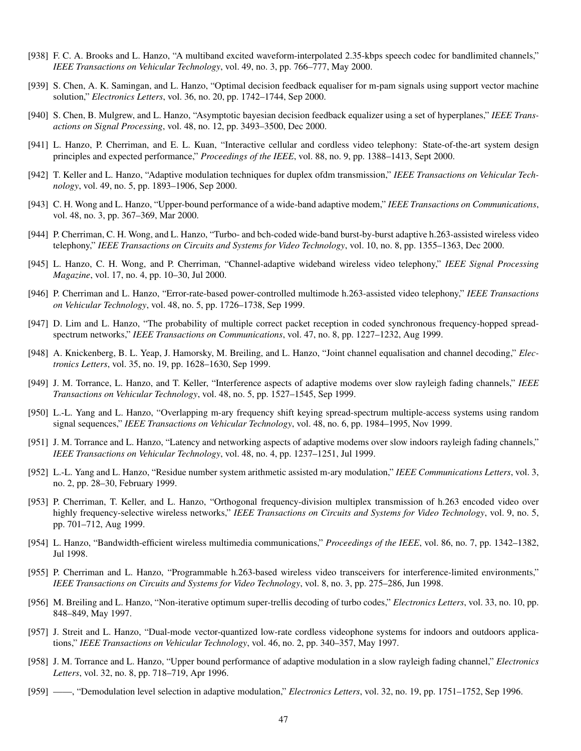- [938] F. C. A. Brooks and L. Hanzo, "A multiband excited waveform-interpolated 2.35-kbps speech codec for bandlimited channels," *IEEE Transactions on Vehicular Technology*, vol. 49, no. 3, pp. 766–777, May 2000.
- [939] S. Chen, A. K. Samingan, and L. Hanzo, "Optimal decision feedback equaliser for m-pam signals using support vector machine solution," *Electronics Letters*, vol. 36, no. 20, pp. 1742–1744, Sep 2000.
- [940] S. Chen, B. Mulgrew, and L. Hanzo, "Asymptotic bayesian decision feedback equalizer using a set of hyperplanes," *IEEE Transactions on Signal Processing*, vol. 48, no. 12, pp. 3493–3500, Dec 2000.
- [941] L. Hanzo, P. Cherriman, and E. L. Kuan, "Interactive cellular and cordless video telephony: State-of-the-art system design principles and expected performance," *Proceedings of the IEEE*, vol. 88, no. 9, pp. 1388–1413, Sept 2000.
- [942] T. Keller and L. Hanzo, "Adaptive modulation techniques for duplex ofdm transmission," *IEEE Transactions on Vehicular Technology*, vol. 49, no. 5, pp. 1893–1906, Sep 2000.
- [943] C. H. Wong and L. Hanzo, "Upper-bound performance of a wide-band adaptive modem," *IEEE Transactions on Communications*, vol. 48, no. 3, pp. 367–369, Mar 2000.
- [944] P. Cherriman, C. H. Wong, and L. Hanzo, "Turbo- and bch-coded wide-band burst-by-burst adaptive h.263-assisted wireless video telephony," *IEEE Transactions on Circuits and Systems for Video Technology*, vol. 10, no. 8, pp. 1355–1363, Dec 2000.
- [945] L. Hanzo, C. H. Wong, and P. Cherriman, "Channel-adaptive wideband wireless video telephony," *IEEE Signal Processing Magazine*, vol. 17, no. 4, pp. 10–30, Jul 2000.
- [946] P. Cherriman and L. Hanzo, "Error-rate-based power-controlled multimode h.263-assisted video telephony," *IEEE Transactions on Vehicular Technology*, vol. 48, no. 5, pp. 1726–1738, Sep 1999.
- [947] D. Lim and L. Hanzo, "The probability of multiple correct packet reception in coded synchronous frequency-hopped spreadspectrum networks," *IEEE Transactions on Communications*, vol. 47, no. 8, pp. 1227–1232, Aug 1999.
- [948] A. Knickenberg, B. L. Yeap, J. Hamorsky, M. Breiling, and L. Hanzo, "Joint channel equalisation and channel decoding," *Electronics Letters*, vol. 35, no. 19, pp. 1628–1630, Sep 1999.
- [949] J. M. Torrance, L. Hanzo, and T. Keller, "Interference aspects of adaptive modems over slow rayleigh fading channels," *IEEE Transactions on Vehicular Technology*, vol. 48, no. 5, pp. 1527–1545, Sep 1999.
- [950] L.-L. Yang and L. Hanzo, "Overlapping m-ary frequency shift keying spread-spectrum multiple-access systems using random signal sequences," *IEEE Transactions on Vehicular Technology*, vol. 48, no. 6, pp. 1984–1995, Nov 1999.
- [951] J. M. Torrance and L. Hanzo, "Latency and networking aspects of adaptive modems over slow indoors rayleigh fading channels," *IEEE Transactions on Vehicular Technology*, vol. 48, no. 4, pp. 1237–1251, Jul 1999.
- [952] L.-L. Yang and L. Hanzo, "Residue number system arithmetic assisted m-ary modulation," *IEEE Communications Letters*, vol. 3, no. 2, pp. 28–30, February 1999.
- [953] P. Cherriman, T. Keller, and L. Hanzo, "Orthogonal frequency-division multiplex transmission of h.263 encoded video over highly frequency-selective wireless networks," *IEEE Transactions on Circuits and Systems for Video Technology*, vol. 9, no. 5, pp. 701–712, Aug 1999.
- [954] L. Hanzo, "Bandwidth-efficient wireless multimedia communications," *Proceedings of the IEEE*, vol. 86, no. 7, pp. 1342–1382, Jul 1998.
- [955] P. Cherriman and L. Hanzo, "Programmable h.263-based wireless video transceivers for interference-limited environments," *IEEE Transactions on Circuits and Systems for Video Technology*, vol. 8, no. 3, pp. 275–286, Jun 1998.
- [956] M. Breiling and L. Hanzo, "Non-iterative optimum super-trellis decoding of turbo codes," *Electronics Letters*, vol. 33, no. 10, pp. 848–849, May 1997.
- [957] J. Streit and L. Hanzo, "Dual-mode vector-quantized low-rate cordless videophone systems for indoors and outdoors applications," *IEEE Transactions on Vehicular Technology*, vol. 46, no. 2, pp. 340–357, May 1997.
- [958] J. M. Torrance and L. Hanzo, "Upper bound performance of adaptive modulation in a slow rayleigh fading channel," *Electronics Letters*, vol. 32, no. 8, pp. 718–719, Apr 1996.
- [959] ——, "Demodulation level selection in adaptive modulation," *Electronics Letters*, vol. 32, no. 19, pp. 1751–1752, Sep 1996.